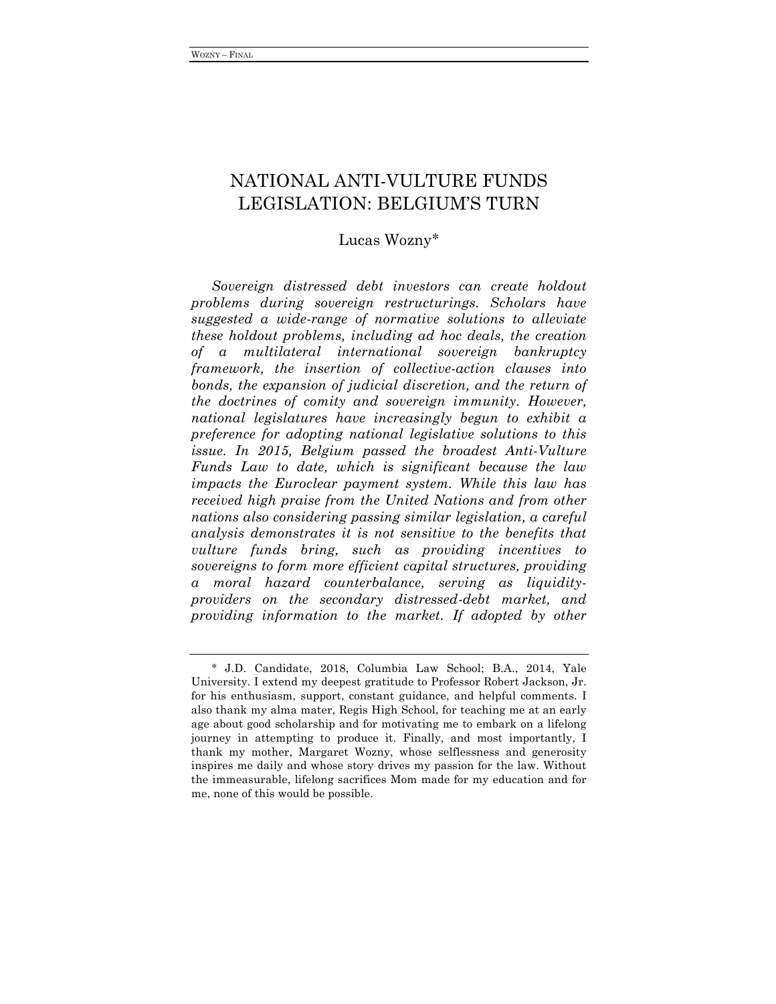# NATIONAL ANTI-VULTURE FUNDS LEGISLATION: BELGIUM'S TURN

## Lucas Wozny∗

*Sovereign distressed debt investors can create holdout problems during sovereign restructurings. Scholars have suggested a wide-range of normative solutions to alleviate these holdout problems, including ad hoc deals, the creation of a multilateral international sovereign bankruptcy framework, the insertion of collective-action clauses into bonds, the expansion of judicial discretion, and the return of the doctrines of comity and sovereign immunity. However, national legislatures have increasingly begun to exhibit a preference for adopting national legislative solutions to this issue. In 2015, Belgium passed the broadest Anti-Vulture Funds Law to date, which is significant because the law impacts the Euroclear payment system. While this law has received high praise from the United Nations and from other nations also considering passing similar legislation, a careful analysis demonstrates it is not sensitive to the benefits that vulture funds bring, such as providing incentives to sovereigns to form more efficient capital structures, providing a moral hazard counterbalance, serving as liquidityproviders on the secondary distressed-debt market, and providing information to the market. If adopted by other* 

<sup>∗</sup> J.D. Candidate, 2018, Columbia Law School; B.A., 2014, Yale University. I extend my deepest gratitude to Professor Robert Jackson, Jr. for his enthusiasm, support, constant guidance, and helpful comments. I also thank my alma mater, Regis High School, for teaching me at an early age about good scholarship and for motivating me to embark on a lifelong journey in attempting to produce it. Finally, and most importantly, I thank my mother, Margaret Wozny, whose selflessness and generosity inspires me daily and whose story drives my passion for the law. Without the immeasurable, lifelong sacrifices Mom made for my education and for me, none of this would be possible.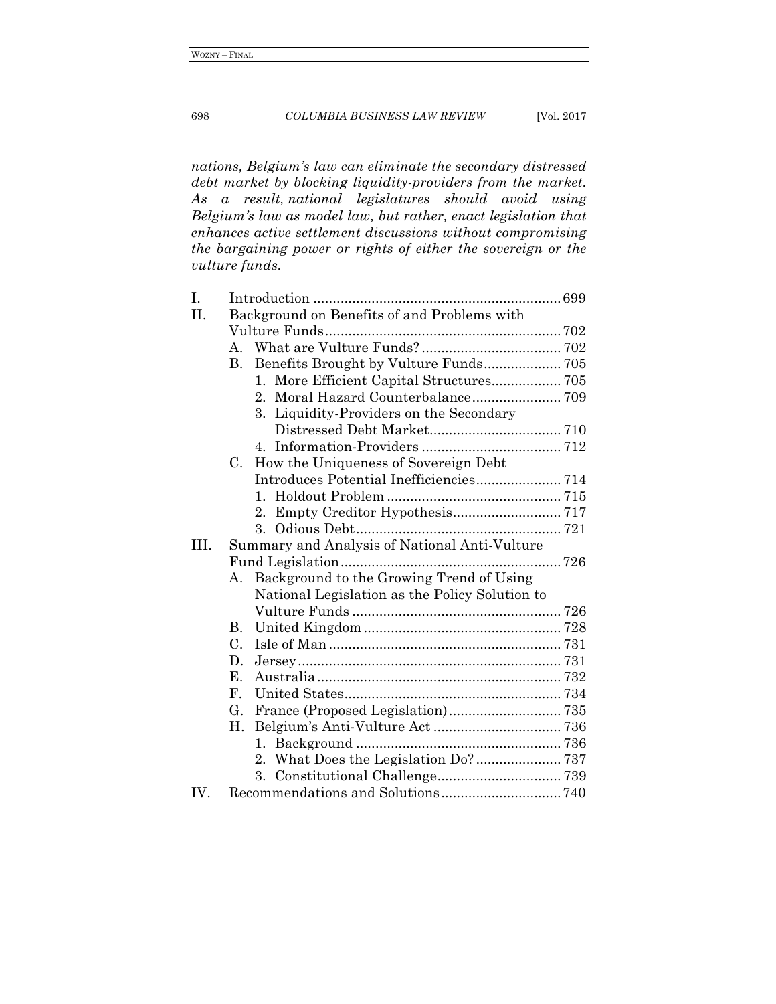#### 698 *COLUMBIA BUSINESS LAW REVIEW* [Vol. 2017

*nations, Belgium's law can eliminate the secondary distressed debt market by blocking liquidity-providers from the market. As a result, national legislatures should avoid using Belgium's law as model law, but rather, enact legislation that enhances active settlement discussions without compromising the bargaining power or rights of either the sovereign or the vulture funds.*

| Ι.   |                                                |  |
|------|------------------------------------------------|--|
| II.  | Background on Benefits of and Problems with    |  |
|      |                                                |  |
|      | $A_{\cdot}$                                    |  |
|      | Benefits Brought by Vulture Funds 705<br>В.    |  |
|      |                                                |  |
|      | Moral Hazard Counterbalance 709<br>$2_{-}$     |  |
|      | Liquidity-Providers on the Secondary<br>3.     |  |
|      |                                                |  |
|      |                                                |  |
|      | How the Uniqueness of Sovereign Debt<br>C.     |  |
|      |                                                |  |
|      |                                                |  |
|      | $2_{-}$                                        |  |
|      | $3_{-}$                                        |  |
| III. | Summary and Analysis of National Anti-Vulture  |  |
|      |                                                |  |
|      | Background to the Growing Trend of Using<br>А. |  |
|      | National Legislation as the Policy Solution to |  |
|      |                                                |  |
|      | <b>B.</b>                                      |  |
|      | $C_{\cdot}$                                    |  |
|      | D.                                             |  |
|      | Е.                                             |  |
|      | $F_{\cdot}$                                    |  |
|      | G.                                             |  |
|      | Η.                                             |  |
|      | $1_{\cdot}$                                    |  |
|      |                                                |  |
|      | 3.                                             |  |
| IV.  |                                                |  |
|      |                                                |  |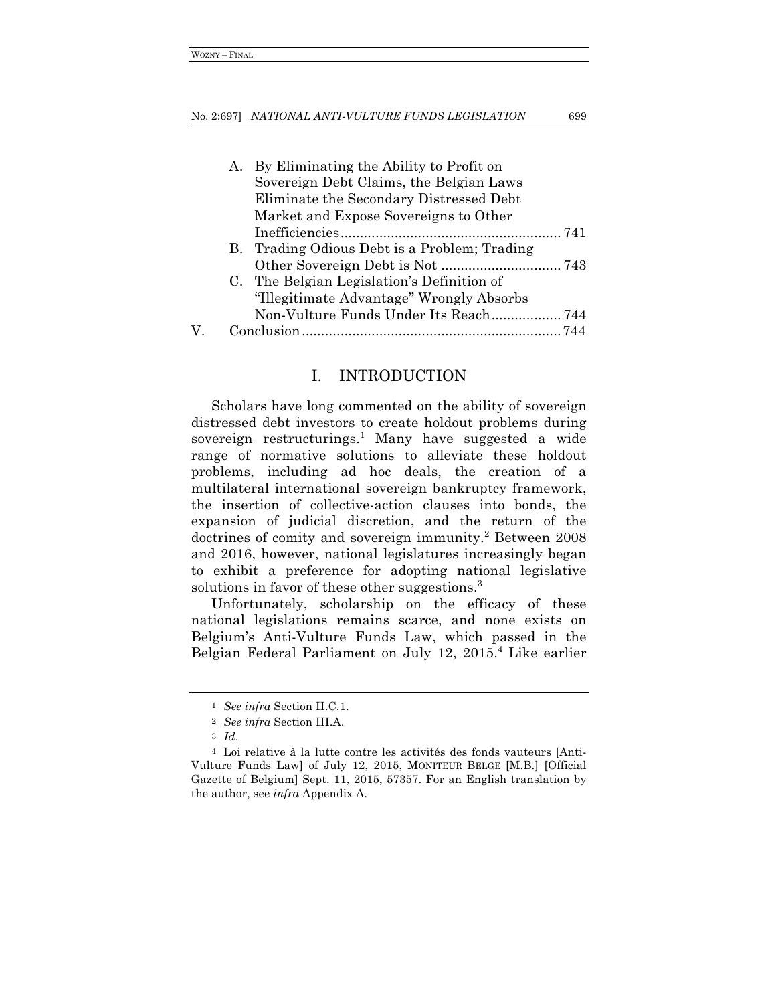#### No. 2:697] *NATIONAL ANTI-VULTURE FUNDS LEGISLATION* 699

| А. | By Eliminating the Ability to Profit on      |
|----|----------------------------------------------|
|    | Sovereign Debt Claims, the Belgian Laws      |
|    | Eliminate the Secondary Distressed Debt      |
|    | Market and Expose Sovereigns to Other        |
|    |                                              |
|    | B. Trading Odious Debt is a Problem; Trading |
|    |                                              |
|    | C. The Belgian Legislation's Definition of   |
|    | "Illegitimate Advantage" Wrongly Absorbs     |
|    |                                              |
|    |                                              |

## I. INTRODUCTION

Scholars have long commented on the ability of sovereign distressed debt investors to create holdout problems during sovereign restructurings.<sup>1</sup> Many have suggested a wide range of normative solutions to alleviate these holdout problems, including ad hoc deals, the creation of a multilateral international sovereign bankruptcy framework, the insertion of collective-action clauses into bonds, the expansion of judicial discretion, and the return of the doctrines of comity and sovereign immunity.<sup>2</sup> Between 2008 and 2016, however, national legislatures increasingly began to exhibit a preference for adopting national legislative solutions in favor of these other suggestions.<sup>3</sup>

Unfortunately, scholarship on the efficacy of these national legislations remains scarce, and none exists on Belgium's Anti-Vulture Funds Law, which passed in the Belgian Federal Parliament on July 12, 2015.4 Like earlier

<sup>1</sup> *See infra* Section II.C.1.

<sup>2</sup> *See infra* Section III.A.

<sup>3</sup> *Id*.

<sup>4</sup> Loi relative à la lutte contre les activités des fonds vauteurs [Anti-Vulture Funds Law] of July 12, 2015, MONITEUR BELGE [M.B.] [Official Gazette of Belgium] Sept. 11, 2015, 57357. For an English translation by the author, see *infra* Appendix A.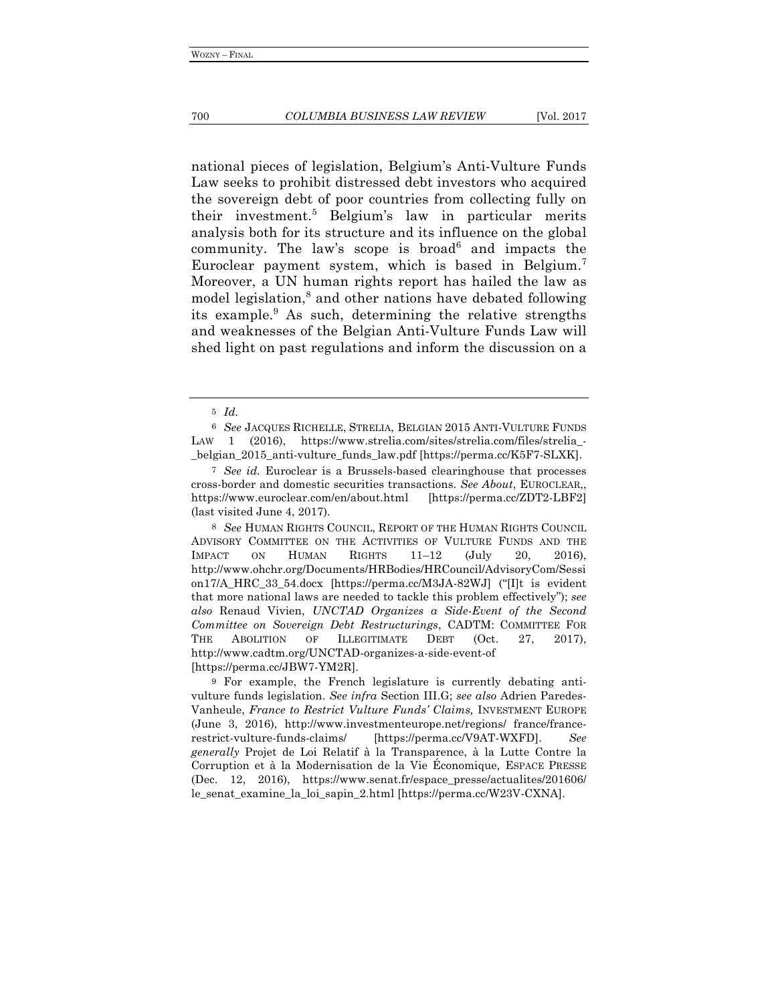national pieces of legislation, Belgium's Anti-Vulture Funds Law seeks to prohibit distressed debt investors who acquired the sovereign debt of poor countries from collecting fully on their investment.5 Belgium's law in particular merits analysis both for its structure and its influence on the global community. The law's scope is broad<sup>6</sup> and impacts the Euroclear payment system, which is based in Belgium.7 Moreover, a UN human rights report has hailed the law as model legislation,<sup>8</sup> and other nations have debated following its example.<sup>9</sup> As such, determining the relative strengths and weaknesses of the Belgian Anti-Vulture Funds Law will shed light on past regulations and inform the discussion on a

<sup>5</sup> *Id.*

<sup>6</sup> *See* JACQUES RICHELLE, STRELIA, BELGIAN 2015 ANTI-VULTURE FUNDS LAW 1 (2016), https://www.strelia.com/sites/strelia.com/files/strelia\_-\_belgian\_2015\_anti-vulture\_funds\_law.pdf [https://perma.cc/K5F7-SLXK].

<sup>7</sup> *See id.* Euroclear is a Brussels-based clearinghouse that processes cross-border and domestic securities transactions. *See About*, EUROCLEAR,, https://www.euroclear.com/en/about.html [https://perma.cc/ZDT2-LBF2] (last visited June 4, 2017).

<sup>8</sup> *See* HUMAN RIGHTS COUNCIL, REPORT OF THE HUMAN RIGHTS COUNCIL ADVISORY COMMITTEE ON THE ACTIVITIES OF VULTURE FUNDS AND THE IMPACT ON HUMAN RIGHTS 11–12 (July 20, 2016), http://www.ohchr.org/Documents/HRBodies/HRCouncil/AdvisoryCom/Sessi on17/A\_HRC\_33\_54.docx [https://perma.cc/M3JA-82WJ] ("[I]t is evident that more national laws are needed to tackle this problem effectively"); *see also* Renaud Vivien, *UNCTAD Organizes a Side-Event of the Second Committee on Sovereign Debt Restructurings*, CADTM: COMMITTEE FOR THE ABOLITION OF ILLEGITIMATE DEBT (Oct. 27, 2017), http://www.cadtm.org/UNCTAD-organizes-a-side-event-of [https://perma.cc/JBW7-YM2R].

<sup>9</sup> For example, the French legislature is currently debating antivulture funds legislation. *See infra* Section III.G; *see also* Adrien Paredes-Vanheule, *France to Restrict Vulture Funds' Claims,* INVESTMENT EUROPE (June 3, 2016), http://www.investmenteurope.net/regions/ france/francerestrict-vulture-funds-claims/ [https://perma.cc/V9AT-WXFD]. *See generally* Projet de Loi Relatif à la Transparence, à la Lutte Contre la Corruption et à la Modernisation de la Vie Économique*,* ESPACE PRESSE (Dec. 12, 2016), https://www.senat.fr/espace\_presse/actualites/201606/ le\_senat\_examine\_la\_loi\_sapin\_2.html [https://perma.cc/W23V-CXNA].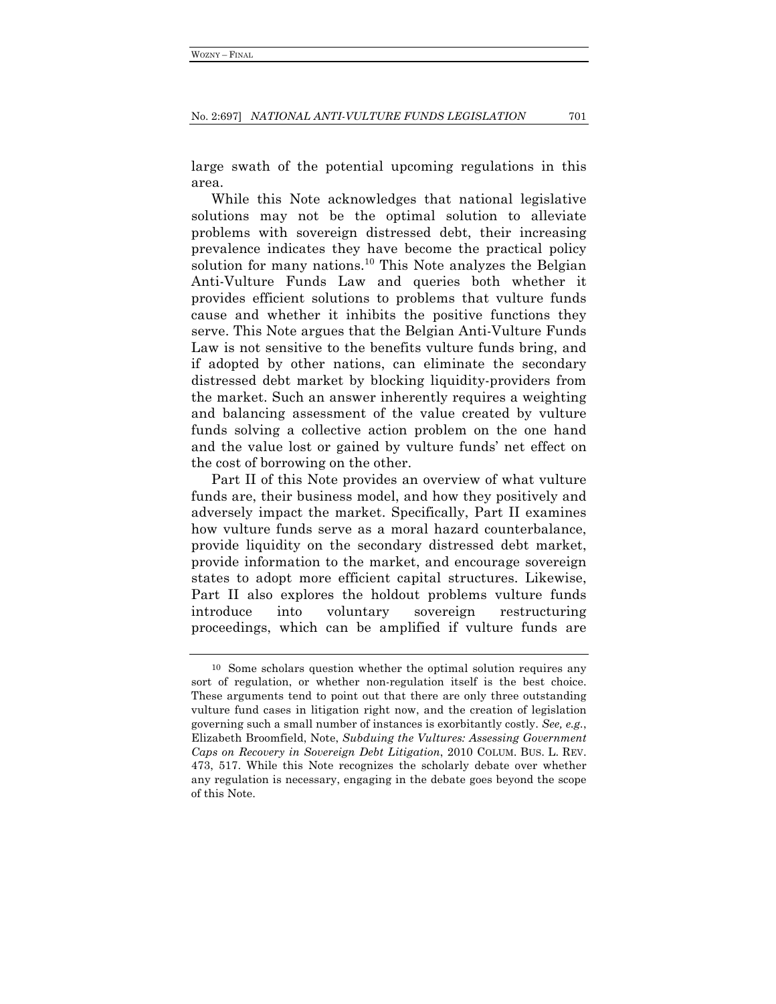large swath of the potential upcoming regulations in this area.

While this Note acknowledges that national legislative solutions may not be the optimal solution to alleviate problems with sovereign distressed debt, their increasing prevalence indicates they have become the practical policy solution for many nations.<sup>10</sup> This Note analyzes the Belgian Anti-Vulture Funds Law and queries both whether it provides efficient solutions to problems that vulture funds cause and whether it inhibits the positive functions they serve. This Note argues that the Belgian Anti-Vulture Funds Law is not sensitive to the benefits vulture funds bring, and if adopted by other nations, can eliminate the secondary distressed debt market by blocking liquidity-providers from the market. Such an answer inherently requires a weighting and balancing assessment of the value created by vulture funds solving a collective action problem on the one hand and the value lost or gained by vulture funds' net effect on the cost of borrowing on the other.

Part II of this Note provides an overview of what vulture funds are, their business model, and how they positively and adversely impact the market. Specifically, Part II examines how vulture funds serve as a moral hazard counterbalance, provide liquidity on the secondary distressed debt market, provide information to the market, and encourage sovereign states to adopt more efficient capital structures. Likewise, Part II also explores the holdout problems vulture funds introduce into voluntary sovereign restructuring proceedings, which can be amplified if vulture funds are

<sup>10</sup> Some scholars question whether the optimal solution requires any sort of regulation, or whether non-regulation itself is the best choice. These arguments tend to point out that there are only three outstanding vulture fund cases in litigation right now, and the creation of legislation governing such a small number of instances is exorbitantly costly. *See, e.g.*, Elizabeth Broomfield, Note, *Subduing the Vultures: Assessing Government Caps on Recovery in Sovereign Debt Litigation*, 2010 COLUM. BUS. L. REV. 473, 517. While this Note recognizes the scholarly debate over whether any regulation is necessary, engaging in the debate goes beyond the scope of this Note.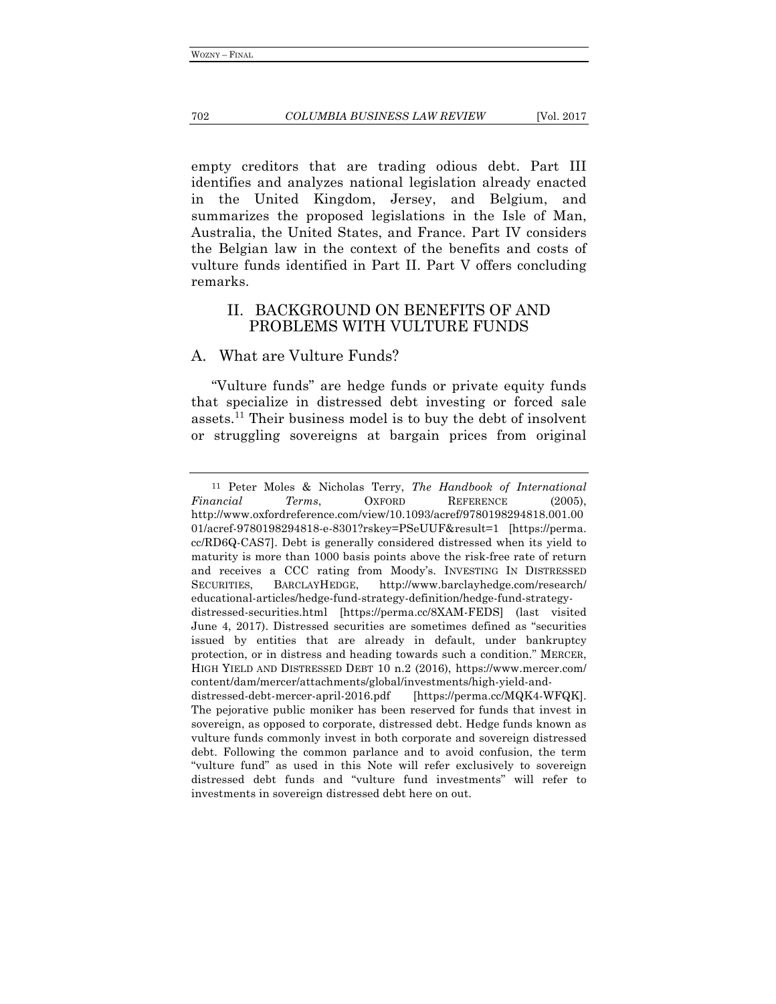empty creditors that are trading odious debt. Part III identifies and analyzes national legislation already enacted in the United Kingdom, Jersey, and Belgium, and summarizes the proposed legislations in the Isle of Man, Australia, the United States, and France. Part IV considers the Belgian law in the context of the benefits and costs of vulture funds identified in Part II. Part V offers concluding remarks.

## II. BACKGROUND ON BENEFITS OF AND PROBLEMS WITH VULTURE FUNDS

## A. What are Vulture Funds?

"Vulture funds" are hedge funds or private equity funds that specialize in distressed debt investing or forced sale assets.11 Their business model is to buy the debt of insolvent or struggling sovereigns at bargain prices from original

<sup>11</sup> Peter Moles & Nicholas Terry, *The Handbook of International Financial Terms*, OXFORD REFERENCE (2005), http://www.oxfordreference.com/view/10.1093/acref/9780198294818.001.00 01/acref-9780198294818-e-8301?rskey=PSeUUF&result=1 [https://perma. cc/RD6Q-CAS7]. Debt is generally considered distressed when its yield to maturity is more than 1000 basis points above the risk-free rate of return and receives a CCC rating from Moody's. INVESTING IN DISTRESSED SECURITIES, BARCLAYHEDGE, http://www.barclayhedge.com/research/ educational-articles/hedge-fund-strategy-definition/hedge-fund-strategydistressed-securities.html [https://perma.cc/8XAM-FEDS] (last visited June 4, 2017). Distressed securities are sometimes defined as "securities issued by entities that are already in default, under bankruptcy protection, or in distress and heading towards such a condition." MERCER, HIGH YIELD AND DISTRESSED DEBT 10 n.2 (2016), https://www.mercer.com/ content/dam/mercer/attachments/global/investments/high-yield-anddistressed-debt-mercer-april-2016.pdf [https://perma.cc/MQK4-WFQK]. The pejorative public moniker has been reserved for funds that invest in sovereign, as opposed to corporate, distressed debt. Hedge funds known as vulture funds commonly invest in both corporate and sovereign distressed debt. Following the common parlance and to avoid confusion, the term "vulture fund" as used in this Note will refer exclusively to sovereign distressed debt funds and "vulture fund investments" will refer to investments in sovereign distressed debt here on out.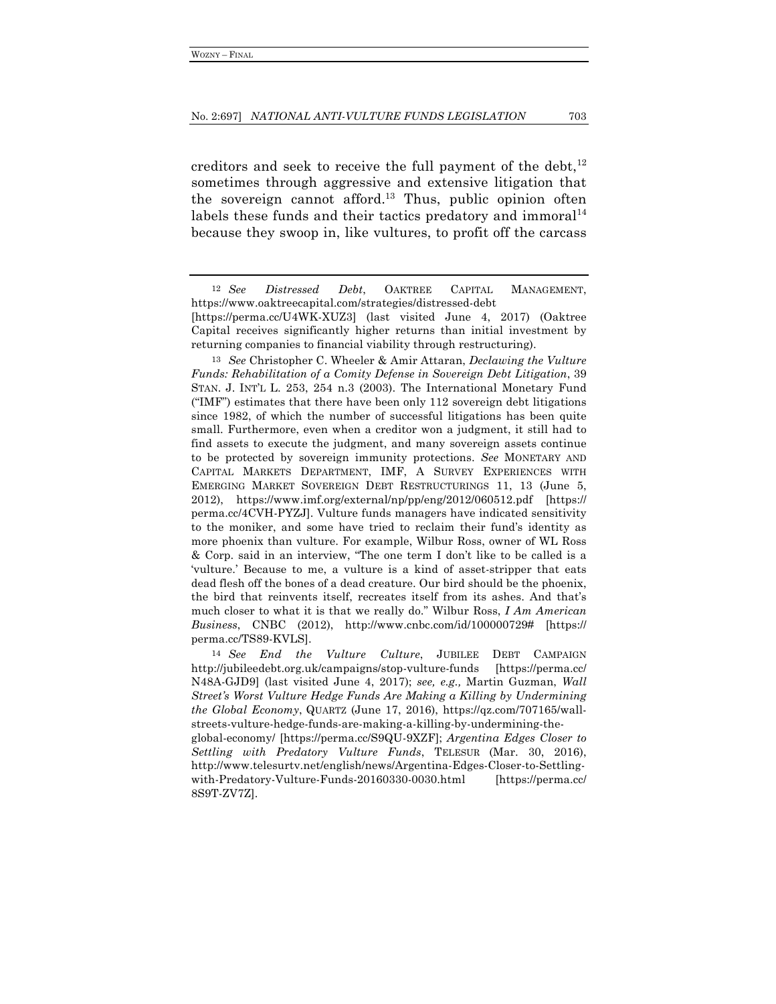creditors and seek to receive the full payment of the debt, $^{12}$ sometimes through aggressive and extensive litigation that the sovereign cannot afford.<sup>13</sup> Thus, public opinion often labels these funds and their tactics predatory and immoral $14$ because they swoop in, like vultures, to profit off the carcass

13 *See* Christopher C. Wheeler & Amir Attaran, *Declawing the Vulture Funds: Rehabilitation of a Comity Defense in Sovereign Debt Litigation*, 39 STAN. J. INT'L L. 253, 254 n.3 (2003). The International Monetary Fund ("IMF") estimates that there have been only  $112$  sovereign debt litigations since 1982, of which the number of successful litigations has been quite small. Furthermore, even when a creditor won a judgment, it still had to find assets to execute the judgment, and many sovereign assets continue to be protected by sovereign immunity protections. *See* MONETARY AND CAPITAL MARKETS DEPARTMENT, IMF, A SURVEY EXPERIENCES WITH EMERGING MARKET SOVEREIGN DEBT RESTRUCTURINGS 11, 13 (June 5, 2012), https://www.imf.org/external/np/pp/eng/2012/060512.pdf [https:// perma.cc/4CVH-PYZJ]. Vulture funds managers have indicated sensitivity to the moniker, and some have tried to reclaim their fund's identity as more phoenix than vulture. For example, Wilbur Ross, owner of WL Ross & Corp. said in an interview, "The one term I don't like to be called is a 'vulture.' Because to me, a vulture is a kind of asset-stripper that eats dead flesh off the bones of a dead creature. Our bird should be the phoenix, the bird that reinvents itself, recreates itself from its ashes. And that's much closer to what it is that we really do." Wilbur Ross, *I Am American Business*, CNBC (2012), http://www.cnbc.com/id/100000729# [https:// perma.cc/TS89-KVLS].

14 *See End the Vulture Culture*, JUBILEE DEBT CAMPAIGN http://jubileedebt.org.uk/campaigns/stop-vulture-funds [https://perma.cc/ N48A-GJD9] (last visited June 4, 2017); *see, e.g.,* Martin Guzman, *Wall Street's Worst Vulture Hedge Funds Are Making a Killing by Undermining the Global Economy*, QUARTZ (June 17, 2016), https://qz.com/707165/wallstreets-vulture-hedge-funds-are-making-a-killing-by-undermining-the-

global-economy/ [https://perma.cc/S9QU-9XZF]; *Argentina Edges Closer to Settling with Predatory Vulture Funds*, TELESUR (Mar. 30, 2016), http://www.telesurtv.net/english/news/Argentina-Edges-Closer-to-Settlingwith-Predatory-Vulture-Funds-20160330-0030.html [https://perma.cc/ 8S9T-ZV7Z].

<sup>12</sup> *See Distressed Debt*, OAKTREE CAPITAL MANAGEMENT, https://www.oaktreecapital.com/strategies/distressed-debt

<sup>[</sup>https://perma.cc/U4WK-XUZ3] (last visited June 4, 2017) (Oaktree Capital receives significantly higher returns than initial investment by returning companies to financial viability through restructuring).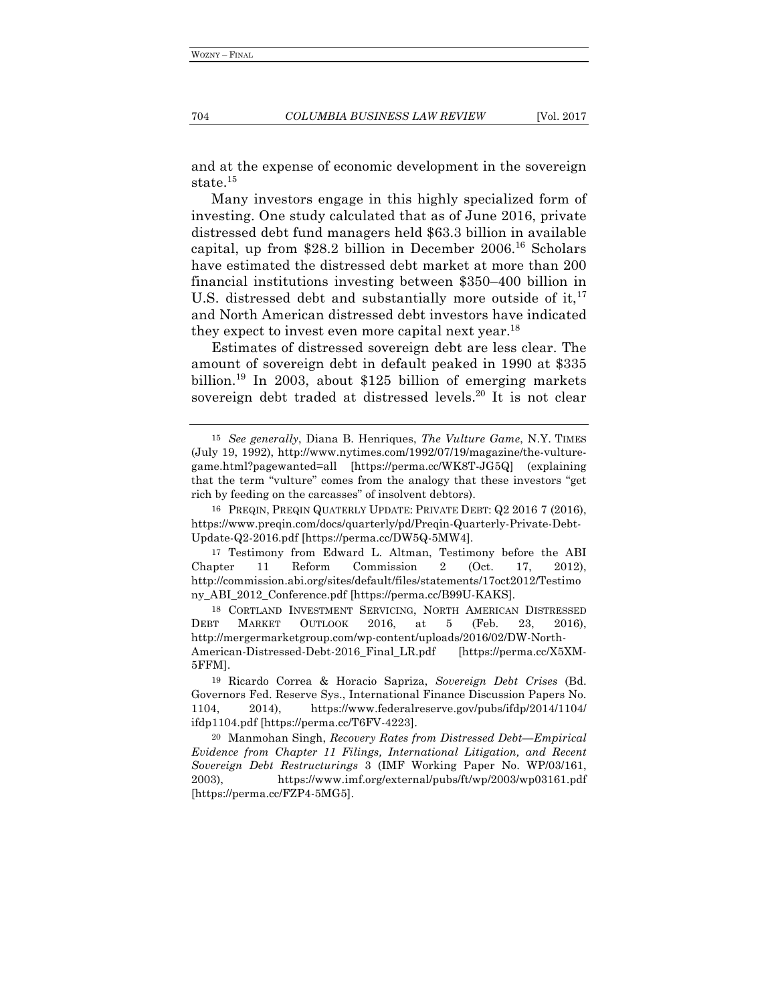and at the expense of economic development in the sovereign state.<sup>15</sup>

Many investors engage in this highly specialized form of investing. One study calculated that as of June 2016, private distressed debt fund managers held \$63.3 billion in available capital, up from  $$28.2$  billion in December 2006.<sup>16</sup> Scholars have estimated the distressed debt market at more than 200 financial institutions investing between \$350–400 billion in U.S. distressed debt and substantially more outside of it,  $17$ and North American distressed debt investors have indicated they expect to invest even more capital next year.<sup>18</sup>

Estimates of distressed sovereign debt are less clear. The amount of sovereign debt in default peaked in 1990 at \$335 billion.19 In 2003, about \$125 billion of emerging markets sovereign debt traded at distressed levels.<sup>20</sup> It is not clear

18 CORTLAND INVESTMENT SERVICING, NORTH AMERICAN DISTRESSED DEBT MARKET OUTLOOK 2016, at 5 (Feb. 23, 2016), http://mergermarketgroup.com/wp-content/uploads/2016/02/DW-North-American-Distressed-Debt-2016\_Final\_LR.pdf [https://perma.cc/X5XM-5FFM].

<sup>15</sup> *See generally*, Diana B. Henriques, *The Vulture Game*, N.Y. TIMES (July 19, 1992), http://www.nytimes.com/1992/07/19/magazine/the-vulturegame.html?pagewanted=all [https://perma.cc/WK8T-JG5Q] (explaining that the term "vulture" comes from the analogy that these investors "get rich by feeding on the carcasses" of insolvent debtors).

<sup>16</sup> PREQIN, PREQIN QUATERLY UPDATE: PRIVATE DEBT: Q2 2016 7 (2016), https://www.preqin.com/docs/quarterly/pd/Preqin-Quarterly-Private-Debt-Update-Q2-2016.pdf [https://perma.cc/DW5Q-5MW4].

<sup>17</sup> Testimony from Edward L. Altman, Testimony before the ABI Chapter 11 Reform Commission 2 (Oct. 17, 2012), http://commission.abi.org/sites/default/files/statements/17oct2012/Testimo ny\_ABI\_2012\_Conference.pdf [https://perma.cc/B99U-KAKS].

<sup>19</sup> Ricardo Correa & Horacio Sapriza, *Sovereign Debt Crises* (Bd. Governors Fed. Reserve Sys., International Finance Discussion Papers No. 1104, 2014), https://www.federalreserve.gov/pubs/ifdp/2014/1104/ ifdp1104.pdf [https://perma.cc/T6FV-4223].

<sup>20</sup> Manmohan Singh, *Recovery Rates from Distressed Debt—Empirical Evidence from Chapter 11 Filings, International Litigation, and Recent Sovereign Debt Restructurings* 3 (IMF Working Paper No. WP/03/161, 2003), https://www.imf.org/external/pubs/ft/wp/2003/wp03161.pdf [https://perma.cc/FZP4-5MG5].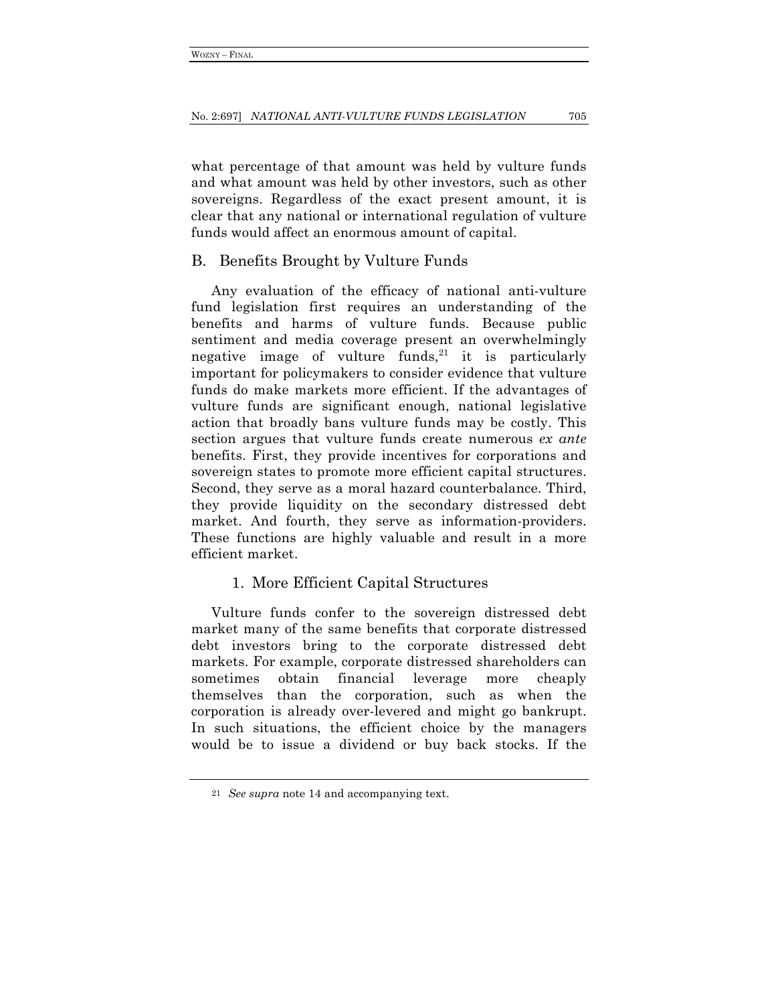what percentage of that amount was held by vulture funds and what amount was held by other investors, such as other sovereigns. Regardless of the exact present amount, it is clear that any national or international regulation of vulture funds would affect an enormous amount of capital.

## B. Benefits Brought by Vulture Funds

Any evaluation of the efficacy of national anti-vulture fund legislation first requires an understanding of the benefits and harms of vulture funds. Because public sentiment and media coverage present an overwhelmingly negative image of vulture funds, <sup>21</sup> it is particularly important for policymakers to consider evidence that vulture funds do make markets more efficient. If the advantages of vulture funds are significant enough, national legislative action that broadly bans vulture funds may be costly. This section argues that vulture funds create numerous *ex ante* benefits. First, they provide incentives for corporations and sovereign states to promote more efficient capital structures. Second, they serve as a moral hazard counterbalance. Third, they provide liquidity on the secondary distressed debt market. And fourth, they serve as information-providers. These functions are highly valuable and result in a more efficient market.

## 1. More Efficient Capital Structures

Vulture funds confer to the sovereign distressed debt market many of the same benefits that corporate distressed debt investors bring to the corporate distressed debt markets. For example, corporate distressed shareholders can sometimes obtain financial leverage more cheaply themselves than the corporation, such as when the corporation is already over-levered and might go bankrupt. In such situations, the efficient choice by the managers would be to issue a dividend or buy back stocks. If the

<sup>21</sup> *See supra* note 14 and accompanying text.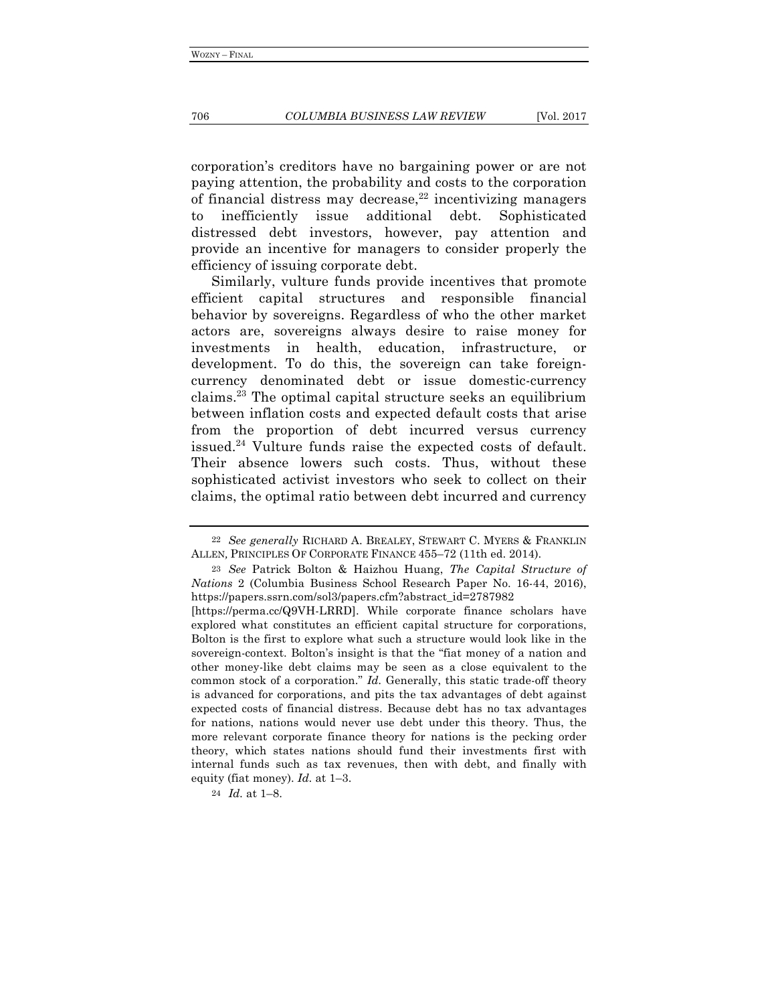corporation's creditors have no bargaining power or are not paying attention, the probability and costs to the corporation of financial distress may decrease, <sup>22</sup> incentivizing managers to inefficiently issue additional debt. Sophisticated distressed debt investors, however, pay attention and provide an incentive for managers to consider properly the efficiency of issuing corporate debt.

Similarly, vulture funds provide incentives that promote efficient capital structures and responsible financial behavior by sovereigns. Regardless of who the other market actors are, sovereigns always desire to raise money for investments in health, education, infrastructure, or development. To do this, the sovereign can take foreigncurrency denominated debt or issue domestic-currency claims.23 The optimal capital structure seeks an equilibrium between inflation costs and expected default costs that arise from the proportion of debt incurred versus currency issued.24 Vulture funds raise the expected costs of default. Their absence lowers such costs. Thus, without these sophisticated activist investors who seek to collect on their claims, the optimal ratio between debt incurred and currency

<sup>22</sup> *See generally* RICHARD A. BREALEY, STEWART C. MYERS & FRANKLIN ALLEN*,* PRINCIPLES OF CORPORATE FINANCE 455–72 (11th ed. 2014).

<sup>23</sup> *See* Patrick Bolton & Haizhou Huang, *The Capital Structure of Nations* 2 (Columbia Business School Research Paper No. 16-44, 2016), https://papers.ssrn.com/sol3/papers.cfm?abstract\_id=2787982

<sup>[</sup>https://perma.cc/Q9VH-LRRD]. While corporate finance scholars have explored what constitutes an efficient capital structure for corporations, Bolton is the first to explore what such a structure would look like in the sovereign-context. Bolton's insight is that the "fiat money of a nation and other money-like debt claims may be seen as a close equivalent to the common stock of a corporation." *Id.* Generally, this static trade-off theory is advanced for corporations, and pits the tax advantages of debt against expected costs of financial distress. Because debt has no tax advantages for nations, nations would never use debt under this theory. Thus, the more relevant corporate finance theory for nations is the pecking order theory, which states nations should fund their investments first with internal funds such as tax revenues, then with debt, and finally with equity (fiat money). *Id.* at 1–3.

<sup>24</sup> *Id.* at 1–8.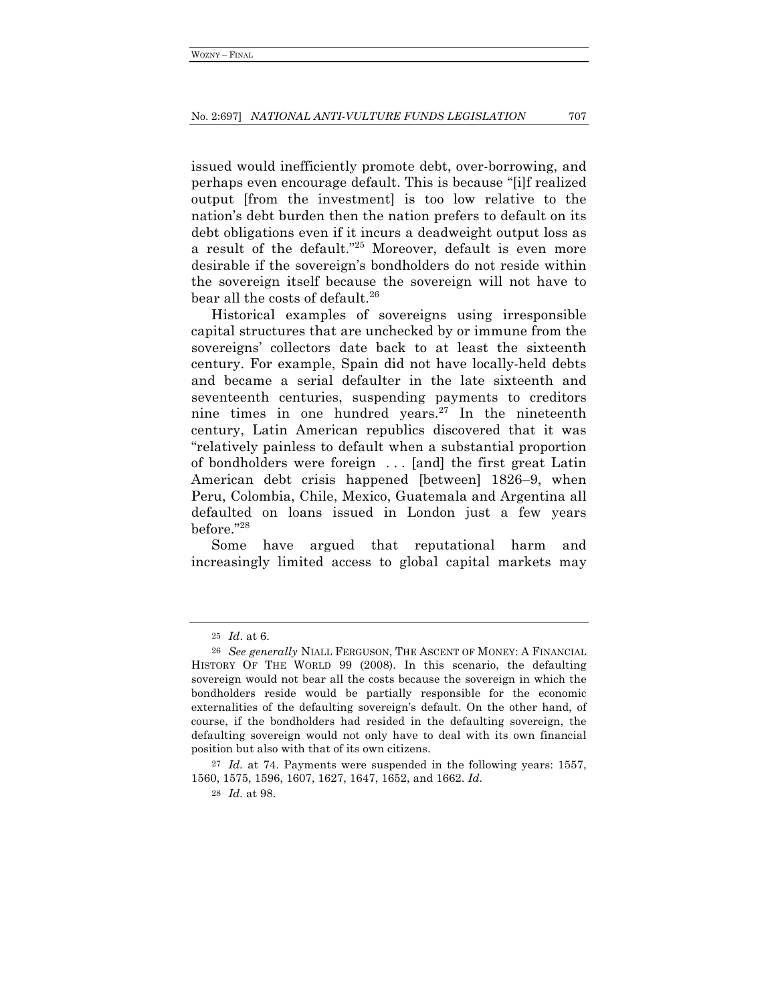issued would inefficiently promote debt, over-borrowing, and perhaps even encourage default. This is because "[i]f realized output [from the investment] is too low relative to the nation's debt burden then the nation prefers to default on its debt obligations even if it incurs a deadweight output loss as a result of the default."25 Moreover, default is even more desirable if the sovereign's bondholders do not reside within the sovereign itself because the sovereign will not have to bear all the costs of default.<sup>26</sup>

Historical examples of sovereigns using irresponsible capital structures that are unchecked by or immune from the sovereigns' collectors date back to at least the sixteenth century. For example, Spain did not have locally-held debts and became a serial defaulter in the late sixteenth and seventeenth centuries, suspending payments to creditors nine times in one hundred years. $27$  In the nineteenth century, Latin American republics discovered that it was "relatively painless to default when a substantial proportion of bondholders were foreign . . . [and] the first great Latin American debt crisis happened [between] 1826–9, when Peru, Colombia, Chile, Mexico, Guatemala and Argentina all defaulted on loans issued in London just a few years before."28

Some have argued that reputational harm and increasingly limited access to global capital markets may

<sup>25</sup> *Id*. at 6.

<sup>26</sup> *See generally* NIALL FERGUSON, THE ASCENT OF MONEY: A FINANCIAL HISTORY OF THE WORLD 99 (2008). In this scenario, the defaulting sovereign would not bear all the costs because the sovereign in which the bondholders reside would be partially responsible for the economic externalities of the defaulting sovereign's default. On the other hand, of course, if the bondholders had resided in the defaulting sovereign, the defaulting sovereign would not only have to deal with its own financial position but also with that of its own citizens.

<sup>27</sup> *Id.* at 74. Payments were suspended in the following years: 1557, 1560, 1575, 1596, 1607, 1627, 1647, 1652, and 1662. *Id.*

<sup>28</sup> *Id.* at 98.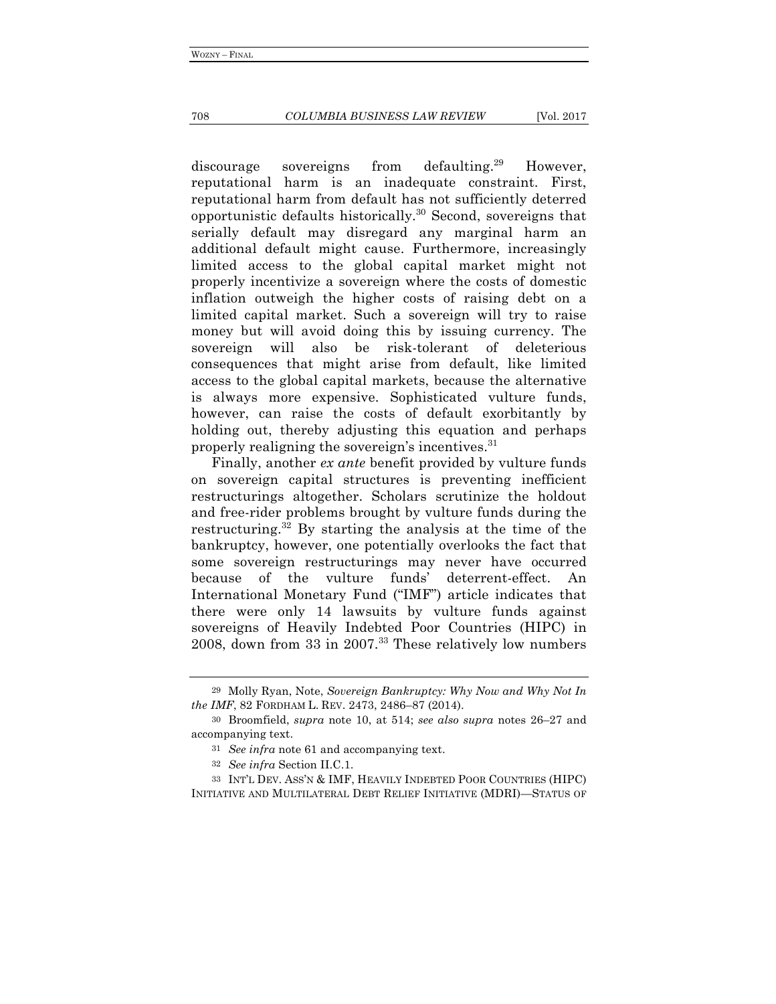#### 708 *COLUMBIA BUSINESS LAW REVIEW* [Vol. 2017

discourage sovereigns from defaulting.<sup>29</sup> However, reputational harm is an inadequate constraint. First, reputational harm from default has not sufficiently deterred opportunistic defaults historically.<sup>30</sup> Second, sovereigns that serially default may disregard any marginal harm an additional default might cause. Furthermore, increasingly limited access to the global capital market might not properly incentivize a sovereign where the costs of domestic inflation outweigh the higher costs of raising debt on a limited capital market. Such a sovereign will try to raise money but will avoid doing this by issuing currency. The sovereign will also be risk-tolerant of deleterious consequences that might arise from default, like limited access to the global capital markets, because the alternative is always more expensive. Sophisticated vulture funds, however, can raise the costs of default exorbitantly by holding out, thereby adjusting this equation and perhaps properly realigning the sovereign's incentives.<sup>31</sup>

Finally, another *ex ante* benefit provided by vulture funds on sovereign capital structures is preventing inefficient restructurings altogether. Scholars scrutinize the holdout and free-rider problems brought by vulture funds during the restructuring.32 By starting the analysis at the time of the bankruptcy, however, one potentially overlooks the fact that some sovereign restructurings may never have occurred because of the vulture funds' deterrent-effect. An International Monetary Fund ("IMF") article indicates that there were only 14 lawsuits by vulture funds against sovereigns of Heavily Indebted Poor Countries (HIPC) in 2008, down from 33 in 2007.<sup>33</sup> These relatively low numbers

<sup>29</sup> Molly Ryan, Note, *Sovereign Bankruptcy: Why Now and Why Not In the IMF*, 82 FORDHAM L. REV. 2473, 2486–87 (2014).

<sup>30</sup> Broomfield, *supra* note 10, at 514; *see also supra* notes 26–27 and accompanying text.

<sup>31</sup> *See infra* note 61 and accompanying text.

<sup>32</sup> *See infra* Section II.C.1.

<sup>33</sup> INT'L DEV. ASS'N & IMF, HEAVILY INDEBTED POOR COUNTRIES (HIPC) INITIATIVE AND MULTILATERAL DEBT RELIEF INITIATIVE (MDRI)—STATUS OF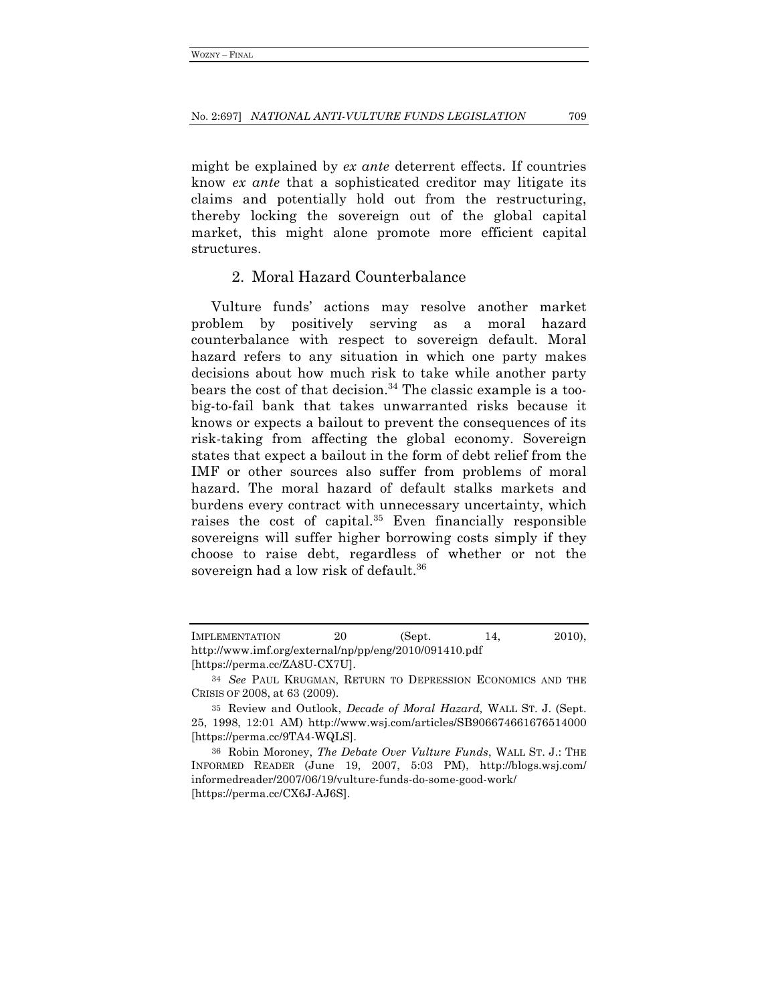might be explained by *ex ante* deterrent effects. If countries know *ex ante* that a sophisticated creditor may litigate its claims and potentially hold out from the restructuring, thereby locking the sovereign out of the global capital market, this might alone promote more efficient capital structures.

## 2. Moral Hazard Counterbalance

Vulture funds' actions may resolve another market problem by positively serving as a moral hazard counterbalance with respect to sovereign default. Moral hazard refers to any situation in which one party makes decisions about how much risk to take while another party bears the cost of that decision.<sup>34</sup> The classic example is a toobig-to-fail bank that takes unwarranted risks because it knows or expects a bailout to prevent the consequences of its risk-taking from affecting the global economy. Sovereign states that expect a bailout in the form of debt relief from the IMF or other sources also suffer from problems of moral hazard. The moral hazard of default stalks markets and burdens every contract with unnecessary uncertainty, which raises the cost of capital. $35$  Even financially responsible sovereigns will suffer higher borrowing costs simply if they choose to raise debt, regardless of whether or not the sovereign had a low risk of default.<sup>36</sup>

IMPLEMENTATION 20 (Sept. 14, 2010), http://www.imf.org/external/np/pp/eng/2010/091410.pdf [https://perma.cc/ZA8U-CX7U].

<sup>34</sup> *See* PAUL KRUGMAN, RETURN TO DEPRESSION ECONOMICS AND THE CRISIS OF 2008, at 63 (2009).

<sup>35</sup> Review and Outlook, *Decade of Moral Hazard,* WALL ST. J. (Sept. 25, 1998, 12:01 AM) http://www.wsj.com/articles/SB906674661676514000 [https://perma.cc/9TA4-WQLS].

<sup>36</sup> Robin Moroney, *The Debate Over Vulture Funds*, WALL ST. J.: THE INFORMED READER (June 19, 2007, 5:03 PM), http://blogs.wsj.com/ informedreader/2007/06/19/vulture-funds-do-some-good-work/ [https://perma.cc/CX6J-AJ6S].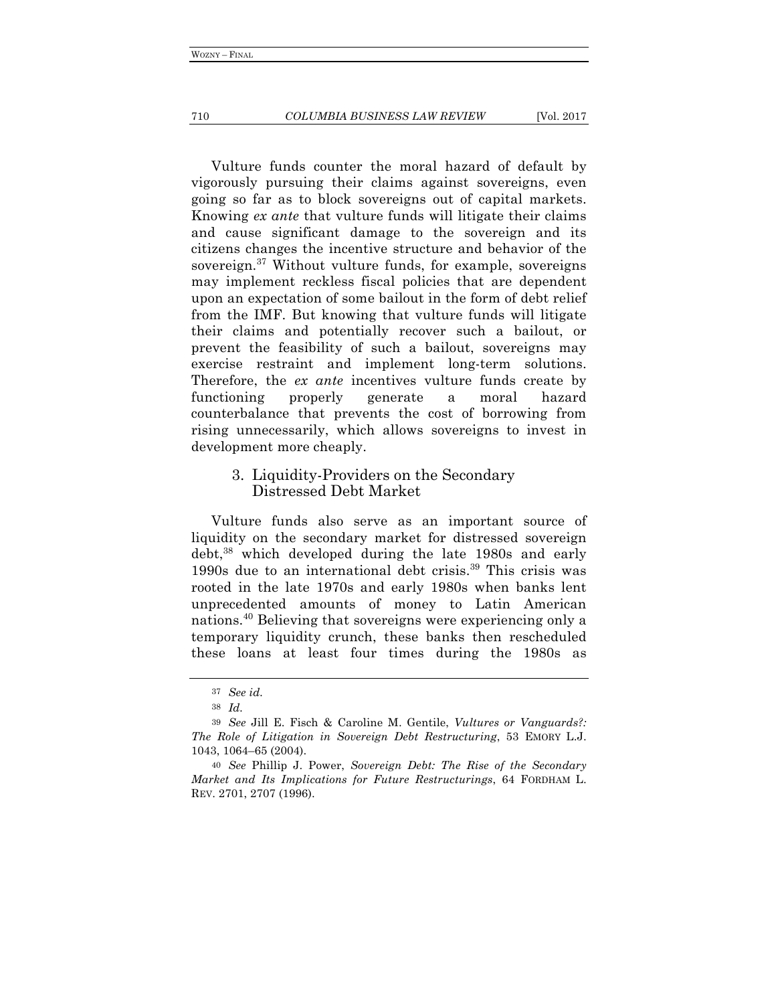#### 710 *COLUMBIA BUSINESS LAW REVIEW* [Vol. 2017

Vulture funds counter the moral hazard of default by vigorously pursuing their claims against sovereigns, even going so far as to block sovereigns out of capital markets. Knowing *ex ante* that vulture funds will litigate their claims and cause significant damage to the sovereign and its citizens changes the incentive structure and behavior of the sovereign.<sup>37</sup> Without vulture funds, for example, sovereigns may implement reckless fiscal policies that are dependent upon an expectation of some bailout in the form of debt relief from the IMF. But knowing that vulture funds will litigate their claims and potentially recover such a bailout, or prevent the feasibility of such a bailout, sovereigns may exercise restraint and implement long-term solutions. Therefore, the *ex ante* incentives vulture funds create by functioning properly generate a moral hazard counterbalance that prevents the cost of borrowing from rising unnecessarily, which allows sovereigns to invest in development more cheaply.

## 3. Liquidity-Providers on the Secondary Distressed Debt Market

Vulture funds also serve as an important source of liquidity on the secondary market for distressed sovereign debt,38 which developed during the late 1980s and early 1990s due to an international debt crisis.39 This crisis was rooted in the late 1970s and early 1980s when banks lent unprecedented amounts of money to Latin American nations.40 Believing that sovereigns were experiencing only a temporary liquidity crunch, these banks then rescheduled these loans at least four times during the 1980s as

<sup>37</sup> *See id.*

<sup>38</sup> *Id.*

<sup>39</sup> *See* Jill E. Fisch & Caroline M. Gentile, *Vultures or Vanguards?: The Role of Litigation in Sovereign Debt Restructuring*, 53 EMORY L.J. 1043, 1064–65 (2004).

<sup>40</sup> *See* Phillip J. Power, *Sovereign Debt: The Rise of the Secondary Market and Its Implications for Future Restructurings*, 64 FORDHAM L. REV. 2701, 2707 (1996).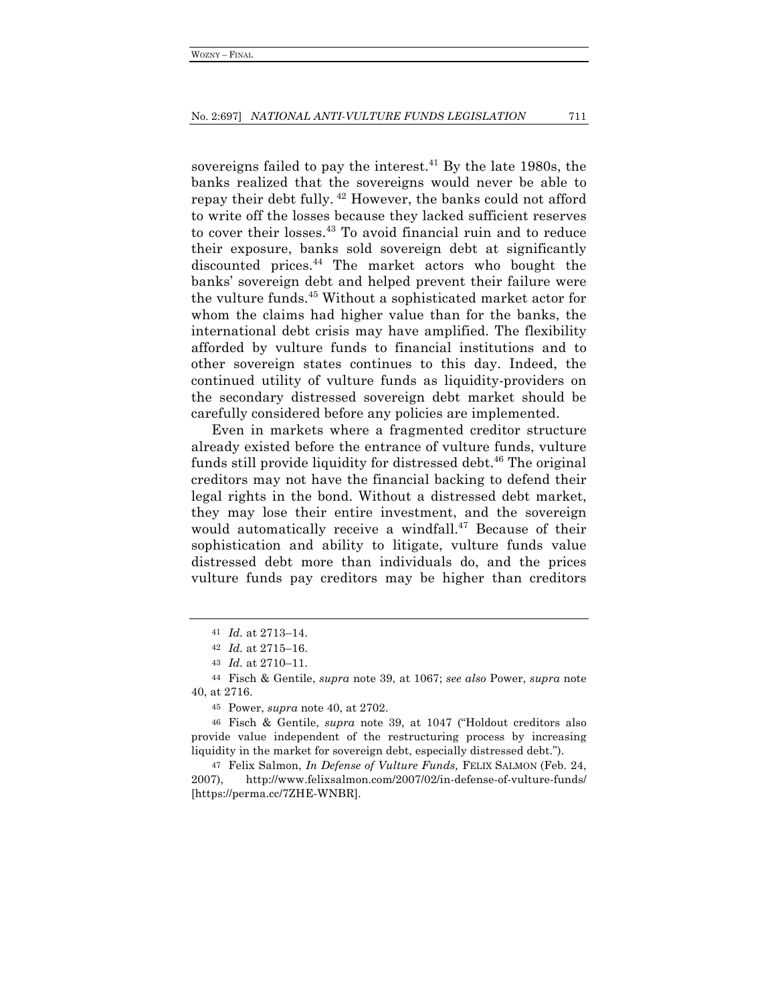sovereigns failed to pay the interest.<sup>41</sup> By the late 1980s, the banks realized that the sovereigns would never be able to repay their debt fully. <sup>42</sup> However, the banks could not afford to write off the losses because they lacked sufficient reserves to cover their losses.<sup>43</sup> To avoid financial ruin and to reduce their exposure, banks sold sovereign debt at significantly discounted prices.44 The market actors who bought the banks' sovereign debt and helped prevent their failure were the vulture funds.45 Without a sophisticated market actor for whom the claims had higher value than for the banks, the international debt crisis may have amplified. The flexibility afforded by vulture funds to financial institutions and to other sovereign states continues to this day. Indeed, the continued utility of vulture funds as liquidity-providers on the secondary distressed sovereign debt market should be carefully considered before any policies are implemented.

Even in markets where a fragmented creditor structure already existed before the entrance of vulture funds, vulture funds still provide liquidity for distressed debt.<sup>46</sup> The original creditors may not have the financial backing to defend their legal rights in the bond. Without a distressed debt market, they may lose their entire investment, and the sovereign would automatically receive a windfall.<sup>47</sup> Because of their sophistication and ability to litigate, vulture funds value distressed debt more than individuals do, and the prices vulture funds pay creditors may be higher than creditors

47 Felix Salmon, *In Defense of Vulture Funds,* FELIX SALMON (Feb. 24, 2007), http://www.felixsalmon.com/2007/02/in-defense-of-vulture-funds/ [https://perma.cc/7ZHE-WNBR].

<sup>41</sup> *Id.* at 2713–14.

<sup>42</sup> *Id.* at 2715–16.

<sup>43</sup> *Id.* at 2710–11.

<sup>44</sup> Fisch & Gentile, *supra* note 39, at 1067; *see also* Power, *supra* note 40, at 2716.

<sup>45</sup> Power, *supra* note 40, at 2702.

<sup>46</sup> Fisch & Gentile, *supra* note 39, at 1047 ("Holdout creditors also provide value independent of the restructuring process by increasing liquidity in the market for sovereign debt, especially distressed debt.").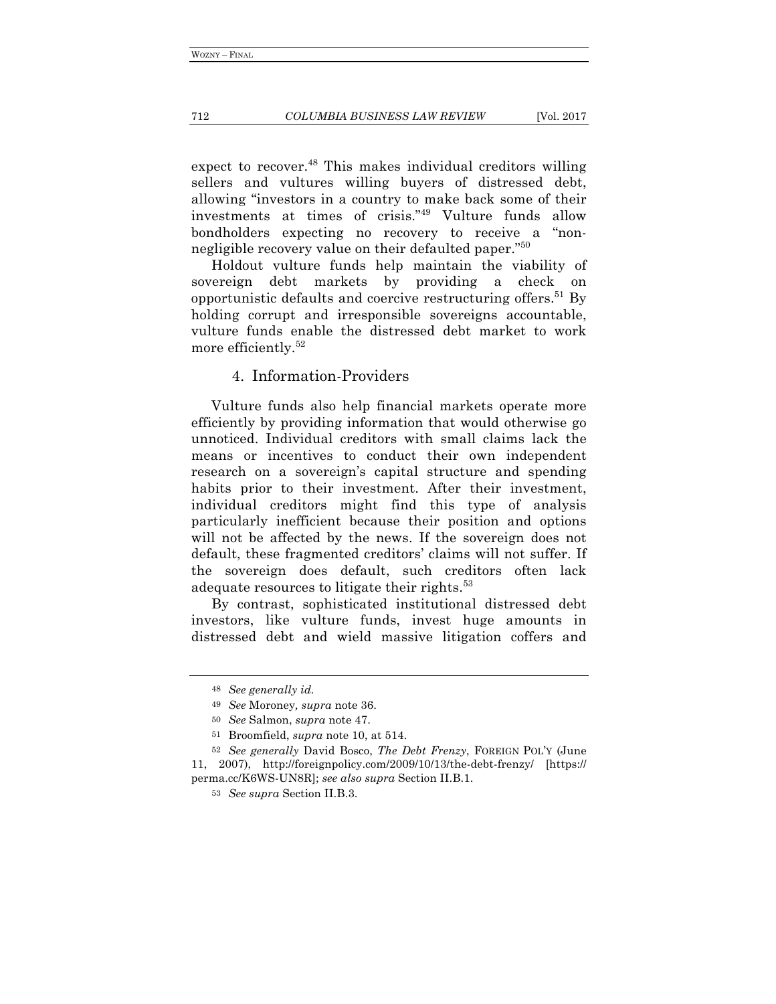#### 712 *COLUMBIA BUSINESS LAW REVIEW* [Vol. 2017

expect to recover.<sup>48</sup> This makes individual creditors willing sellers and vultures willing buyers of distressed debt, allowing "investors in a country to make back some of their investments at times of crisis."49 Vulture funds allow bondholders expecting no recovery to receive a "nonnegligible recovery value on their defaulted paper."<sup>50</sup>

Holdout vulture funds help maintain the viability of sovereign debt markets by providing a check on opportunistic defaults and coercive restructuring offers.<sup>51</sup> By holding corrupt and irresponsible sovereigns accountable, vulture funds enable the distressed debt market to work more efficiently.52

## 4. Information-Providers

Vulture funds also help financial markets operate more efficiently by providing information that would otherwise go unnoticed. Individual creditors with small claims lack the means or incentives to conduct their own independent research on a sovereign's capital structure and spending habits prior to their investment. After their investment, individual creditors might find this type of analysis particularly inefficient because their position and options will not be affected by the news. If the sovereign does not default, these fragmented creditors' claims will not suffer. If the sovereign does default, such creditors often lack adequate resources to litigate their rights.<sup>53</sup>

By contrast, sophisticated institutional distressed debt investors, like vulture funds, invest huge amounts in distressed debt and wield massive litigation coffers and

51 Broomfield, *supra* note 10, at 514.

<sup>48</sup> *See generally id.*

<sup>49</sup> *See* Moroney*, supra* note 36.

<sup>50</sup> *See* Salmon, *supra* note 47.

<sup>52</sup> *See generally* David Bosco, *The Debt Frenzy*, FOREIGN POL'Y (June 11, 2007), http://foreignpolicy.com/2009/10/13/the-debt-frenzy/ [https:// perma.cc/K6WS-UN8R]; *see also supra* Section II.B.1.

<sup>53</sup> *See supra* Section II.B.3.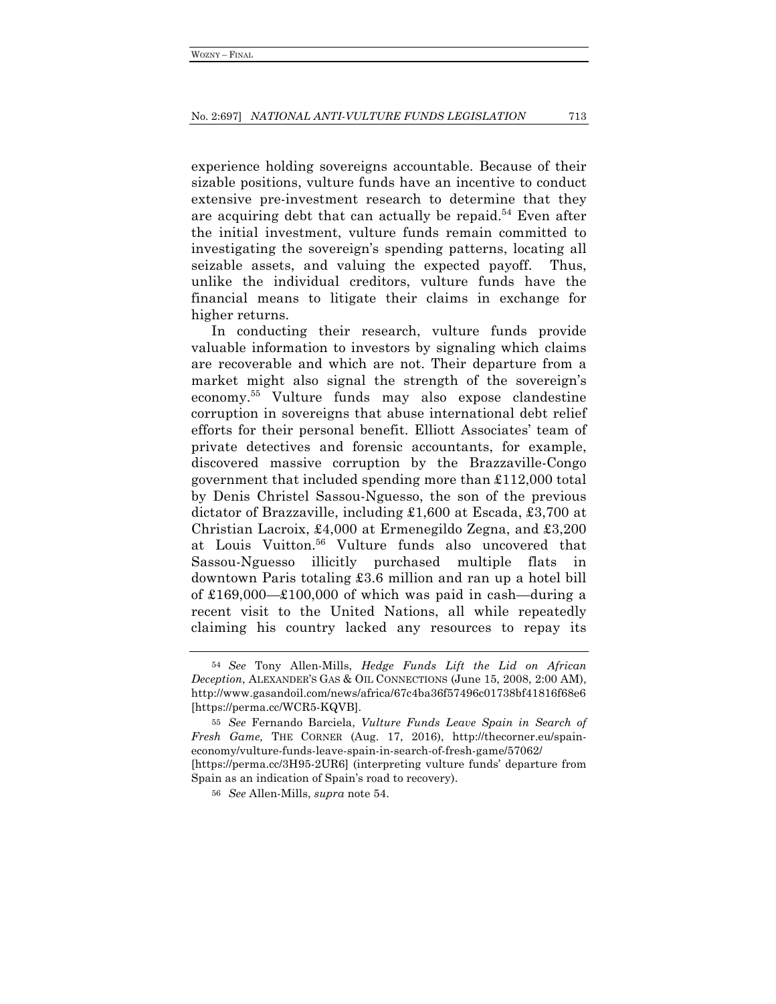experience holding sovereigns accountable. Because of their sizable positions, vulture funds have an incentive to conduct extensive pre-investment research to determine that they are acquiring debt that can actually be repaid.<sup>54</sup> Even after the initial investment, vulture funds remain committed to investigating the sovereign's spending patterns, locating all seizable assets, and valuing the expected payoff. Thus, unlike the individual creditors, vulture funds have the financial means to litigate their claims in exchange for higher returns.

In conducting their research, vulture funds provide valuable information to investors by signaling which claims are recoverable and which are not. Their departure from a market might also signal the strength of the sovereign's economy.55 Vulture funds may also expose clandestine corruption in sovereigns that abuse international debt relief efforts for their personal benefit. Elliott Associates' team of private detectives and forensic accountants, for example, discovered massive corruption by the Brazzaville-Congo government that included spending more than £112,000 total by Denis Christel Sassou-Nguesso, the son of the previous dictator of Brazzaville, including £1,600 at Escada, £3,700 at Christian Lacroix, £4,000 at Ermenegildo Zegna, and £3,200 at Louis Vuitton.56 Vulture funds also uncovered that Sassou-Nguesso illicitly purchased multiple flats in downtown Paris totaling £3.6 million and ran up a hotel bill of  $\pounds169,000-\pounds100,000$  of which was paid in cash—during a recent visit to the United Nations, all while repeatedly claiming his country lacked any resources to repay its

<sup>54</sup> *See* Tony Allen-Mills, *Hedge Funds Lift the Lid on African Deception*, ALEXANDER'S GAS & OIL CONNECTIONS (June 15, 2008, 2:00 AM), http://www.gasandoil.com/news/africa/67c4ba36f57496c01738bf41816f68e6 [https://perma.cc/WCR5-KQVB].

<sup>55</sup> *See* Fernando Barciela, *Vulture Funds Leave Spain in Search of Fresh Game,* THE CORNER (Aug. 17, 2016), http://thecorner.eu/spaineconomy/vulture-funds-leave-spain-in-search-of-fresh-game/57062/ [https://perma.cc/3H95-2UR6] (interpreting vulture funds' departure from Spain as an indication of Spain's road to recovery).

<sup>56</sup> *See* Allen-Mills, *supra* note 54.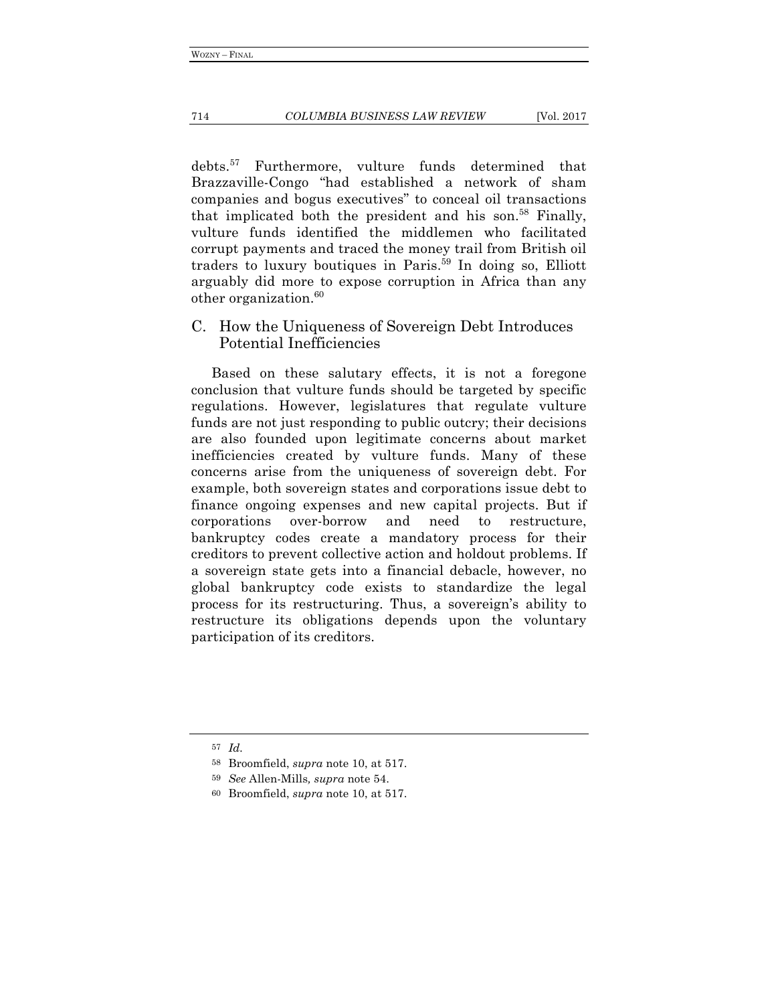debts.57 Furthermore, vulture funds determined that Brazzaville-Congo "had established a network of sham companies and bogus executives" to conceal oil transactions that implicated both the president and his son.<sup>58</sup> Finally, vulture funds identified the middlemen who facilitated corrupt payments and traced the money trail from British oil traders to luxury boutiques in Paris.59 In doing so, Elliott arguably did more to expose corruption in Africa than any other organization.<sup>60</sup>

C. How the Uniqueness of Sovereign Debt Introduces Potential Inefficiencies

Based on these salutary effects, it is not a foregone conclusion that vulture funds should be targeted by specific regulations. However, legislatures that regulate vulture funds are not just responding to public outcry; their decisions are also founded upon legitimate concerns about market inefficiencies created by vulture funds. Many of these concerns arise from the uniqueness of sovereign debt. For example, both sovereign states and corporations issue debt to finance ongoing expenses and new capital projects. But if corporations over-borrow and need to restructure, bankruptcy codes create a mandatory process for their creditors to prevent collective action and holdout problems. If a sovereign state gets into a financial debacle, however, no global bankruptcy code exists to standardize the legal process for its restructuring. Thus, a sovereign's ability to restructure its obligations depends upon the voluntary participation of its creditors.

<sup>57</sup> *Id.*

<sup>58</sup> Broomfield, *supra* note 10, at 517.

<sup>59</sup> *See* Allen-Mills*, supra* note 54.

<sup>60</sup> Broomfield, *supra* note 10, at 517.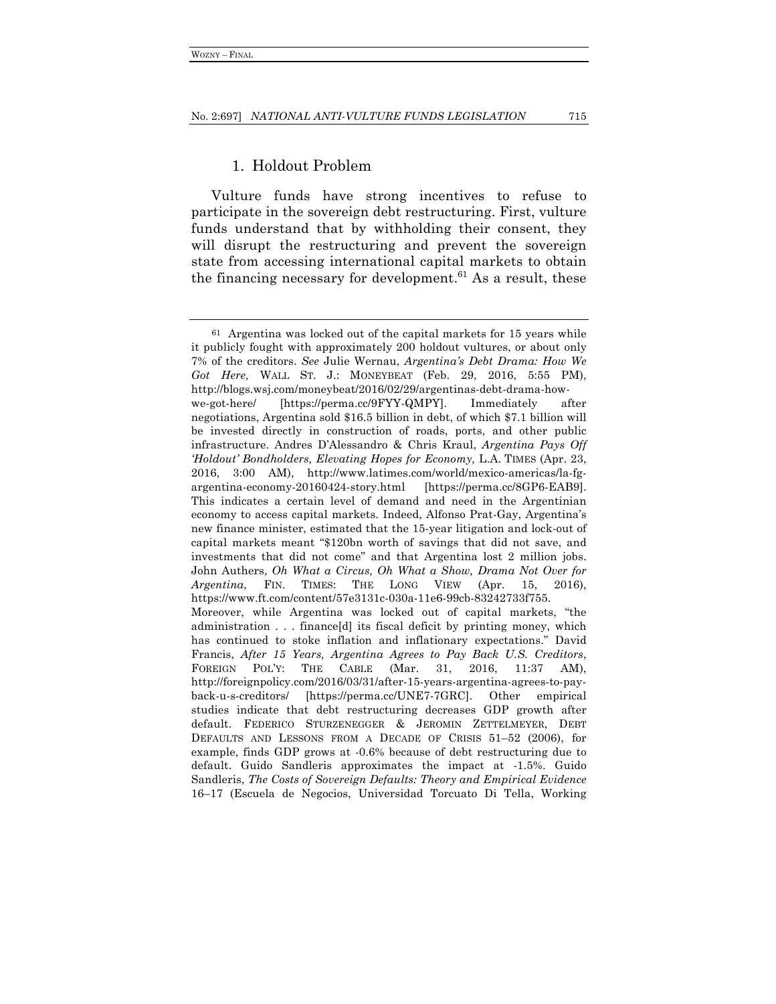## 1. Holdout Problem

Vulture funds have strong incentives to refuse to participate in the sovereign debt restructuring. First, vulture funds understand that by withholding their consent, they will disrupt the restructuring and prevent the sovereign state from accessing international capital markets to obtain the financing necessary for development.<sup>61</sup> As a result, these

<sup>61</sup> Argentina was locked out of the capital markets for 15 years while it publicly fought with approximately 200 holdout vultures, or about only 7% of the creditors. *See* Julie Wernau, *Argentina's Debt Drama: How We Got Here,* WALL ST. J.: MONEYBEAT (Feb. 29, 2016, 5:55 PM), http://blogs.wsj.com/moneybeat/2016/02/29/argentinas-debt-drama-howwe-got-here/ [https://perma.cc/9FYY-QMPY]. Immediately after negotiations, Argentina sold \$16.5 billion in debt, of which \$7.1 billion will be invested directly in construction of roads, ports, and other public infrastructure. Andres D'Alessandro & Chris Kraul, *Argentina Pays Off 'Holdout' Bondholders, Elevating Hopes for Economy,* L.A. TIMES (Apr. 23, 2016, 3:00 AM), http://www.latimes.com/world/mexico-americas/la-fgargentina-economy-20160424-story.html [https://perma.cc/8GP6-EAB9]. This indicates a certain level of demand and need in the Argentinian economy to access capital markets. Indeed, Alfonso Prat-Gay, Argentina's new finance minister, estimated that the 15-year litigation and lock-out of capital markets meant "\$120bn worth of savings that did not save, and investments that did not come" and that Argentina lost 2 million jobs. John Authers, *Oh What a Circus, Oh What a Show, Drama Not Over for Argentina*, FIN. TIMES: THE LONG VIEW (Apr. 15, 2016), https://www.ft.com/content/57e3131c-030a-11e6-99cb-83242733f755. Moreover, while Argentina was locked out of capital markets, "the administration . . . finance[d] its fiscal deficit by printing money, which has continued to stoke inflation and inflationary expectations." David Francis, *After 15 Years, Argentina Agrees to Pay Back U.S. Creditors*, FOREIGN POL'Y: THE CABLE (Mar. 31, 2016, 11:37 AM), http://foreignpolicy.com/2016/03/31/after-15-years-argentina-agrees-to-payback-u-s-creditors/ [https://perma.cc/UNE7-7GRC]. Other empirical studies indicate that debt restructuring decreases GDP growth after default. FEDERICO STURZENEGGER & JEROMIN ZETTELMEYER, DEBT DEFAULTS AND LESSONS FROM A DECADE OF CRISIS 51–52 (2006), for example, finds GDP grows at -0.6% because of debt restructuring due to default. Guido Sandleris approximates the impact at -1.5%. Guido Sandleris, *The Costs of Sovereign Defaults: Theory and Empirical Evidence*  16–17 (Escuela de Negocios, Universidad Torcuato Di Tella, Working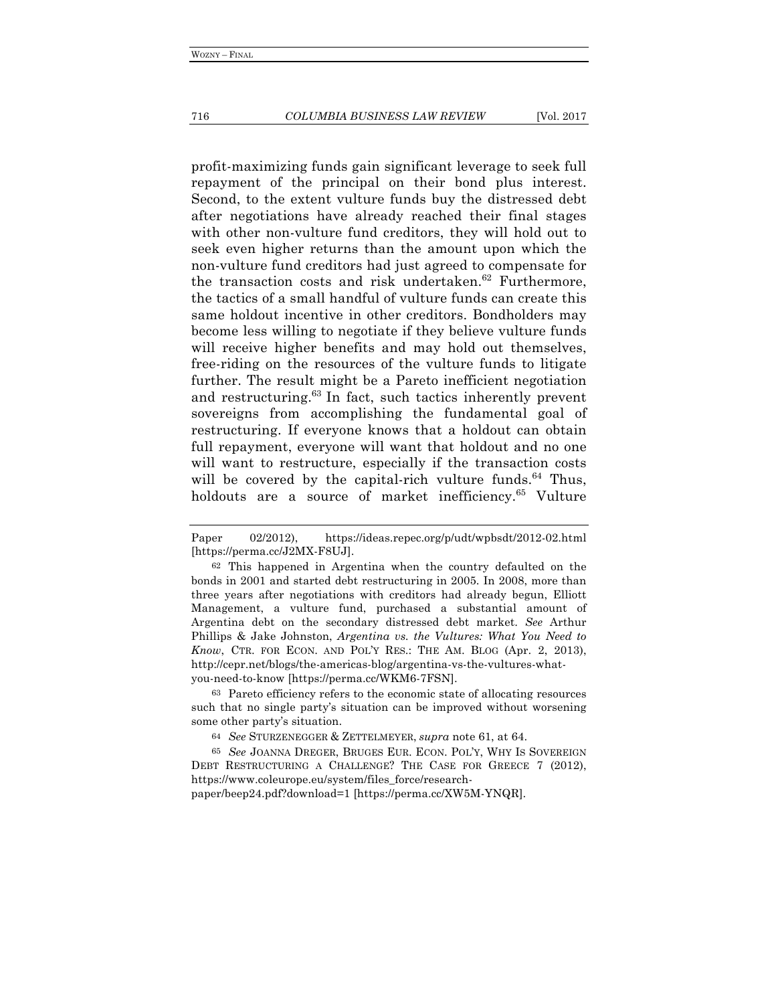profit-maximizing funds gain significant leverage to seek full repayment of the principal on their bond plus interest. Second, to the extent vulture funds buy the distressed debt after negotiations have already reached their final stages with other non-vulture fund creditors, they will hold out to seek even higher returns than the amount upon which the non-vulture fund creditors had just agreed to compensate for the transaction costs and risk undertaken. $62$  Furthermore, the tactics of a small handful of vulture funds can create this same holdout incentive in other creditors. Bondholders may become less willing to negotiate if they believe vulture funds will receive higher benefits and may hold out themselves, free-riding on the resources of the vulture funds to litigate further. The result might be a Pareto inefficient negotiation and restructuring.<sup>63</sup> In fact, such tactics inherently prevent sovereigns from accomplishing the fundamental goal of restructuring. If everyone knows that a holdout can obtain full repayment, everyone will want that holdout and no one will want to restructure, especially if the transaction costs will be covered by the capital-rich vulture funds. $64$  Thus, holdouts are a source of market inefficiency.<sup>65</sup> Vulture

63 Pareto efficiency refers to the economic state of allocating resources such that no single party's situation can be improved without worsening some other party's situation.

64 *See* STURZENEGGER & ZETTELMEYER, *supra* note 61, at 64.

65 *See* JOANNA DREGER, BRUGES EUR. ECON. POL'Y, WHY IS SOVEREIGN DEBT RESTRUCTURING A CHALLENGE? THE CASE FOR GREECE 7 (2012), https://www.coleurope.eu/system/files\_force/research-

paper/beep24.pdf?download=1 [https://perma.cc/XW5M-YNQR].

Paper 02/2012), https://ideas.repec.org/p/udt/wpbsdt/2012-02.html [https://perma.cc/J2MX-F8UJ].

<sup>62</sup> This happened in Argentina when the country defaulted on the bonds in 2001 and started debt restructuring in 2005. In 2008, more than three years after negotiations with creditors had already begun, Elliott Management, a vulture fund, purchased a substantial amount of Argentina debt on the secondary distressed debt market. *See* Arthur Phillips & Jake Johnston, *Argentina vs. the Vultures: What You Need to Know*, CTR. FOR ECON. AND POL'Y RES.: THE AM. BLOG (Apr. 2, 2013), http://cepr.net/blogs/the-americas-blog/argentina-vs-the-vultures-whatyou-need-to-know [https://perma.cc/WKM6-7FSN].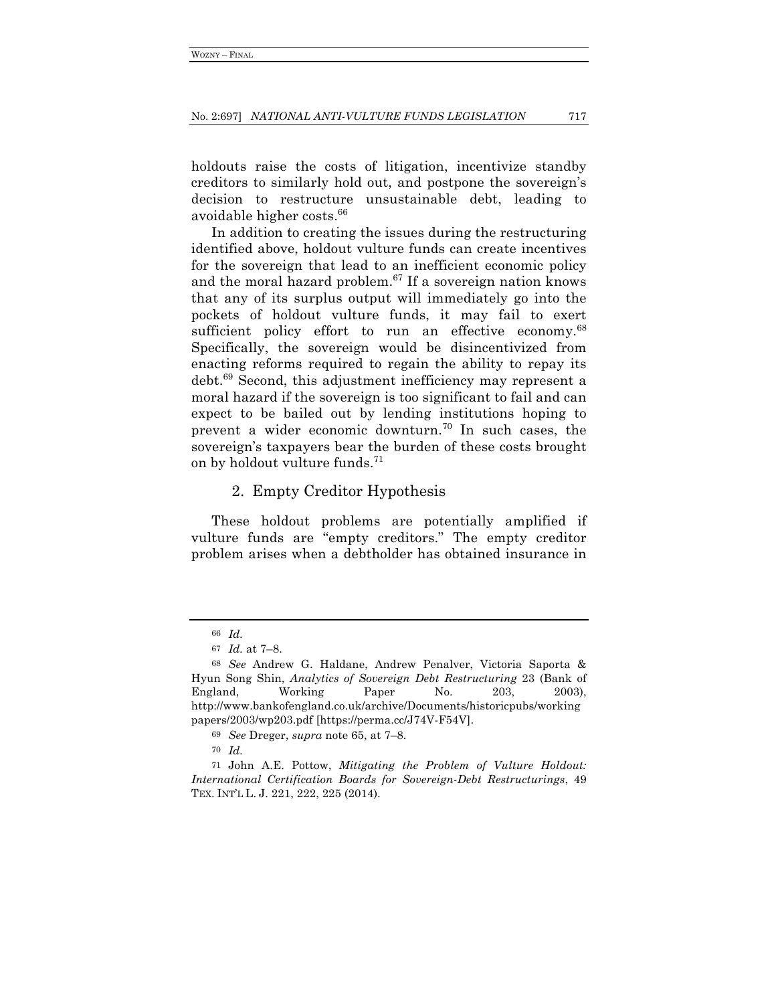holdouts raise the costs of litigation, incentivize standby creditors to similarly hold out, and postpone the sovereign's decision to restructure unsustainable debt, leading to avoidable higher costs.66

In addition to creating the issues during the restructuring identified above, holdout vulture funds can create incentives for the sovereign that lead to an inefficient economic policy and the moral hazard problem.<sup>67</sup> If a sovereign nation knows that any of its surplus output will immediately go into the pockets of holdout vulture funds, it may fail to exert sufficient policy effort to run an effective economy.<sup>68</sup> Specifically, the sovereign would be disincentivized from enacting reforms required to regain the ability to repay its debt.69 Second, this adjustment inefficiency may represent a moral hazard if the sovereign is too significant to fail and can expect to be bailed out by lending institutions hoping to prevent a wider economic downturn.<sup>70</sup> In such cases, the sovereign's taxpayers bear the burden of these costs brought on by holdout vulture funds.<sup>71</sup>

## 2. Empty Creditor Hypothesis

These holdout problems are potentially amplified if vulture funds are "empty creditors." The empty creditor problem arises when a debtholder has obtained insurance in

<sup>66</sup> *Id.*

<sup>67</sup> *Id.* at 7–8.

<sup>68</sup> *See* Andrew G. Haldane, Andrew Penalver, Victoria Saporta & Hyun Song Shin, *Analytics of Sovereign Debt Restructuring* 23 (Bank of England, Working Paper No. 203, 2003), http://www.bankofengland.co.uk/archive/Documents/historicpubs/working papers/2003/wp203.pdf [https://perma.cc/J74V-F54V].

<sup>69</sup> *See* Dreger, *supra* note 65, at 7–8.

<sup>70</sup> *Id.*

<sup>71</sup> John A.E. Pottow, *Mitigating the Problem of Vulture Holdout: International Certification Boards for Sovereign-Debt Restructurings*, 49 TEX. INT'L L. J. 221, 222, 225 (2014).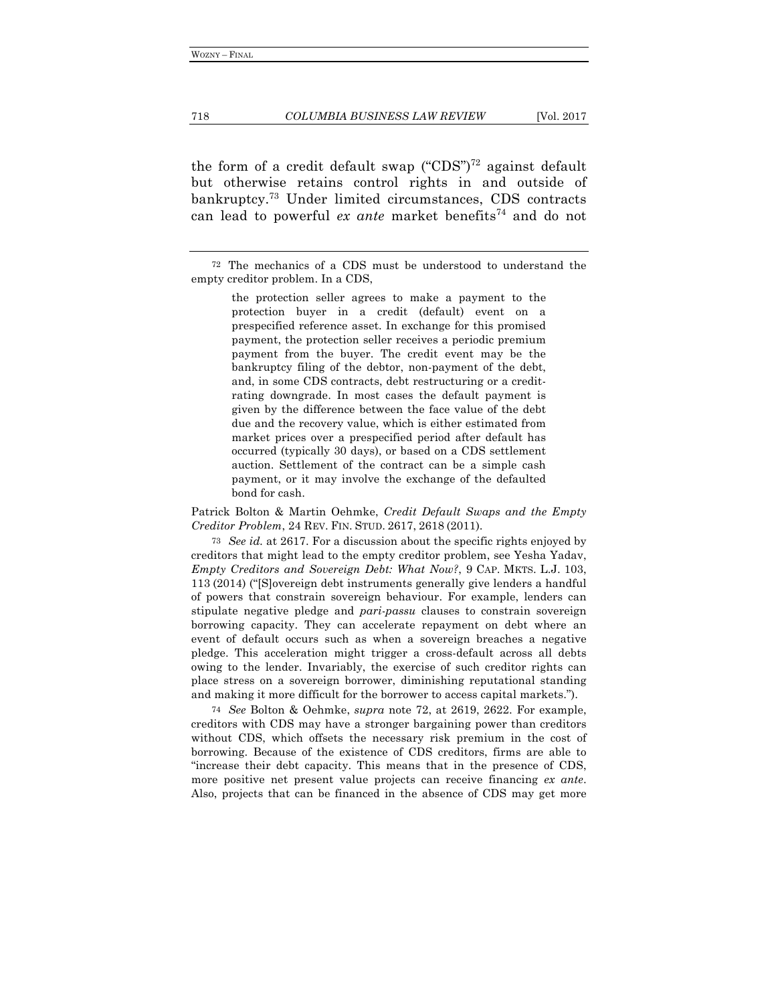the form of a credit default swap ("CDS")<sup>72</sup> against default but otherwise retains control rights in and outside of bankruptcy.73 Under limited circumstances, CDS contracts can lead to powerful *ex ante* market benefits<sup>74</sup> and do not

the protection seller agrees to make a payment to the protection buyer in a credit (default) event on a prespecified reference asset. In exchange for this promised payment, the protection seller receives a periodic premium payment from the buyer. The credit event may be the bankruptcy filing of the debtor, non-payment of the debt, and, in some CDS contracts, debt restructuring or a creditrating downgrade. In most cases the default payment is given by the difference between the face value of the debt due and the recovery value, which is either estimated from market prices over a prespecified period after default has occurred (typically 30 days), or based on a CDS settlement auction. Settlement of the contract can be a simple cash payment, or it may involve the exchange of the defaulted bond for cash.

Patrick Bolton & Martin Oehmke, *Credit Default Swaps and the Empty Creditor Problem*, 24 REV. FIN. STUD. 2617, 2618 (2011).

73 *See id.* at 2617. For a discussion about the specific rights enjoyed by creditors that might lead to the empty creditor problem, see Yesha Yadav, *Empty Creditors and Sovereign Debt: What Now?*, 9 CAP. MKTS. L.J. 103, 113 (2014) ("[S]overeign debt instruments generally give lenders a handful of powers that constrain sovereign behaviour. For example, lenders can stipulate negative pledge and *pari*-*passu* clauses to constrain sovereign borrowing capacity. They can accelerate repayment on debt where an event of default occurs such as when a sovereign breaches a negative pledge. This acceleration might trigger a cross-default across all debts owing to the lender. Invariably, the exercise of such creditor rights can place stress on a sovereign borrower, diminishing reputational standing and making it more difficult for the borrower to access capital markets.").

74 *See* Bolton & Oehmke, *supra* note 72, at 2619, 2622. For example, creditors with CDS may have a stronger bargaining power than creditors without CDS, which offsets the necessary risk premium in the cost of borrowing. Because of the existence of CDS creditors, firms are able to "increase their debt capacity. This means that in the presence of CDS, more positive net present value projects can receive financing *ex ante*. Also, projects that can be financed in the absence of CDS may get more

<sup>72</sup> The mechanics of a CDS must be understood to understand the empty creditor problem. In a CDS,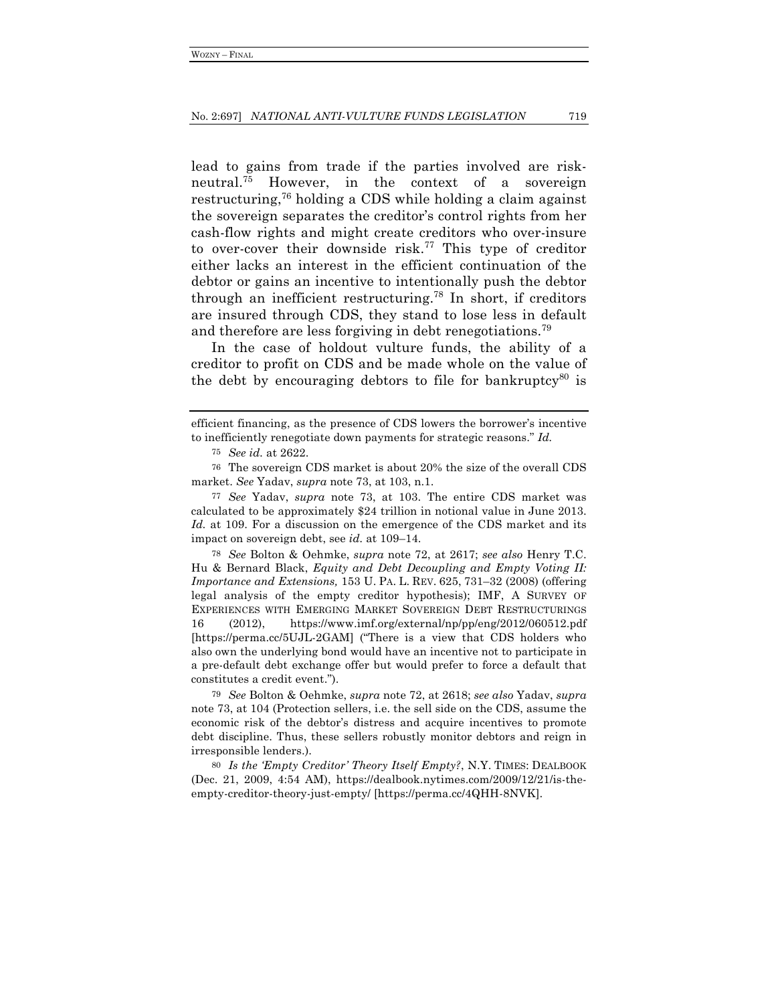lead to gains from trade if the parties involved are riskneutral.75 However, in the context of a sovereign restructuring,76 holding a CDS while holding a claim against the sovereign separates the creditor's control rights from her cash-flow rights and might create creditors who over-insure to over-cover their downside risk.<sup>77</sup> This type of creditor either lacks an interest in the efficient continuation of the debtor or gains an incentive to intentionally push the debtor through an inefficient restructuring.78 In short, if creditors are insured through CDS, they stand to lose less in default and therefore are less forgiving in debt renegotiations.<sup>79</sup>

In the case of holdout vulture funds, the ability of a creditor to profit on CDS and be made whole on the value of the debt by encouraging debtors to file for bankruptcy<sup>80</sup> is

78 *See* Bolton & Oehmke, *supra* note 72, at 2617; *see also* Henry T.C. Hu & Bernard Black, *Equity and Debt Decoupling and Empty Voting II: Importance and Extensions,* 153 U. PA. L. REV. 625, 731–32 (2008) (offering legal analysis of the empty creditor hypothesis); IMF, A SURVEY OF EXPERIENCES WITH EMERGING MARKET SOVEREIGN DEBT RESTRUCTURINGS 16 (2012), https://www.imf.org/external/np/pp/eng/2012/060512.pdf [https://perma.cc/5UJL-2GAM] ("There is a view that CDS holders who also own the underlying bond would have an incentive not to participate in a pre-default debt exchange offer but would prefer to force a default that constitutes a credit event.").

79 *See* Bolton & Oehmke, *supra* note 72, at 2618; *see also* Yadav, *supra*  note 73, at 104 (Protection sellers, i.e. the sell side on the CDS, assume the economic risk of the debtor's distress and acquire incentives to promote debt discipline. Thus, these sellers robustly monitor debtors and reign in irresponsible lenders.).

80 *Is the 'Empty Creditor' Theory Itself Empty?*, N.Y. TIMES: DEALBOOK (Dec. 21, 2009, 4:54 AM), https://dealbook.nytimes.com/2009/12/21/is-theempty-creditor-theory-just-empty/ [https://perma.cc/4QHH-8NVK].

efficient financing, as the presence of CDS lowers the borrower's incentive to inefficiently renegotiate down payments for strategic reasons." *Id.*

<sup>75</sup> *See id.* at 2622.

<sup>76</sup> The sovereign CDS market is about 20% the size of the overall CDS market. *See* Yadav, *supra* note 73, at 103, n.1.

<sup>77</sup> *See* Yadav, *supra* note 73, at 103. The entire CDS market was calculated to be approximately \$24 trillion in notional value in June 2013. Id. at 109. For a discussion on the emergence of the CDS market and its impact on sovereign debt, see *id.* at 109–14.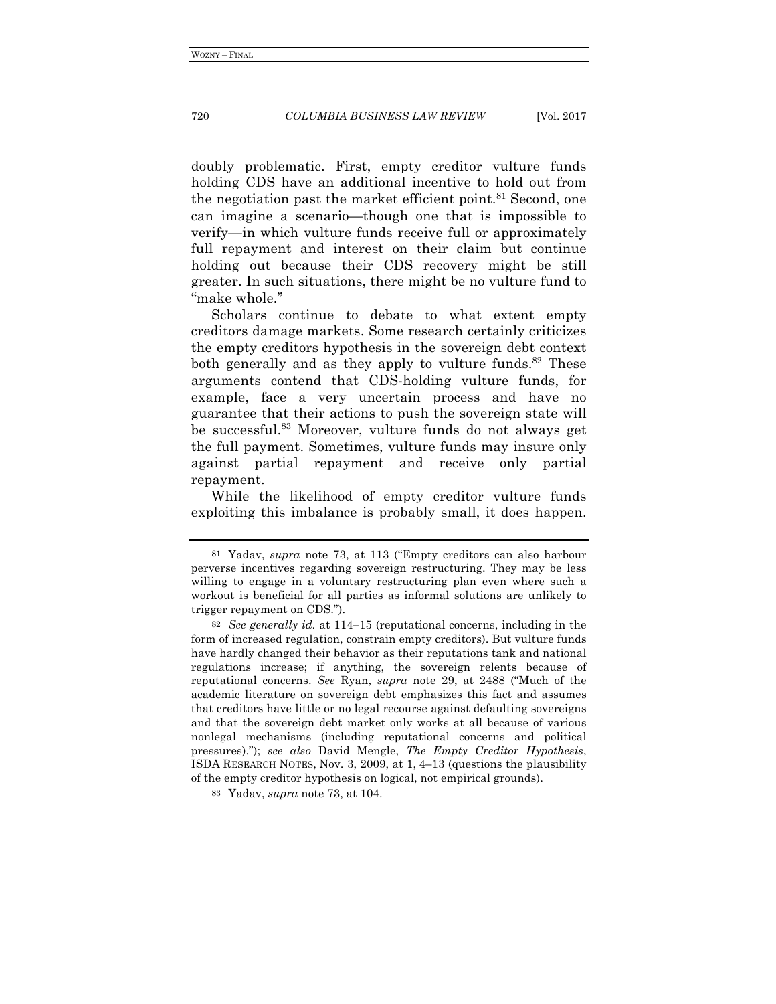doubly problematic. First, empty creditor vulture funds holding CDS have an additional incentive to hold out from the negotiation past the market efficient point.<sup>81</sup> Second, one can imagine a scenario—though one that is impossible to verify—in which vulture funds receive full or approximately full repayment and interest on their claim but continue holding out because their CDS recovery might be still greater. In such situations, there might be no vulture fund to "make whole."

Scholars continue to debate to what extent empty creditors damage markets. Some research certainly criticizes the empty creditors hypothesis in the sovereign debt context both generally and as they apply to vulture funds.<sup>82</sup> These arguments contend that CDS-holding vulture funds, for example, face a very uncertain process and have no guarantee that their actions to push the sovereign state will be successful.83 Moreover, vulture funds do not always get the full payment. Sometimes, vulture funds may insure only against partial repayment and receive only partial repayment.

While the likelihood of empty creditor vulture funds exploiting this imbalance is probably small, it does happen.

<sup>81</sup> Yadav, *supra* note 73, at 113 ("Empty creditors can also harbour perverse incentives regarding sovereign restructuring. They may be less willing to engage in a voluntary restructuring plan even where such a workout is beneficial for all parties as informal solutions are unlikely to trigger repayment on CDS.").

<sup>82</sup> *See generally id.* at 114–15 (reputational concerns, including in the form of increased regulation, constrain empty creditors). But vulture funds have hardly changed their behavior as their reputations tank and national regulations increase; if anything, the sovereign relents because of reputational concerns. *See* Ryan, *supra* note 29, at 2488 ("Much of the academic literature on sovereign debt emphasizes this fact and assumes that creditors have little or no legal recourse against defaulting sovereigns and that the sovereign debt market only works at all because of various nonlegal mechanisms (including reputational concerns and political pressures)."); *see also* David Mengle, *The Empty Creditor Hypothesis*, ISDA RESEARCH NOTES, Nov. 3, 2009, at 1, 4–13 (questions the plausibility of the empty creditor hypothesis on logical, not empirical grounds).

<sup>83</sup> Yadav, *supra* note 73, at 104.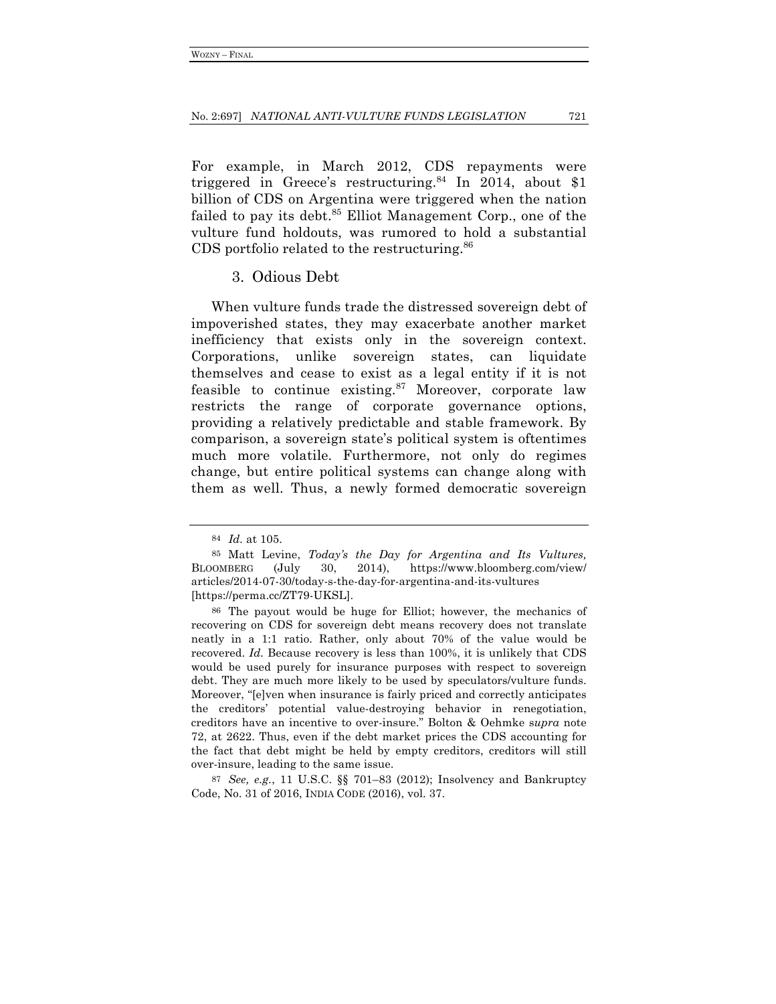For example, in March 2012, CDS repayments were triggered in Greece's restructuring.<sup>84</sup> In 2014, about \$1 billion of CDS on Argentina were triggered when the nation failed to pay its debt.<sup>85</sup> Elliot Management Corp., one of the vulture fund holdouts, was rumored to hold a substantial CDS portfolio related to the restructuring.<sup>86</sup>

### 3. Odious Debt

When vulture funds trade the distressed sovereign debt of impoverished states, they may exacerbate another market inefficiency that exists only in the sovereign context. Corporations, unlike sovereign states, can liquidate themselves and cease to exist as a legal entity if it is not feasible to continue existing.<sup>87</sup> Moreover, corporate law restricts the range of corporate governance options, providing a relatively predictable and stable framework. By comparison, a sovereign state's political system is oftentimes much more volatile. Furthermore, not only do regimes change, but entire political systems can change along with them as well. Thus, a newly formed democratic sovereign

87 *See, e.g.*, 11 U.S.C. §§ 701–83 (2012); Insolvency and Bankruptcy Code, No. 31 of 2016, INDIA CODE (2016), vol. 37.

<sup>84</sup> *Id.* at 105.

<sup>85</sup> Matt Levine, *Today's the Day for Argentina and Its Vultures,* BLOOMBERG (July 30, 2014), https://www.bloomberg.com/view/ articles/2014-07-30/today-s-the-day-for-argentina-and-its-vultures [https://perma.cc/ZT79-UKSL].

<sup>86</sup> The payout would be huge for Elliot; however, the mechanics of recovering on CDS for sovereign debt means recovery does not translate neatly in a 1:1 ratio. Rather, only about 70% of the value would be recovered. *Id.* Because recovery is less than 100%, it is unlikely that CDS would be used purely for insurance purposes with respect to sovereign debt. They are much more likely to be used by speculators/vulture funds. Moreover, "[e]ven when insurance is fairly priced and correctly anticipates the creditors' potential value-destroying behavior in renegotiation, creditors have an incentive to over-insure." Bolton & Oehmke s*upra* note 72, at 2622. Thus, even if the debt market prices the CDS accounting for the fact that debt might be held by empty creditors, creditors will still over-insure, leading to the same issue.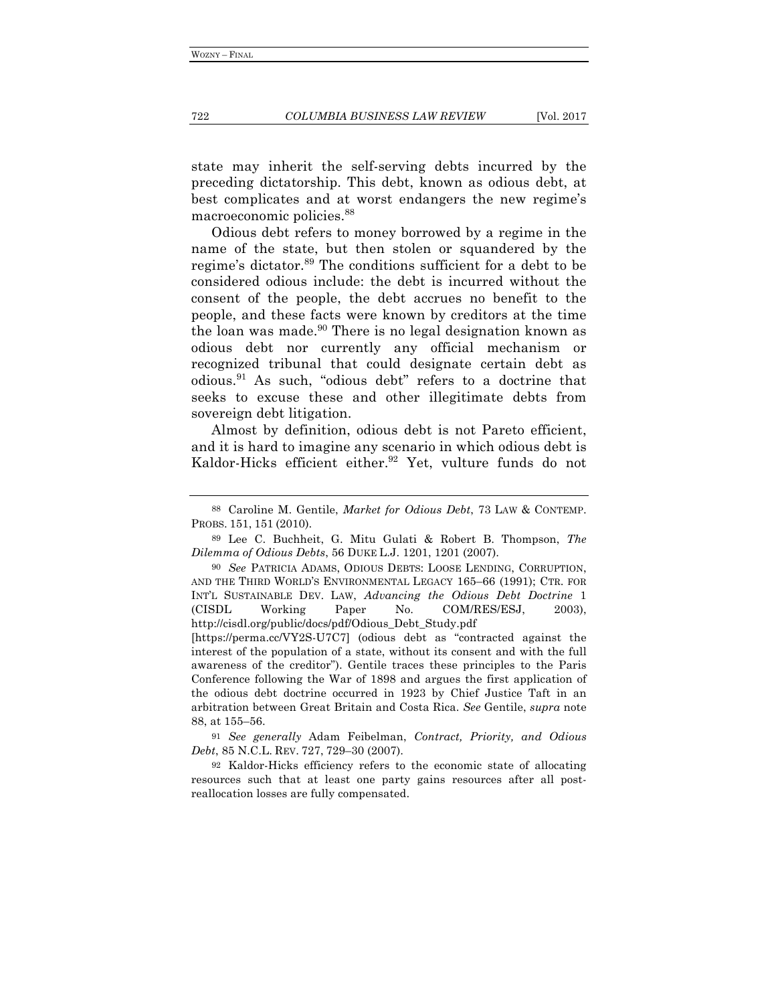state may inherit the self-serving debts incurred by the preceding dictatorship. This debt, known as odious debt, at best complicates and at worst endangers the new regime's macroeconomic policies.88

Odious debt refers to money borrowed by a regime in the name of the state, but then stolen or squandered by the regime's dictator.<sup>89</sup> The conditions sufficient for a debt to be considered odious include: the debt is incurred without the consent of the people, the debt accrues no benefit to the people, and these facts were known by creditors at the time the loan was made. $90$  There is no legal designation known as odious debt nor currently any official mechanism or recognized tribunal that could designate certain debt as odious.91 As such, "odious debt" refers to a doctrine that seeks to excuse these and other illegitimate debts from sovereign debt litigation.

Almost by definition, odious debt is not Pareto efficient, and it is hard to imagine any scenario in which odious debt is Kaldor-Hicks efficient either.<sup>92</sup> Yet, vulture funds do not

[https://perma.cc/VY2S-U7C7] (odious debt as "contracted against the interest of the population of a state, without its consent and with the full awareness of the creditor"). Gentile traces these principles to the Paris Conference following the War of 1898 and argues the first application of the odious debt doctrine occurred in 1923 by Chief Justice Taft in an arbitration between Great Britain and Costa Rica. *See* Gentile, *supra* note 88, at 155–56.

91 *See generally* Adam Feibelman, *Contract, Priority, and Odious Debt*, 85 N.C.L. REV. 727, 729–30 (2007).

92 Kaldor-Hicks efficiency refers to the economic state of allocating resources such that at least one party gains resources after all postreallocation losses are fully compensated.

<sup>88</sup> Caroline M. Gentile, *Market for Odious Debt*, 73 LAW & CONTEMP. PROBS. 151, 151 (2010).

<sup>89</sup> Lee C. Buchheit, G. Mitu Gulati & Robert B. Thompson, *The Dilemma of Odious Debts*, 56 DUKE L.J. 1201, 1201 (2007).

<sup>90</sup> *See* PATRICIA ADAMS, ODIOUS DEBTS: LOOSE LENDING, CORRUPTION, AND THE THIRD WORLD'S ENVIRONMENTAL LEGACY 165–66 (1991); CTR. FOR INT'L SUSTAINABLE DEV. LAW, *Advancing the Odious Debt Doctrine* 1 (CISDL Working Paper No. COM/RES/ESJ, 2003), http://cisdl.org/public/docs/pdf/Odious\_Debt\_Study.pdf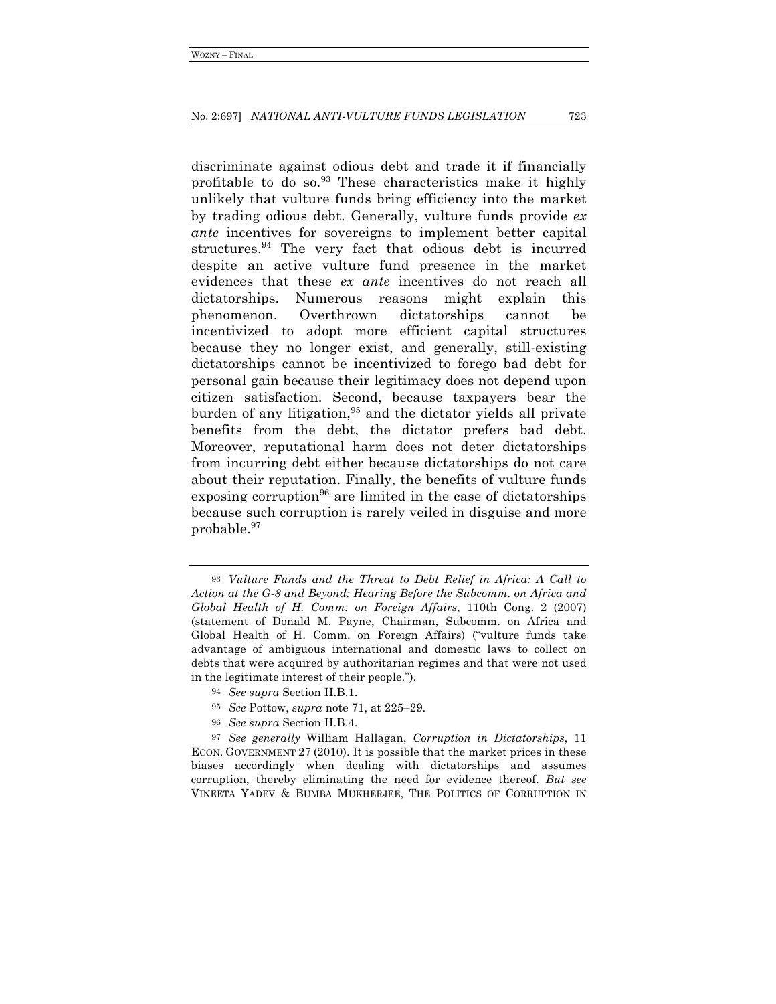discriminate against odious debt and trade it if financially profitable to do so. $93$  These characteristics make it highly unlikely that vulture funds bring efficiency into the market by trading odious debt. Generally, vulture funds provide *ex ante* incentives for sovereigns to implement better capital structures.<sup>94</sup> The very fact that odious debt is incurred despite an active vulture fund presence in the market evidences that these *ex ante* incentives do not reach all dictatorships. Numerous reasons might explain this phenomenon. Overthrown dictatorships cannot be incentivized to adopt more efficient capital structures because they no longer exist, and generally, still-existing dictatorships cannot be incentivized to forego bad debt for personal gain because their legitimacy does not depend upon citizen satisfaction. Second, because taxpayers bear the burden of any litigation,  $95$  and the dictator yields all private benefits from the debt, the dictator prefers bad debt. Moreover, reputational harm does not deter dictatorships from incurring debt either because dictatorships do not care about their reputation. Finally, the benefits of vulture funds exposing corruption<sup>96</sup> are limited in the case of dictatorships because such corruption is rarely veiled in disguise and more probable.97

<sup>93</sup> *Vulture Funds and the Threat to Debt Relief in Africa: A Call to Action at the G-8 and Beyond: Hearing Before the Subcomm. on Africa and Global Health of H. Comm. on Foreign Affairs*, 110th Cong. 2 (2007) (statement of Donald M. Payne, Chairman, Subcomm. on Africa and Global Health of H. Comm. on Foreign Affairs) ("vulture funds take advantage of ambiguous international and domestic laws to collect on debts that were acquired by authoritarian regimes and that were not used in the legitimate interest of their people.").

<sup>94</sup> *See supra* Section II.B.1.

<sup>95</sup> *See* Pottow, *supra* note 71, at 225–29.

<sup>96</sup> *See supra* Section II.B.4.

<sup>97</sup> *See generally* William Hallagan, *Corruption in Dictatorships*, 11 ECON. GOVERNMENT 27 (2010). It is possible that the market prices in these biases accordingly when dealing with dictatorships and assumes corruption, thereby eliminating the need for evidence thereof. *But see* VINEETA YADEV & BUMBA MUKHERJEE, THE POLITICS OF CORRUPTION IN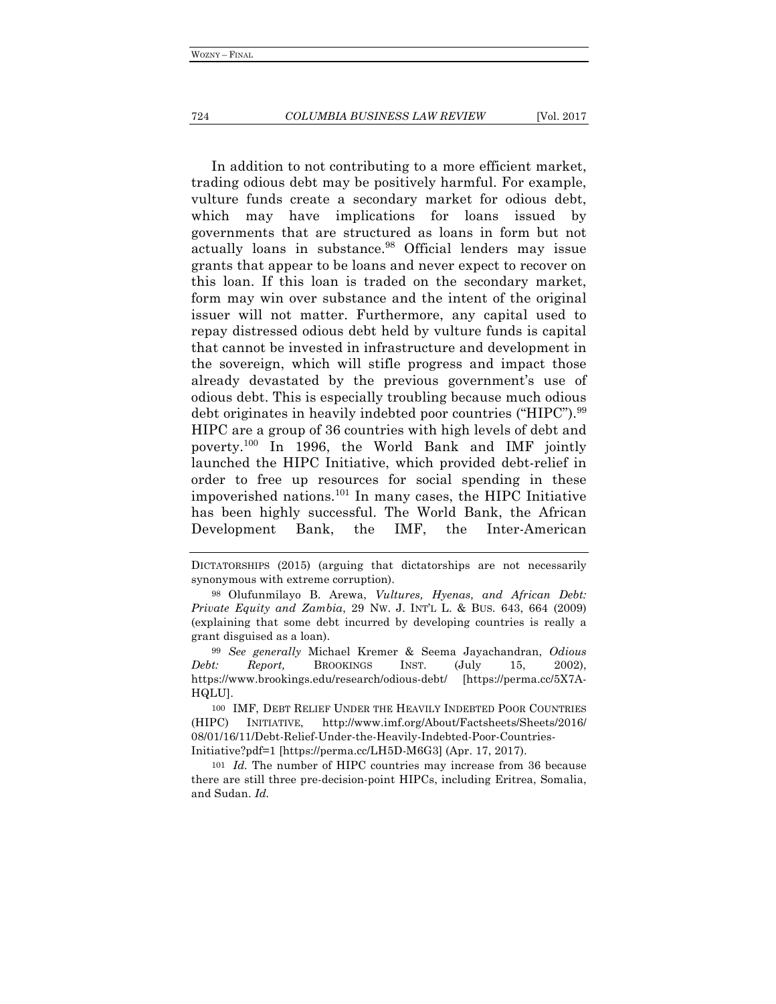#### 724 *COLUMBIA BUSINESS LAW REVIEW* [Vol. 2017

In addition to not contributing to a more efficient market, trading odious debt may be positively harmful. For example, vulture funds create a secondary market for odious debt, which may have implications for loans issued by governments that are structured as loans in form but not actually loans in substance.<sup>98</sup> Official lenders may issue grants that appear to be loans and never expect to recover on this loan. If this loan is traded on the secondary market, form may win over substance and the intent of the original issuer will not matter. Furthermore, any capital used to repay distressed odious debt held by vulture funds is capital that cannot be invested in infrastructure and development in the sovereign, which will stifle progress and impact those already devastated by the previous government's use of odious debt. This is especially troubling because much odious debt originates in heavily indebted poor countries ("HIPC").<sup>99</sup> HIPC are a group of 36 countries with high levels of debt and poverty.100 In 1996, the World Bank and IMF jointly launched the HIPC Initiative, which provided debt-relief in order to free up resources for social spending in these impoverished nations.101 In many cases, the HIPC Initiative has been highly successful. The World Bank, the African Development Bank, the IMF, the Inter-American

DICTATORSHIPS (2015) (arguing that dictatorships are not necessarily synonymous with extreme corruption).

<sup>98</sup> Olufunmilayo B. Arewa, *Vultures, Hyenas, and African Debt: Private Equity and Zambia*, 29 NW. J. INT'L L. & BUS. 643, 664 (2009) (explaining that some debt incurred by developing countries is really a grant disguised as a loan).

<sup>99</sup> *See generally* Michael Kremer & Seema Jayachandran, *Odious Debt: Report,* BROOKINGS INST. (July 15, 2002), https://www.brookings.edu/research/odious-debt/ [https://perma.cc/5X7A-HQLU].

<sup>100</sup> IMF, DEBT RELIEF UNDER THE HEAVILY INDEBTED POOR COUNTRIES (HIPC) INITIATIVE, http://www.imf.org/About/Factsheets/Sheets/2016/ 08/01/16/11/Debt-Relief-Under-the-Heavily-Indebted-Poor-Countries-Initiative?pdf=1 [https://perma.cc/LH5D-M6G3] (Apr. 17, 2017).

<sup>101</sup> *Id.* The number of HIPC countries may increase from 36 because there are still three pre-decision-point HIPCs, including Eritrea, Somalia, and Sudan. *Id.*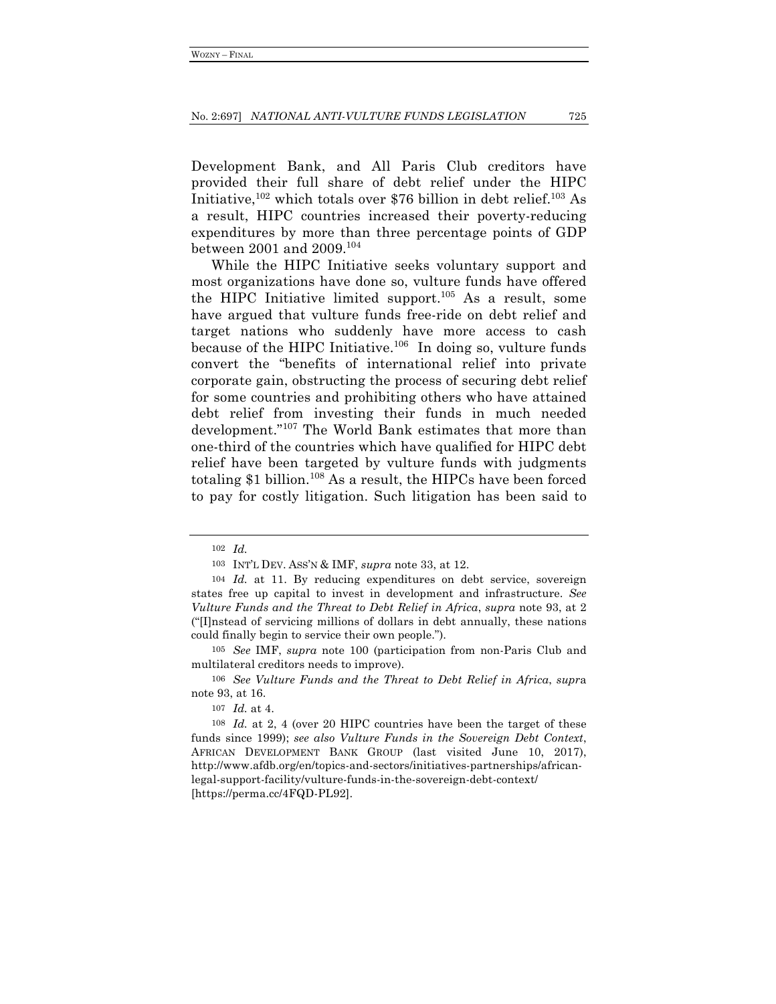Development Bank, and All Paris Club creditors have provided their full share of debt relief under the HIPC Initiative,<sup>102</sup> which totals over \$76 billion in debt relief.<sup>103</sup> As a result, HIPC countries increased their poverty-reducing expenditures by more than three percentage points of GDP between 2001 and 2009.104

While the HIPC Initiative seeks voluntary support and most organizations have done so, vulture funds have offered the HIPC Initiative limited support.<sup>105</sup> As a result, some have argued that vulture funds free-ride on debt relief and target nations who suddenly have more access to cash because of the HIPC Initiative.<sup>106</sup> In doing so, vulture funds convert the "benefits of international relief into private corporate gain, obstructing the process of securing debt relief for some countries and prohibiting others who have attained debt relief from investing their funds in much needed development."107 The World Bank estimates that more than one-third of the countries which have qualified for HIPC debt relief have been targeted by vulture funds with judgments totaling \$1 billion.<sup>108</sup> As a result, the HIPCs have been forced to pay for costly litigation. Such litigation has been said to

105 *See* IMF, *supra* note 100 (participation from non-Paris Club and multilateral creditors needs to improve).

<sup>102</sup> *Id.*

<sup>103</sup> INT'L DEV. ASS'N & IMF, *supra* note 33, at 12.

<sup>104</sup> *Id.* at 11. By reducing expenditures on debt service, sovereign states free up capital to invest in development and infrastructure. *See Vulture Funds and the Threat to Debt Relief in Africa*, *supra* note 93, at 2 ("[I]nstead of servicing millions of dollars in debt annually, these nations could finally begin to service their own people.").

<sup>106</sup> *See Vulture Funds and the Threat to Debt Relief in Africa*, *supr*a note 93, at 16.

<sup>107</sup> *Id.* at 4.

<sup>108</sup> *Id.* at 2, 4 (over 20 HIPC countries have been the target of these funds since 1999); *see also Vulture Funds in the Sovereign Debt Context*, AFRICAN DEVELOPMENT BANK GROUP (last visited June 10, 2017), http://www.afdb.org/en/topics-and-sectors/initiatives-partnerships/africanlegal-support-facility/vulture-funds-in-the-sovereign-debt-context/ [https://perma.cc/4FQD-PL92].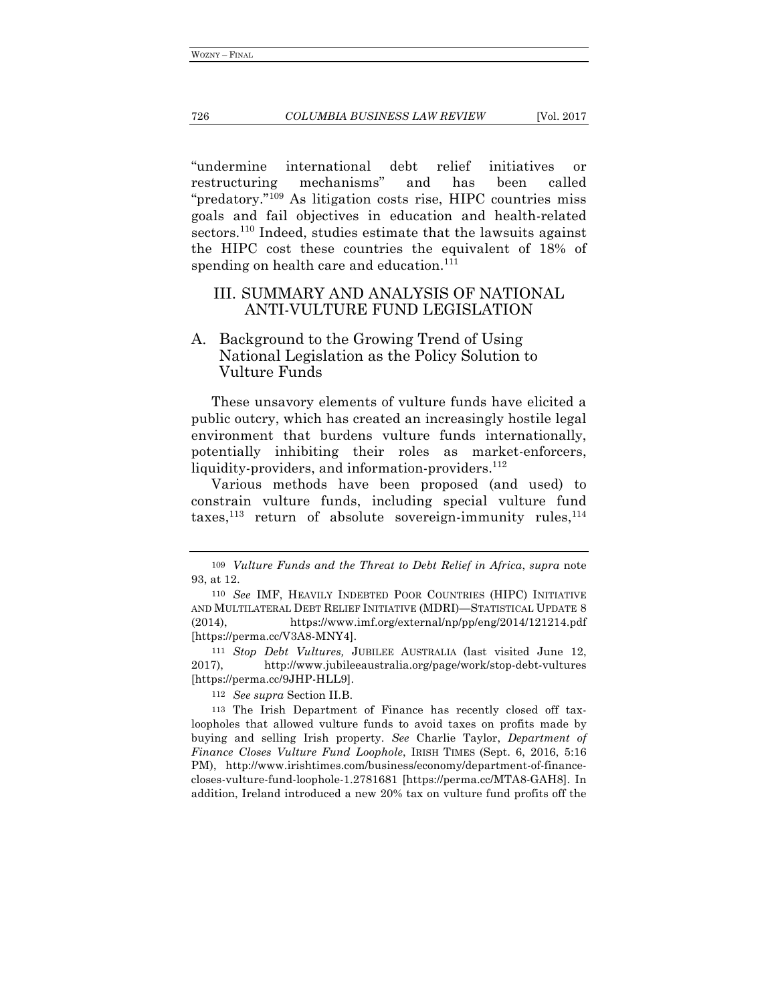#### 726 *COLUMBIA BUSINESS LAW REVIEW* [Vol. 2017

"undermine international debt relief initiatives or restructuring mechanisms" and has been called "predatory."109 As litigation costs rise, HIPC countries miss goals and fail objectives in education and health-related sectors.<sup>110</sup> Indeed, studies estimate that the lawsuits against the HIPC cost these countries the equivalent of 18% of spending on health care and education.<sup>111</sup>

## III. SUMMARY AND ANALYSIS OF NATIONAL ANTI-VULTURE FUND LEGISLATION

## A. Background to the Growing Trend of Using National Legislation as the Policy Solution to Vulture Funds

These unsavory elements of vulture funds have elicited a public outcry, which has created an increasingly hostile legal environment that burdens vulture funds internationally, potentially inhibiting their roles as market-enforcers, liquidity-providers, and information-providers. $112$ 

Various methods have been proposed (and used) to constrain vulture funds, including special vulture fund taxes, $^{113}$  return of absolute sovereign-immunity rules, $^{114}$ 

111 *Stop Debt Vultures,* JUBILEE AUSTRALIA (last visited June 12, 2017), http://www.jubileeaustralia.org/page/work/stop-debt-vultures [https://perma.cc/9JHP-HLL9].

112 *See supra* Section II.B.

113 The Irish Department of Finance has recently closed off taxloopholes that allowed vulture funds to avoid taxes on profits made by buying and selling Irish property. *See* Charlie Taylor, *Department of Finance Closes Vulture Fund Loophole*, IRISH TIMES (Sept. 6, 2016, 5:16 PM), http://www.irishtimes.com/business/economy/department-of-financecloses-vulture-fund-loophole-1.2781681 [https://perma.cc/MTA8-GAH8]. In addition, Ireland introduced a new 20% tax on vulture fund profits off the

<sup>109</sup> *Vulture Funds and the Threat to Debt Relief in Africa*, *supra* note 93, at 12.

<sup>110</sup> *See* IMF, HEAVILY INDEBTED POOR COUNTRIES (HIPC) INITIATIVE AND MULTILATERAL DEBT RELIEF INITIATIVE (MDRI)—STATISTICAL UPDATE 8 (2014), https://www.imf.org/external/np/pp/eng/2014/121214.pdf [https://perma.cc/V3A8-MNY4].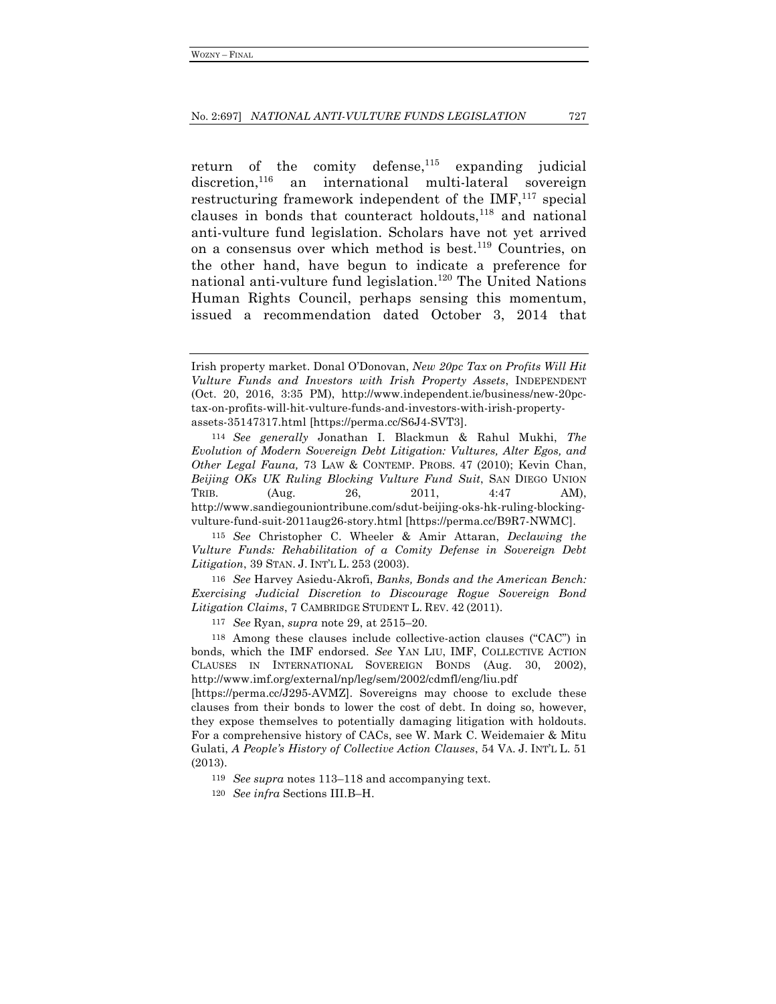return of the comity defense, $115$  expanding judicial discretion,<sup>116</sup> an international multi-lateral sovereign restructuring framework independent of the  $IMF<sub>117</sub>$  special clauses in bonds that counteract holdouts, $118$  and national anti-vulture fund legislation. Scholars have not yet arrived on a consensus over which method is best.<sup>119</sup> Countries, on the other hand, have begun to indicate a preference for national anti-vulture fund legislation.<sup>120</sup> The United Nations Human Rights Council, perhaps sensing this momentum, issued a recommendation dated October 3, 2014 that

114 *See generally* Jonathan I. Blackmun & Rahul Mukhi, *The Evolution of Modern Sovereign Debt Litigation: Vultures, Alter Egos, and Other Legal Fauna,* 73 LAW & CONTEMP. PROBS. 47 (2010); Kevin Chan, *Beijing OKs UK Ruling Blocking Vulture Fund Suit*, SAN DIEGO UNION TRIB.  $(Aug. 26, 2011, 4:47 \text{ AM}),$ http://www.sandiegouniontribune.com/sdut-beijing-oks-hk-ruling-blockingvulture-fund-suit-2011aug26-story.html [https://perma.cc/B9R7-NWMC].

115 *See* Christopher C. Wheeler & Amir Attaran, *Declawing the Vulture Funds: Rehabilitation of a Comity Defense in Sovereign Debt Litigation*, 39 STAN. J. INT'L L. 253 (2003).

116 *See* Harvey Asiedu-Akrofi, *Banks, Bonds and the American Bench: Exercising Judicial Discretion to Discourage Rogue Sovereign Bond Litigation Claims*, 7 CAMBRIDGE STUDENT L. REV. 42 (2011).

117 *See* Ryan, *supra* note 29, at 2515–20.

118 Among these clauses include collective-action clauses ("CAC") in bonds, which the IMF endorsed. *See* YAN LIU, IMF, COLLECTIVE ACTION CLAUSES IN INTERNATIONAL SOVEREIGN BONDS (Aug. 30, 2002), http://www.imf.org/external/np/leg/sem/2002/cdmfl/eng/liu.pdf

[https://perma.cc/J295-AVMZ]. Sovereigns may choose to exclude these clauses from their bonds to lower the cost of debt. In doing so, however, they expose themselves to potentially damaging litigation with holdouts. For a comprehensive history of CACs, see W. Mark C. Weidemaier & Mitu Gulati, *A People's History of Collective Action Clauses*, 54 VA. J. INT'L L. 51 (2013).

119 *See supra* notes 113–118 and accompanying text.

120 *See infra* Sections III.B–H.

Irish property market. Donal O'Donovan, *New 20pc Tax on Profits Will Hit Vulture Funds and Investors with Irish Property Assets*, INDEPENDENT (Oct. 20, 2016, 3:35 PM), http://www.independent.ie/business/new-20pctax-on-profits-will-hit-vulture-funds-and-investors-with-irish-propertyassets-35147317.html [https://perma.cc/S6J4-SVT3].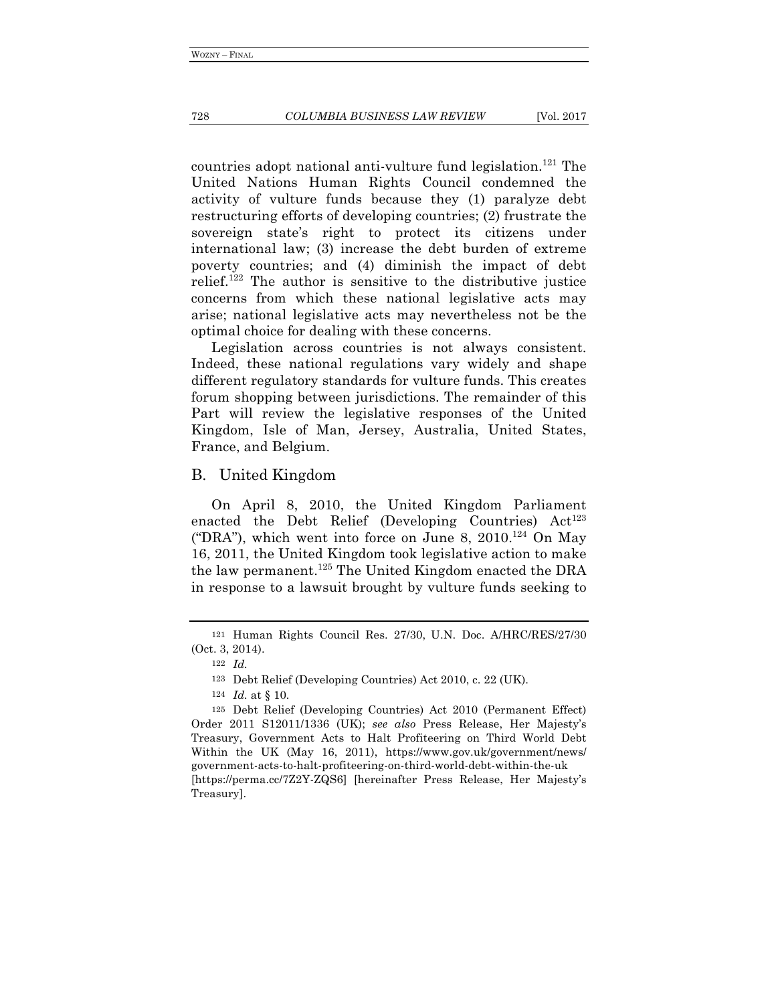countries adopt national anti-vulture fund legislation.<sup>121</sup> The United Nations Human Rights Council condemned the activity of vulture funds because they (1) paralyze debt restructuring efforts of developing countries; (2) frustrate the sovereign state's right to protect its citizens under international law; (3) increase the debt burden of extreme poverty countries; and (4) diminish the impact of debt relief.<sup>122</sup> The author is sensitive to the distributive justice concerns from which these national legislative acts may arise; national legislative acts may nevertheless not be the optimal choice for dealing with these concerns.

Legislation across countries is not always consistent. Indeed, these national regulations vary widely and shape different regulatory standards for vulture funds. This creates forum shopping between jurisdictions. The remainder of this Part will review the legislative responses of the United Kingdom, Isle of Man, Jersey, Australia, United States, France, and Belgium.

### B. United Kingdom

On April 8, 2010, the United Kingdom Parliament enacted the Debt Relief (Developing Countries)  $Act^{123}$ ("DRA"), which went into force on June 8, 2010.<sup>124</sup> On May 16, 2011, the United Kingdom took legislative action to make the law permanent.<sup>125</sup> The United Kingdom enacted the DRA in response to a lawsuit brought by vulture funds seeking to

124 *Id.* at § 10.

<sup>121</sup> Human Rights Council Res. 27/30, U.N. Doc. A/HRC/RES/27/30 (Oct. 3, 2014).

<sup>122</sup> *Id.*

<sup>123</sup> Debt Relief (Developing Countries) Act 2010, c. 22 (UK).

<sup>125</sup> Debt Relief (Developing Countries) Act 2010 (Permanent Effect) Order 2011 S12011/1336 (UK); *see also* Press Release, Her Majesty's Treasury, Government Acts to Halt Profiteering on Third World Debt Within the UK (May 16, 2011), https://www.gov.uk/government/news/ government-acts-to-halt-profiteering-on-third-world-debt-within-the-uk [https://perma.cc/7Z2Y-ZQS6] [hereinafter Press Release, Her Majesty's Treasury].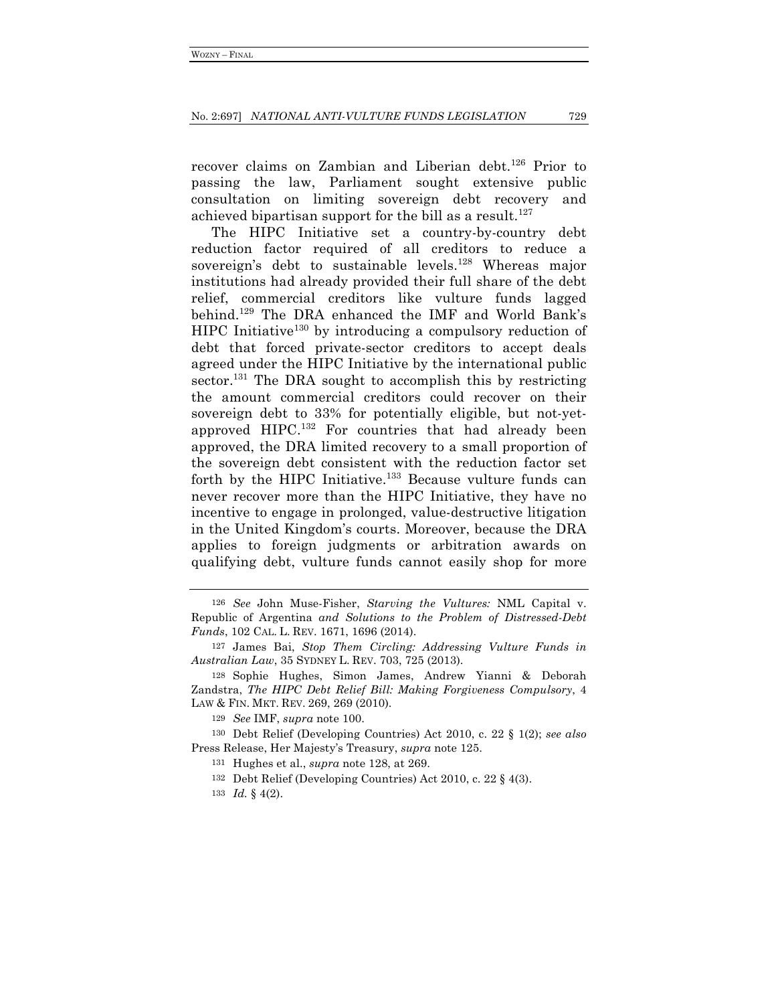recover claims on Zambian and Liberian debt.<sup>126</sup> Prior to passing the law, Parliament sought extensive public consultation on limiting sovereign debt recovery and achieved bipartisan support for the bill as a result.<sup>127</sup>

The HIPC Initiative set a country-by-country debt reduction factor required of all creditors to reduce a sovereign's debt to sustainable levels.<sup>128</sup> Whereas major institutions had already provided their full share of the debt relief, commercial creditors like vulture funds lagged behind.129 The DRA enhanced the IMF and World Bank's HIPC Initiative<sup>130</sup> by introducing a compulsory reduction of debt that forced private-sector creditors to accept deals agreed under the HIPC Initiative by the international public sector.<sup>131</sup> The DRA sought to accomplish this by restricting the amount commercial creditors could recover on their sovereign debt to 33% for potentially eligible, but not-yetapproved HIPC.132 For countries that had already been approved, the DRA limited recovery to a small proportion of the sovereign debt consistent with the reduction factor set forth by the HIPC Initiative.<sup>133</sup> Because vulture funds can never recover more than the HIPC Initiative, they have no incentive to engage in prolonged, value-destructive litigation in the United Kingdom's courts. Moreover, because the DRA applies to foreign judgments or arbitration awards on qualifying debt, vulture funds cannot easily shop for more

<sup>126</sup> *See* John Muse-Fisher, *Starving the Vultures:* NML Capital v. Republic of Argentina *and Solutions to the Problem of Distressed-Debt Funds*, 102 CAL. L. REV. 1671, 1696 (2014).

<sup>127</sup> James Bai, *Stop Them Circling: Addressing Vulture Funds in Australian Law*, 35 SYDNEY L. REV. 703, 725 (2013).

<sup>128</sup> Sophie Hughes, Simon James, Andrew Yianni & Deborah Zandstra, *The HIPC Debt Relief Bill: Making Forgiveness Compulsory*, 4 LAW & FIN. MKT. REV. 269, 269 (2010).

<sup>129</sup> *See* IMF, *supra* note 100.

<sup>130</sup> Debt Relief (Developing Countries) Act 2010, c. 22 § 1(2); *see also* Press Release, Her Majesty's Treasury, *supra* note 125.

<sup>131</sup> Hughes et al., *supra* note 128, at 269.

<sup>132</sup> Debt Relief (Developing Countries) Act 2010, c. 22 § 4(3).

<sup>133</sup> *Id.* § 4(2).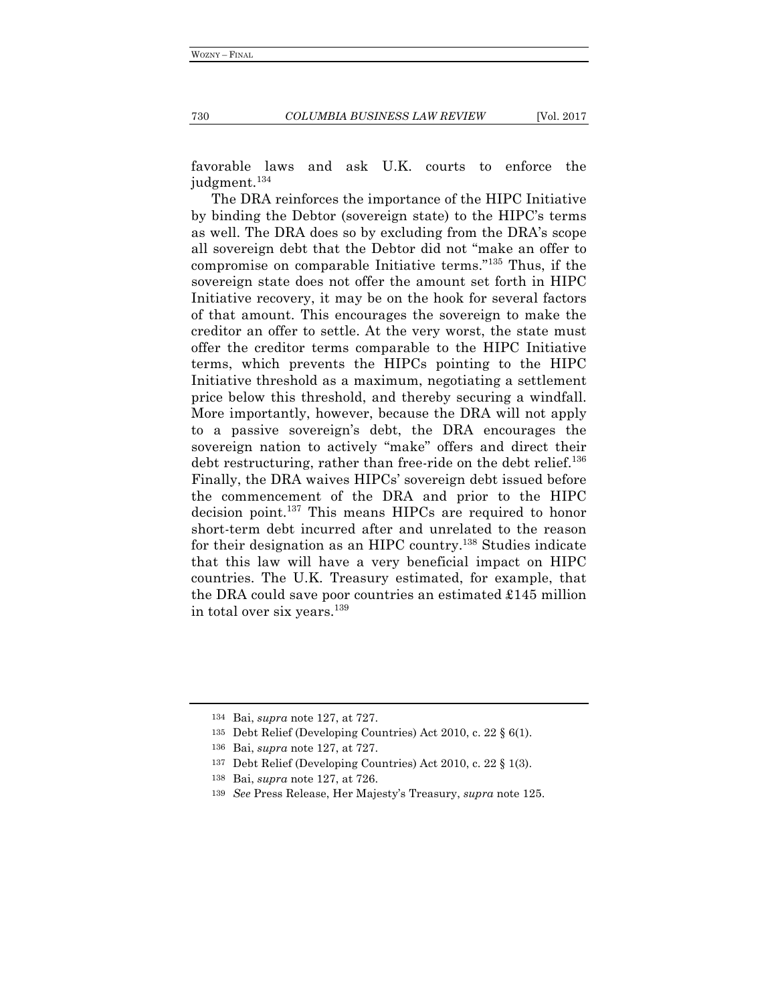730 *COLUMBIA BUSINESS LAW REVIEW* [Vol. 2017

favorable laws and ask U.K. courts to enforce the judgment.<sup>134</sup>

The DRA reinforces the importance of the HIPC Initiative by binding the Debtor (sovereign state) to the HIPC's terms as well. The DRA does so by excluding from the DRA's scope all sovereign debt that the Debtor did not "make an offer to compromise on comparable Initiative terms."135 Thus, if the sovereign state does not offer the amount set forth in HIPC Initiative recovery, it may be on the hook for several factors of that amount. This encourages the sovereign to make the creditor an offer to settle. At the very worst, the state must offer the creditor terms comparable to the HIPC Initiative terms, which prevents the HIPCs pointing to the HIPC Initiative threshold as a maximum, negotiating a settlement price below this threshold, and thereby securing a windfall. More importantly, however, because the DRA will not apply to a passive sovereign's debt, the DRA encourages the sovereign nation to actively "make" offers and direct their debt restructuring, rather than free-ride on the debt relief.<sup>136</sup> Finally, the DRA waives HIPCs' sovereign debt issued before the commencement of the DRA and prior to the HIPC decision point.137 This means HIPCs are required to honor short-term debt incurred after and unrelated to the reason for their designation as an HIPC country.138 Studies indicate that this law will have a very beneficial impact on HIPC countries. The U.K. Treasury estimated, for example, that the DRA could save poor countries an estimated £145 million in total over six years.<sup>139</sup>

<sup>134</sup> Bai, *supra* note 127, at 727.

<sup>135</sup> Debt Relief (Developing Countries) Act 2010, c. 22 § 6(1).

<sup>136</sup> Bai, *supra* note 127, at 727.

<sup>137</sup> Debt Relief (Developing Countries) Act 2010, c. 22 § 1(3).

<sup>138</sup> Bai, *supra* note 127, at 726.

<sup>139</sup> *See* Press Release, Her Majesty's Treasury, *supra* note 125.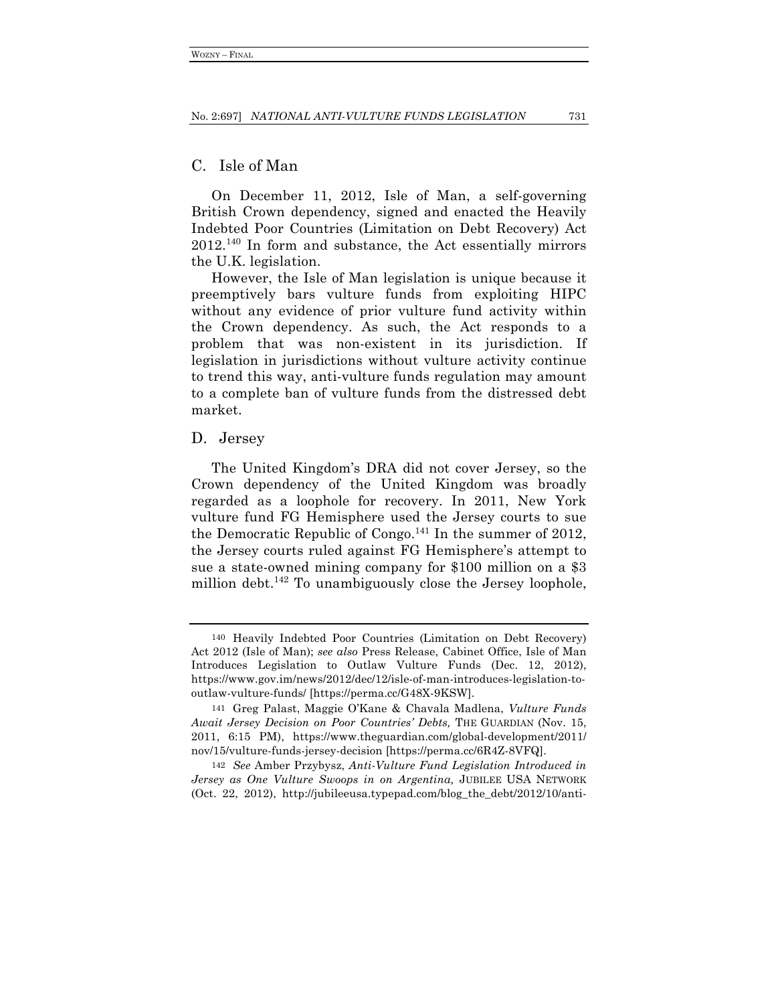## C. Isle of Man

On December 11, 2012, Isle of Man, a self-governing British Crown dependency, signed and enacted the Heavily Indebted Poor Countries (Limitation on Debt Recovery) Act 2012.140 In form and substance, the Act essentially mirrors the U.K. legislation.

However, the Isle of Man legislation is unique because it preemptively bars vulture funds from exploiting HIPC without any evidence of prior vulture fund activity within the Crown dependency. As such, the Act responds to a problem that was non-existent in its jurisdiction. If legislation in jurisdictions without vulture activity continue to trend this way, anti-vulture funds regulation may amount to a complete ban of vulture funds from the distressed debt market.

## D. Jersey

The United Kingdom's DRA did not cover Jersey, so the Crown dependency of the United Kingdom was broadly regarded as a loophole for recovery. In 2011, New York vulture fund FG Hemisphere used the Jersey courts to sue the Democratic Republic of Congo.<sup>141</sup> In the summer of 2012, the Jersey courts ruled against FG Hemisphere's attempt to sue a state-owned mining company for \$100 million on a \$3 million debt.<sup>142</sup> To unambiguously close the Jersey loophole,

<sup>140</sup> Heavily Indebted Poor Countries (Limitation on Debt Recovery) Act 2012 (Isle of Man); *see also* Press Release, Cabinet Office, Isle of Man Introduces Legislation to Outlaw Vulture Funds (Dec. 12, 2012), https://www.gov.im/news/2012/dec/12/isle-of-man-introduces-legislation-tooutlaw-vulture-funds/ [https://perma.cc/G48X-9KSW].

<sup>141</sup> Greg Palast, Maggie O'Kane & Chavala Madlena, *Vulture Funds Await Jersey Decision on Poor Countries' Debts,* THE GUARDIAN (Nov. 15, 2011, 6:15 PM), https://www.theguardian.com/global-development/2011/ nov/15/vulture-funds-jersey-decision [https://perma.cc/6R4Z-8VFQ].

<sup>142</sup> *See* Amber Przybysz, *Anti-Vulture Fund Legislation Introduced in Jersey as One Vulture Swoops in on Argentina,* JUBILEE USA NETWORK (Oct. 22, 2012), http://jubileeusa.typepad.com/blog\_the\_debt/2012/10/anti-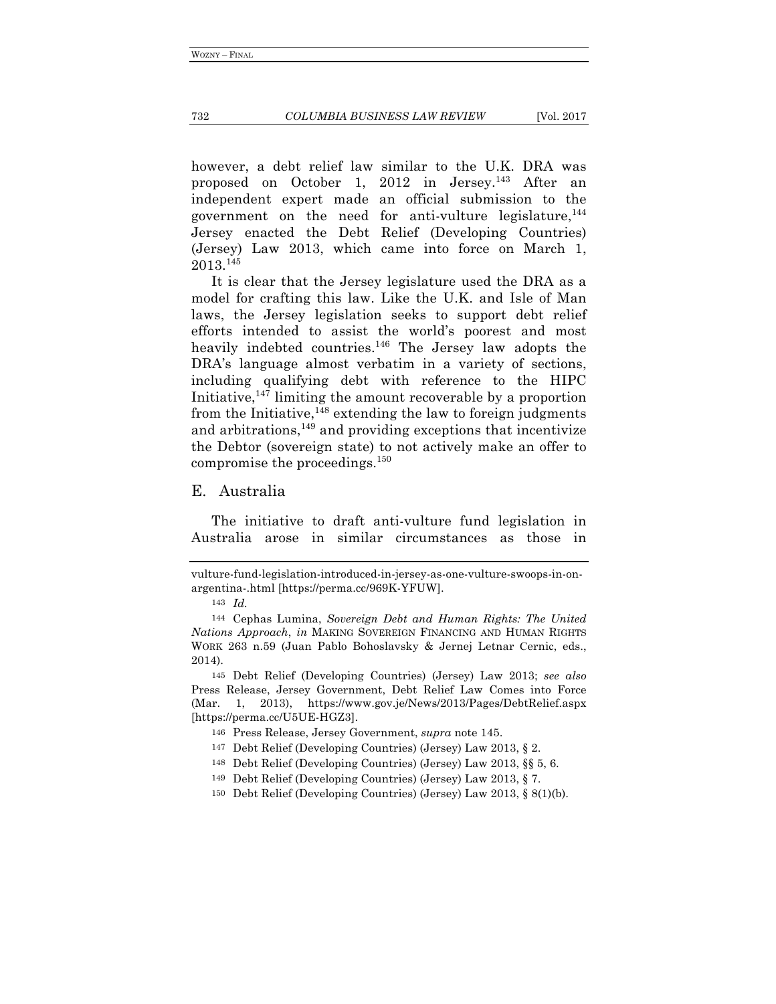however, a debt relief law similar to the U.K. DRA was proposed on October 1, 2012 in Jersey.<sup>143</sup> After an independent expert made an official submission to the government on the need for anti-vulture legislature,  $144$ Jersey enacted the Debt Relief (Developing Countries) (Jersey) Law 2013, which came into force on March 1, 2013.145

It is clear that the Jersey legislature used the DRA as a model for crafting this law. Like the U.K. and Isle of Man laws, the Jersey legislation seeks to support debt relief efforts intended to assist the world's poorest and most heavily indebted countries.<sup>146</sup> The Jersey law adopts the DRA's language almost verbatim in a variety of sections, including qualifying debt with reference to the HIPC Initiative, $147$  limiting the amount recoverable by a proportion from the Initiative,  $148$  extending the law to foreign judgments and arbitrations, $149$  and providing exceptions that incentivize the Debtor (sovereign state) to not actively make an offer to compromise the proceedings.150

#### E. Australia

The initiative to draft anti-vulture fund legislation in Australia arose in similar circumstances as those in

vulture-fund-legislation-introduced-in-jersey-as-one-vulture-swoops-in-onargentina-.html [https://perma.cc/969K-YFUW].

<sup>143</sup> *Id.*

<sup>144</sup> Cephas Lumina, *Sovereign Debt and Human Rights: The United Nations Approach*, *in* MAKING SOVEREIGN FINANCING AND HUMAN RIGHTS WORK 263 n.59 (Juan Pablo Bohoslavsky & Jernej Letnar Cernic, eds., 2014).

<sup>145</sup> Debt Relief (Developing Countries) (Jersey) Law 2013; *see also* Press Release, Jersey Government, Debt Relief Law Comes into Force (Mar. 1, 2013), https://www.gov.je/News/2013/Pages/DebtRelief.aspx [https://perma.cc/U5UE-HGZ3].

<sup>146</sup> Press Release, Jersey Government, *supra* note 145.

<sup>147</sup> Debt Relief (Developing Countries) (Jersey) Law 2013, § 2.

<sup>148</sup> Debt Relief (Developing Countries) (Jersey) Law 2013, §§ 5, 6.

<sup>149</sup> Debt Relief (Developing Countries) (Jersey) Law 2013, § 7.

<sup>150</sup> Debt Relief (Developing Countries) (Jersey) Law 2013, § 8(1)(b).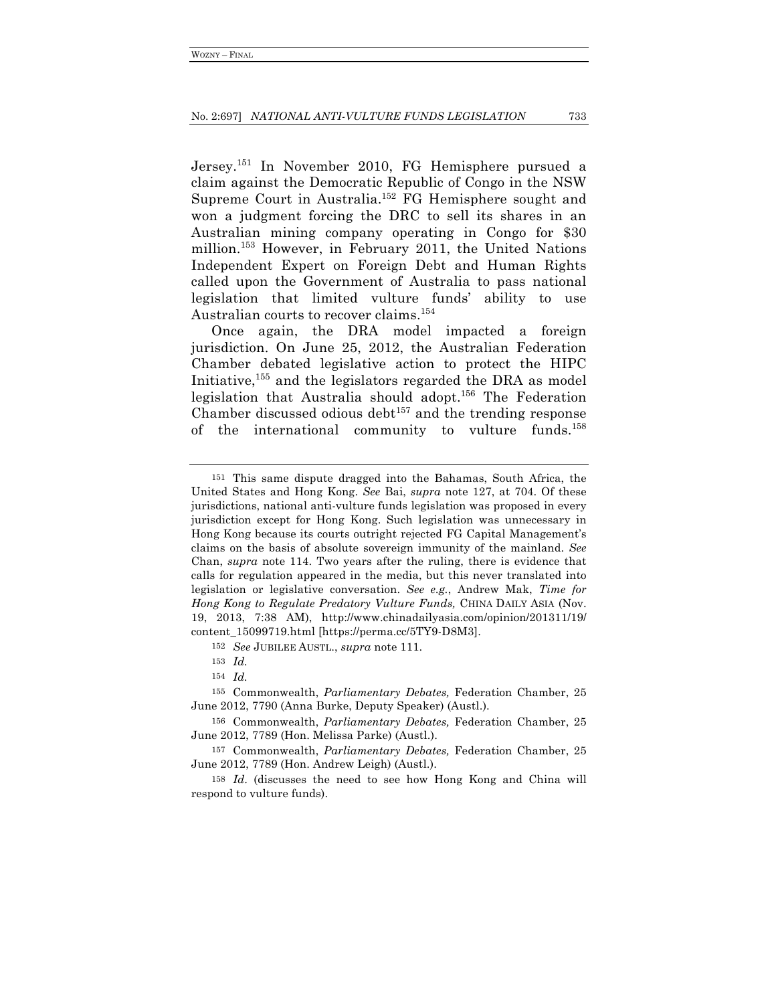Jersey.151 In November 2010, FG Hemisphere pursued a claim against the Democratic Republic of Congo in the NSW Supreme Court in Australia.152 FG Hemisphere sought and won a judgment forcing the DRC to sell its shares in an Australian mining company operating in Congo for \$30 million.153 However, in February 2011, the United Nations Independent Expert on Foreign Debt and Human Rights called upon the Government of Australia to pass national legislation that limited vulture funds' ability to use Australian courts to recover claims.<sup>154</sup>

Once again, the DRA model impacted a foreign jurisdiction. On June 25, 2012, the Australian Federation Chamber debated legislative action to protect the HIPC Initiative,155 and the legislators regarded the DRA as model legislation that Australia should adopt.156 The Federation Chamber discussed odious debt $157$  and the trending response of the international community to vulture funds.158

<sup>151</sup> This same dispute dragged into the Bahamas, South Africa, the United States and Hong Kong. *See* Bai, *supra* note 127, at 704. Of these jurisdictions, national anti-vulture funds legislation was proposed in every jurisdiction except for Hong Kong. Such legislation was unnecessary in Hong Kong because its courts outright rejected FG Capital Management's claims on the basis of absolute sovereign immunity of the mainland. *See*  Chan, *supra* note 114. Two years after the ruling, there is evidence that calls for regulation appeared in the media, but this never translated into legislation or legislative conversation. *See e.g.*, Andrew Mak, *Time for Hong Kong to Regulate Predatory Vulture Funds,* CHINA DAILY ASIA (Nov. 19, 2013, 7:38 AM), http://www.chinadailyasia.com/opinion/201311/19/ content\_15099719.html [https://perma.cc/5TY9-D8M3].

<sup>152</sup> *See* JUBILEE AUSTL., *supra* note 111.

<sup>153</sup> *Id.*

<sup>154</sup> *Id.*

<sup>155</sup> Commonwealth, *Parliamentary Debates,* Federation Chamber, 25 June 2012, 7790 (Anna Burke, Deputy Speaker) (Austl.).

<sup>156</sup> Commonwealth, *Parliamentary Debates,* Federation Chamber, 25 June 2012, 7789 (Hon. Melissa Parke) (Austl.).

<sup>157</sup> Commonwealth, *Parliamentary Debates,* Federation Chamber, 25 June 2012, 7789 (Hon. Andrew Leigh) (Austl.).

<sup>158</sup> *Id*. (discusses the need to see how Hong Kong and China will respond to vulture funds).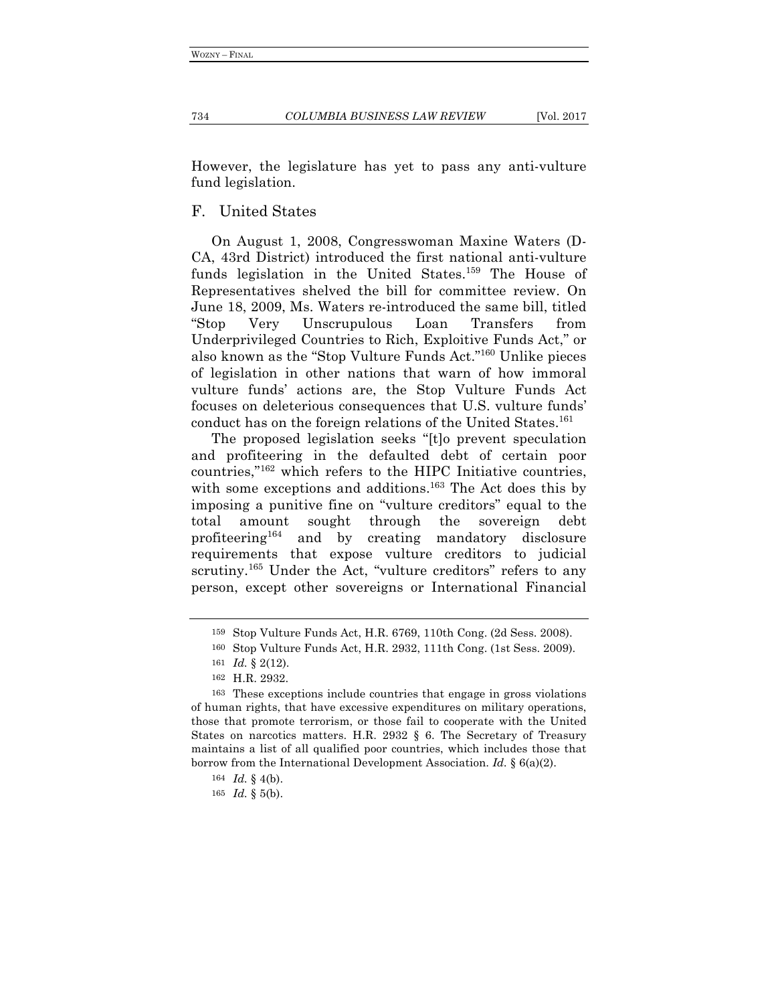However, the legislature has yet to pass any anti-vulture fund legislation.

## F. United States

On August 1, 2008, Congresswoman Maxine Waters (D-CA, 43rd District) introduced the first national anti-vulture funds legislation in the United States.<sup>159</sup> The House of Representatives shelved the bill for committee review. On June 18, 2009, Ms. Waters re-introduced the same bill, titled "Stop Very Unscrupulous Loan Transfers from Underprivileged Countries to Rich, Exploitive Funds Act," or also known as the "Stop Vulture Funds Act."160 Unlike pieces of legislation in other nations that warn of how immoral vulture funds' actions are, the Stop Vulture Funds Act focuses on deleterious consequences that U.S. vulture funds' conduct has on the foreign relations of the United States.<sup>161</sup>

The proposed legislation seeks "[t]o prevent speculation and profiteering in the defaulted debt of certain poor countries,"162 which refers to the HIPC Initiative countries, with some exceptions and additions.<sup>163</sup> The Act does this by imposing a punitive fine on "vulture creditors" equal to the total amount sought through the sovereign debt profiteering164 and by creating mandatory disclosure requirements that expose vulture creditors to judicial scrutiny.<sup>165</sup> Under the Act, "vulture creditors" refers to any person, except other sovereigns or International Financial

<sup>159</sup> Stop Vulture Funds Act, H.R. 6769, 110th Cong. (2d Sess. 2008).

<sup>160</sup> Stop Vulture Funds Act, H.R. 2932, 111th Cong. (1st Sess. 2009).

<sup>161</sup> *Id.* § 2(12).

<sup>162</sup> H.R. 2932.

<sup>163</sup> These exceptions include countries that engage in gross violations of human rights, that have excessive expenditures on military operations, those that promote terrorism, or those fail to cooperate with the United States on narcotics matters. H.R. 2932 § 6. The Secretary of Treasury maintains a list of all qualified poor countries, which includes those that borrow from the International Development Association. *Id.* § 6(a)(2).

<sup>164</sup> *Id.* § 4(b).

<sup>165</sup> *Id.* § 5(b).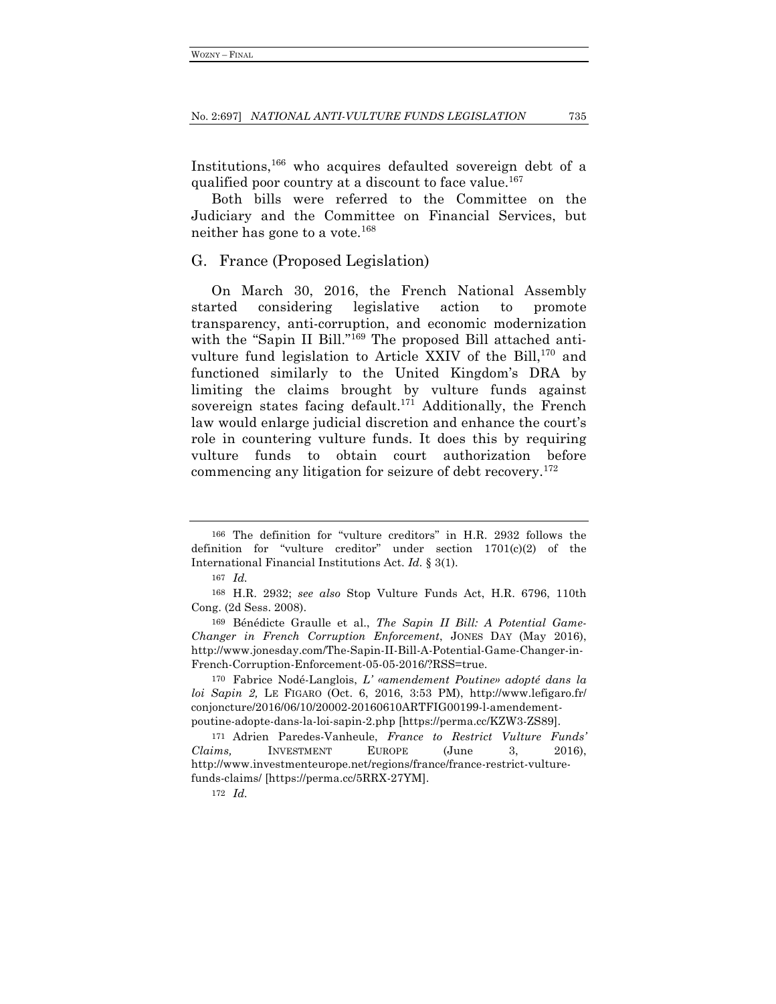Institutions,166 who acquires defaulted sovereign debt of a qualified poor country at a discount to face value.<sup>167</sup>

Both bills were referred to the Committee on the Judiciary and the Committee on Financial Services, but neither has gone to a vote.168

### G. France (Proposed Legislation)

On March 30, 2016, the French National Assembly started considering legislative action to promote transparency, anti-corruption, and economic modernization with the "Sapin II Bill."<sup>169</sup> The proposed Bill attached antivulture fund legislation to Article XXIV of the Bill,<sup>170</sup> and functioned similarly to the United Kingdom's DRA by limiting the claims brought by vulture funds against sovereign states facing default.<sup>171</sup> Additionally, the French law would enlarge judicial discretion and enhance the court's role in countering vulture funds. It does this by requiring vulture funds to obtain court authorization before commencing any litigation for seizure of debt recovery.<sup>172</sup>

<sup>166</sup> The definition for "vulture creditors" in H.R. 2932 follows the definition for "vulture creditor" under section 1701(c)(2) of the International Financial Institutions Act. *Id.* § 3(1).

<sup>167</sup> *Id.*

<sup>168</sup> H.R. 2932; *see also* Stop Vulture Funds Act, H.R. 6796, 110th Cong. (2d Sess. 2008).

<sup>169</sup> Bénédicte Graulle et al., *The Sapin II Bill: A Potential Game-Changer in French Corruption Enforcement*, JONES DAY (May 2016), http://www.jonesday.com/The-Sapin-II-Bill-A-Potential-Game-Changer-in-French-Corruption-Enforcement-05-05-2016/?RSS=true.

<sup>170</sup> Fabrice Nodé-Langlois, *L' «amendement Poutine» adopté dans la loi Sapin 2,* LE FIGARO (Oct. 6, 2016, 3:53 PM), http://www.lefigaro.fr/ conjoncture/2016/06/10/20002-20160610ARTFIG00199-l-amendementpoutine-adopte-dans-la-loi-sapin-2.php [https://perma.cc/KZW3-ZS89].

<sup>171</sup> Adrien Paredes-Vanheule, *France to Restrict Vulture Funds' Claims,* INVESTMENT EUROPE (June 3, 2016), http://www.investmenteurope.net/regions/france/france-restrict-vulturefunds-claims/ [https://perma.cc/5RRX-27YM].

<sup>172</sup> *Id.*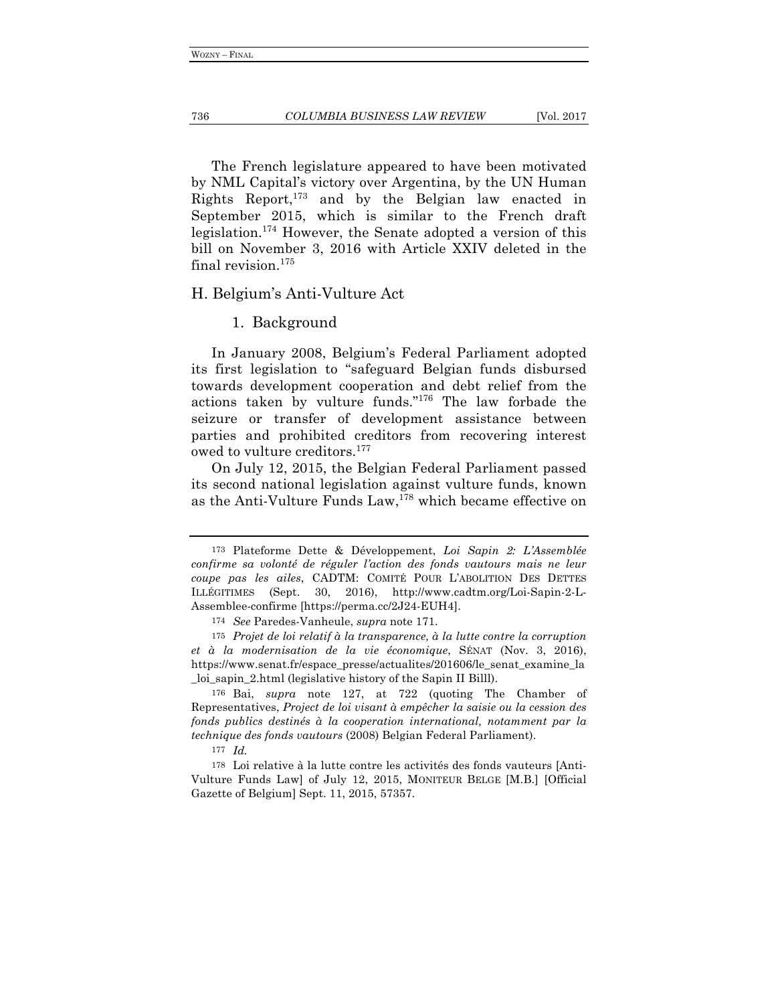The French legislature appeared to have been motivated by NML Capital's victory over Argentina, by the UN Human Rights Report,173 and by the Belgian law enacted in September 2015, which is similar to the French draft legislation. <sup>174</sup> However, the Senate adopted a version of this bill on November 3, 2016 with Article XXIV deleted in the final revision.<sup>175</sup>

## H. Belgium's Anti-Vulture Act

### 1. Background

In January 2008, Belgium's Federal Parliament adopted its first legislation to "safeguard Belgian funds disbursed towards development cooperation and debt relief from the actions taken by vulture funds."176 The law forbade the seizure or transfer of development assistance between parties and prohibited creditors from recovering interest owed to vulture creditors.177

On July 12, 2015, the Belgian Federal Parliament passed its second national legislation against vulture funds, known as the Anti-Vulture Funds Law,<sup>178</sup> which became effective on

<sup>173</sup> Plateforme Dette & Développement, *Loi Sapin 2: L'Assemblée confirme sa volonté de réguler l'action des fonds vautours mais ne leur coupe pas les ailes*, CADTM: COMITÉ POUR L'ABOLITION DES DETTES ILLÉGITIMES (Sept. 30, 2016), http://www.cadtm.org/Loi-Sapin-2-L-Assemblee-confirme [https://perma.cc/2J24-EUH4].

<sup>174</sup> *See* Paredes-Vanheule, *supra* note 171.

<sup>175</sup> *Projet de loi relatif à la transparence, à la lutte contre la corruption et à la modernisation de la vie économique*, SÉNAT (Nov. 3, 2016), https://www.senat.fr/espace\_presse/actualites/201606/le\_senat\_examine\_la \_loi\_sapin\_2.html (legislative history of the Sapin II Billl).

<sup>176</sup> Bai, *supra* note 127, at 722 (quoting The Chamber of Representatives, *Project de loi visant à empêcher la saisie ou la cession des fonds publics destinés à la cooperation international, notamment par la technique des fonds vautours* (2008) Belgian Federal Parliament).

<sup>177</sup> *Id.*

<sup>178</sup> Loi relative à la lutte contre les activités des fonds vauteurs [Anti-Vulture Funds Law] of July 12, 2015, MONITEUR BELGE [M.B.] [Official Gazette of Belgium] Sept. 11, 2015, 57357.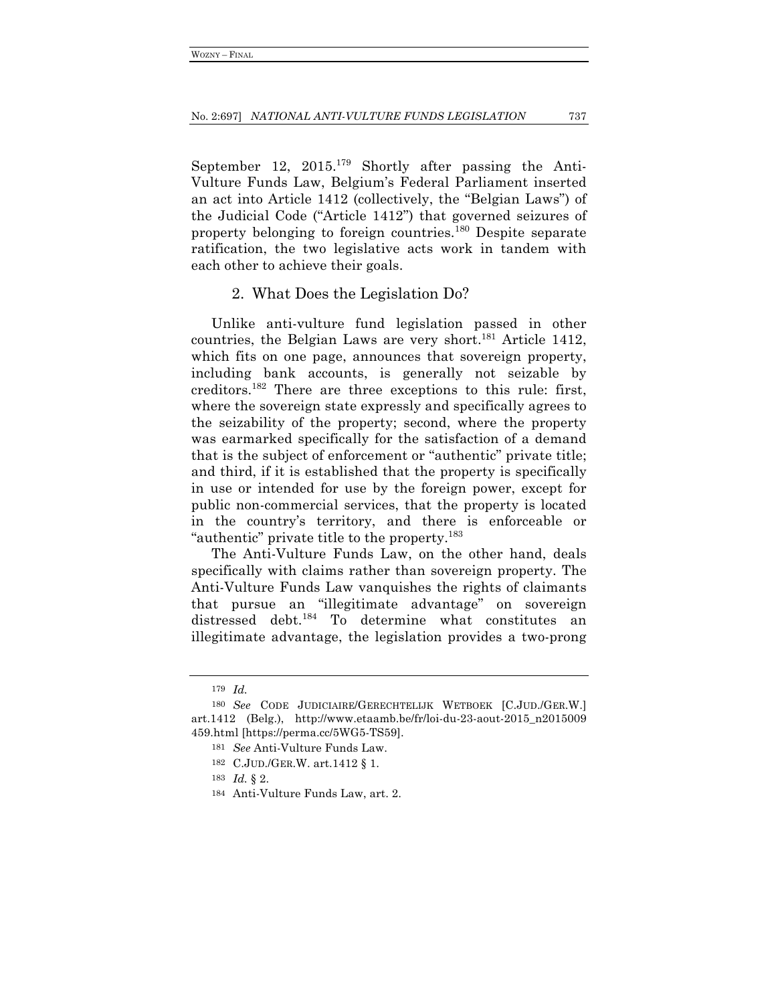September 12, 2015.<sup>179</sup> Shortly after passing the Anti-Vulture Funds Law, Belgium's Federal Parliament inserted an act into Article 1412 (collectively, the "Belgian Laws") of the Judicial Code ("Article 1412") that governed seizures of property belonging to foreign countries.180 Despite separate ratification, the two legislative acts work in tandem with each other to achieve their goals.

### 2. What Does the Legislation Do?

Unlike anti-vulture fund legislation passed in other countries, the Belgian Laws are very short.<sup>181</sup> Article 1412, which fits on one page, announces that sovereign property, including bank accounts, is generally not seizable by creditors.182 There are three exceptions to this rule: first, where the sovereign state expressly and specifically agrees to the seizability of the property; second, where the property was earmarked specifically for the satisfaction of a demand that is the subject of enforcement or "authentic" private title; and third, if it is established that the property is specifically in use or intended for use by the foreign power, except for public non-commercial services, that the property is located in the country's territory, and there is enforceable or "authentic" private title to the property.<sup>183</sup>

The Anti-Vulture Funds Law, on the other hand, deals specifically with claims rather than sovereign property. The Anti-Vulture Funds Law vanquishes the rights of claimants that pursue an "illegitimate advantage" on sovereign distressed debt.184 To determine what constitutes an illegitimate advantage, the legislation provides a two-prong

<sup>179</sup> *Id.*

<sup>180</sup> *See* CODE JUDICIAIRE/GERECHTELIJK WETBOEK [C.JUD./GER.W.] art.1412 (Belg.), http://www.etaamb.be/fr/loi-du-23-aout-2015\_n2015009 459.html [https://perma.cc/5WG5-TS59].

<sup>181</sup> *See* Anti-Vulture Funds Law.

<sup>182</sup> C.JUD./GER.W. art.1412 § 1.

<sup>183</sup> *Id.* § 2.

<sup>184</sup> Anti-Vulture Funds Law, art. 2.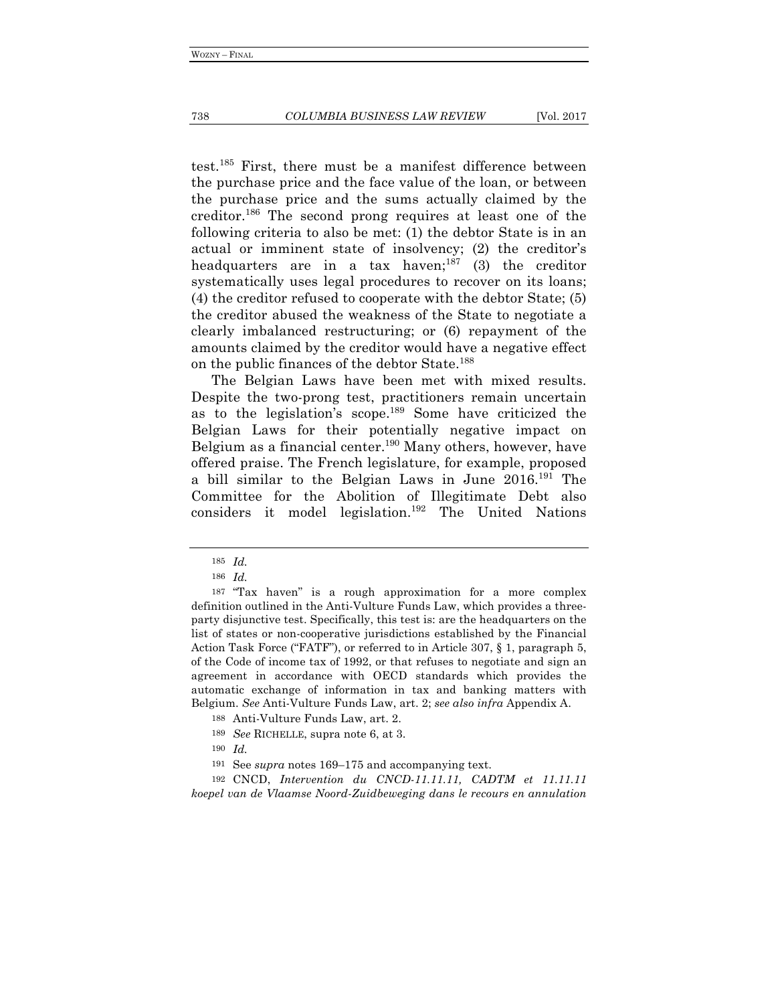test.185 First, there must be a manifest difference between the purchase price and the face value of the loan, or between the purchase price and the sums actually claimed by the creditor.186 The second prong requires at least one of the following criteria to also be met: (1) the debtor State is in an actual or imminent state of insolvency; (2) the creditor's headquarters are in a tax haven; <sup>187</sup> (3) the creditor systematically uses legal procedures to recover on its loans; (4) the creditor refused to cooperate with the debtor State; (5) the creditor abused the weakness of the State to negotiate a clearly imbalanced restructuring; or (6) repayment of the amounts claimed by the creditor would have a negative effect on the public finances of the debtor State.188

The Belgian Laws have been met with mixed results. Despite the two-prong test, practitioners remain uncertain as to the legislation's scope.<sup>189</sup> Some have criticized the Belgian Laws for their potentially negative impact on Belgium as a financial center.<sup>190</sup> Many others, however, have offered praise. The French legislature, for example, proposed a bill similar to the Belgian Laws in June 2016.191 The Committee for the Abolition of Illegitimate Debt also considers it model legislation.<sup>192</sup> The United Nations

192 CNCD, *Intervention du CNCD-11.11.11, CADTM et 11.11.11 koepel van de Vlaamse Noord-Zuidbeweging dans le recours en annulation* 

<sup>185</sup> *Id.*

<sup>186</sup> *Id.*

<sup>187</sup> "Tax haven" is a rough approximation for a more complex definition outlined in the Anti-Vulture Funds Law, which provides a threeparty disjunctive test. Specifically, this test is: are the headquarters on the list of states or non-cooperative jurisdictions established by the Financial Action Task Force ("FATF"), or referred to in Article 307, § 1, paragraph 5, of the Code of income tax of 1992, or that refuses to negotiate and sign an agreement in accordance with OECD standards which provides the automatic exchange of information in tax and banking matters with Belgium. *See* Anti-Vulture Funds Law, art. 2; *see also infra* Appendix A.

<sup>188</sup> Anti-Vulture Funds Law, art. 2.

<sup>189</sup> *See* RICHELLE, supra note 6, at 3.

<sup>190</sup> *Id.*

<sup>191</sup> See *supra* notes 169–175 and accompanying text.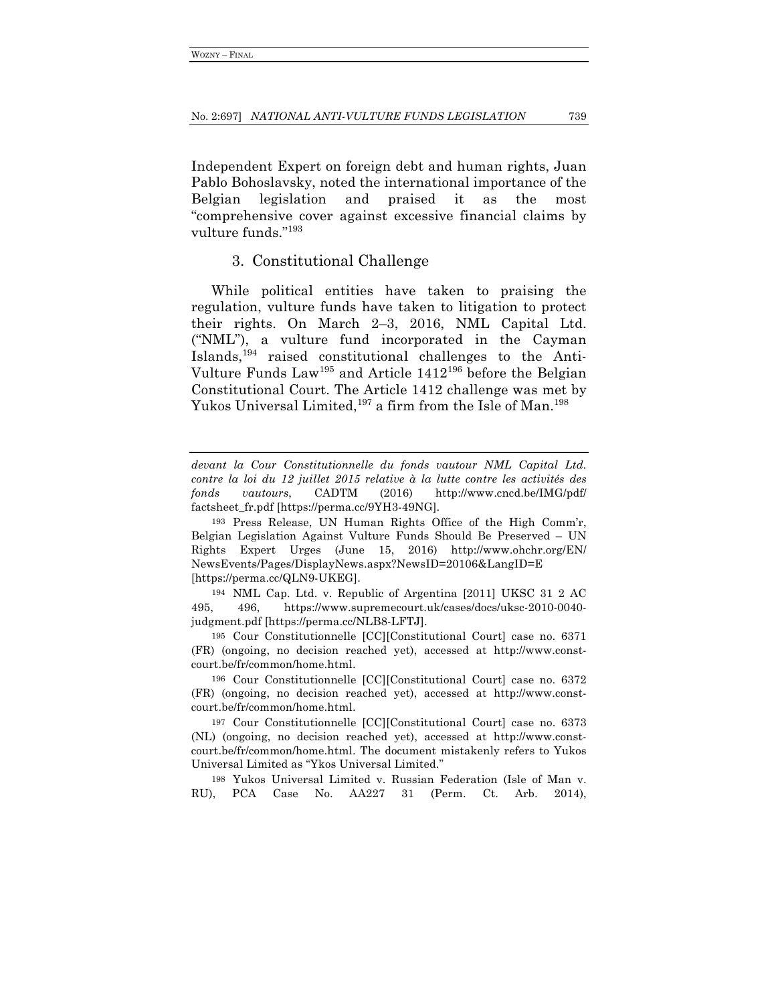Independent Expert on foreign debt and human rights, Juan Pablo Bohoslavsky, noted the international importance of the Belgian legislation and praised it as the most "comprehensive cover against excessive financial claims by vulture funds."193

### 3. Constitutional Challenge

While political entities have taken to praising the regulation, vulture funds have taken to litigation to protect their rights. On March 2–3, 2016, NML Capital Ltd. ("NML"), a vulture fund incorporated in the Cayman Islands,194 raised constitutional challenges to the Anti-Vulture Funds  $Law<sup>195</sup>$  and Article  $1412<sup>196</sup>$  before the Belgian Constitutional Court. The Article 1412 challenge was met by Yukos Universal Limited,<sup>197</sup> a firm from the Isle of Man.<sup>198</sup>

195 Cour Constitutionnelle [CC][Constitutional Court] case no. 6371 (FR) (ongoing, no decision reached yet), accessed at http://www.constcourt.be/fr/common/home.html.

196 Cour Constitutionnelle [CC][Constitutional Court] case no. 6372 (FR) (ongoing, no decision reached yet), accessed at http://www.constcourt.be/fr/common/home.html.

197 Cour Constitutionnelle [CC][Constitutional Court] case no. 6373 (NL) (ongoing, no decision reached yet), accessed at http://www.constcourt.be/fr/common/home.html. The document mistakenly refers to Yukos Universal Limited as "Ykos Universal Limited."

198 Yukos Universal Limited v. Russian Federation (Isle of Man v. RU), PCA Case No. AA227 31 (Perm. Ct. Arb. 2014),

*devant la Cour Constitutionnelle du fonds vautour NML Capital Ltd. contre la loi du 12 juillet 2015 relative à la lutte contre les activités des fonds vautours*, CADTM (2016) http://www.cncd.be/IMG/pdf/ factsheet\_fr.pdf [https://perma.cc/9YH3-49NG].

<sup>193</sup> Press Release, UN Human Rights Office of the High Comm'r, Belgian Legislation Against Vulture Funds Should Be Preserved – UN Rights Expert Urges (June 15, 2016) http://www.ohchr.org/EN/ NewsEvents/Pages/DisplayNews.aspx?NewsID=20106&LangID=E [https://perma.cc/QLN9-UKEG].

<sup>194</sup> NML Cap. Ltd. v. Republic of Argentina [2011] UKSC 31 2 AC 495, 496, https://www.supremecourt.uk/cases/docs/uksc-2010-0040 judgment.pdf [https://perma.cc/NLB8-LFTJ].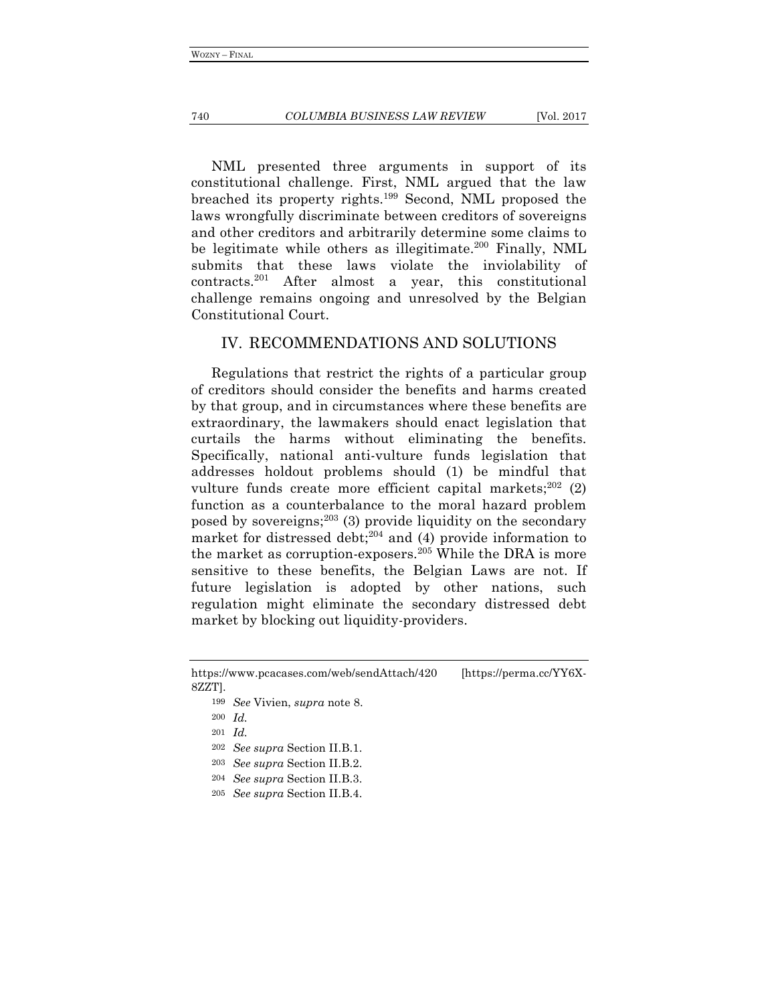#### 740 *COLUMBIA BUSINESS LAW REVIEW* [Vol. 2017

NML presented three arguments in support of its constitutional challenge. First, NML argued that the law breached its property rights.199 Second, NML proposed the laws wrongfully discriminate between creditors of sovereigns and other creditors and arbitrarily determine some claims to be legitimate while others as illegitimate.<sup>200</sup> Finally, NML submits that these laws violate the inviolability of contracts.201 After almost a year, this constitutional challenge remains ongoing and unresolved by the Belgian Constitutional Court.

## IV. RECOMMENDATIONS AND SOLUTIONS

Regulations that restrict the rights of a particular group of creditors should consider the benefits and harms created by that group, and in circumstances where these benefits are extraordinary, the lawmakers should enact legislation that curtails the harms without eliminating the benefits. Specifically, national anti-vulture funds legislation that addresses holdout problems should (1) be mindful that vulture funds create more efficient capital markets;<sup>202</sup> (2) function as a counterbalance to the moral hazard problem posed by sovereigns; <sup>203</sup> (3) provide liquidity on the secondary market for distressed debt;<sup>204</sup> and (4) provide information to the market as corruption-exposers.<sup>205</sup> While the DRA is more sensitive to these benefits, the Belgian Laws are not. If future legislation is adopted by other nations, such regulation might eliminate the secondary distressed debt market by blocking out liquidity-providers.

- 203 *See supra* Section II.B.2.
- 204 *See supra* Section II.B.3.

https://www.pcacases.com/web/sendAttach/420 [https://perma.cc/YY6X-8ZZT].

<sup>199</sup> *See* Vivien, *supra* note 8.

<sup>200</sup> *Id.*

<sup>201</sup> *Id.*

<sup>202</sup> *See supra* Section II.B.1.

<sup>205</sup> *See supra* Section II.B.4.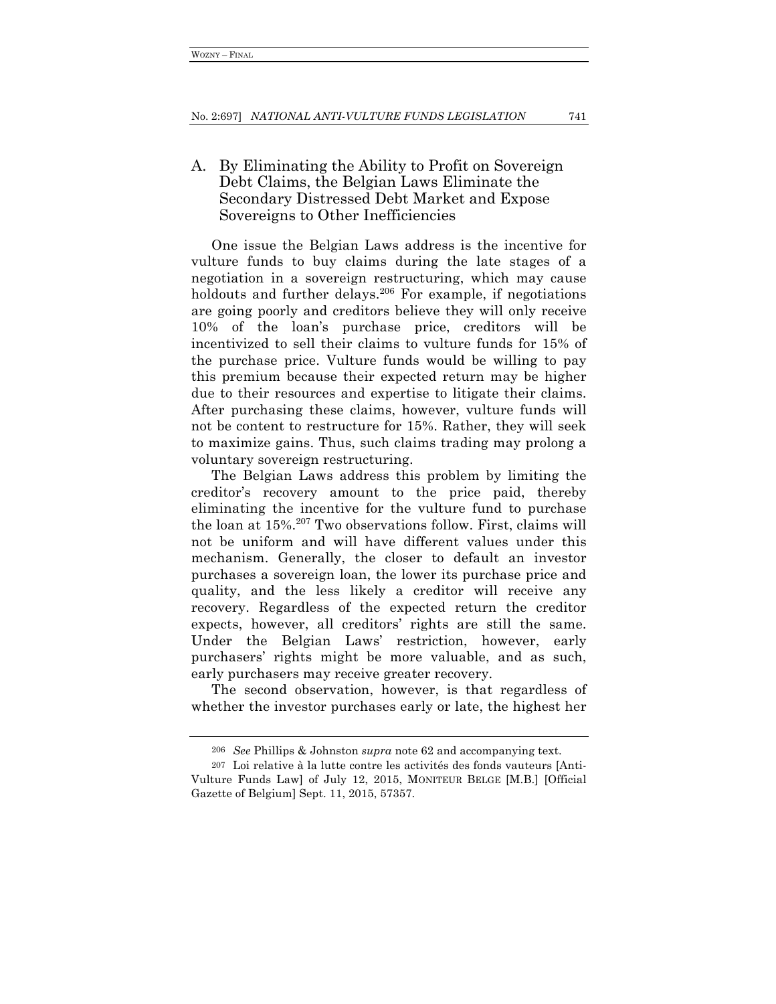## A. By Eliminating the Ability to Profit on Sovereign Debt Claims, the Belgian Laws Eliminate the Secondary Distressed Debt Market and Expose Sovereigns to Other Inefficiencies

One issue the Belgian Laws address is the incentive for vulture funds to buy claims during the late stages of a negotiation in a sovereign restructuring, which may cause holdouts and further delays.<sup>206</sup> For example, if negotiations are going poorly and creditors believe they will only receive 10% of the loan's purchase price, creditors will be incentivized to sell their claims to vulture funds for 15% of the purchase price. Vulture funds would be willing to pay this premium because their expected return may be higher due to their resources and expertise to litigate their claims. After purchasing these claims, however, vulture funds will not be content to restructure for 15%. Rather, they will seek to maximize gains. Thus, such claims trading may prolong a voluntary sovereign restructuring.

The Belgian Laws address this problem by limiting the creditor's recovery amount to the price paid, thereby eliminating the incentive for the vulture fund to purchase the loan at 15%.<sup>207</sup> Two observations follow. First, claims will not be uniform and will have different values under this mechanism. Generally, the closer to default an investor purchases a sovereign loan, the lower its purchase price and quality, and the less likely a creditor will receive any recovery. Regardless of the expected return the creditor expects, however, all creditors' rights are still the same. Under the Belgian Laws' restriction, however, early purchasers' rights might be more valuable, and as such, early purchasers may receive greater recovery.

The second observation, however, is that regardless of whether the investor purchases early or late, the highest her

<sup>206</sup> *See* Phillips & Johnston *supra* note 62 and accompanying text.

<sup>207</sup> Loi relative à la lutte contre les activités des fonds vauteurs [Anti-Vulture Funds Law] of July 12, 2015, MONITEUR BELGE [M.B.] [Official Gazette of Belgium] Sept. 11, 2015, 57357.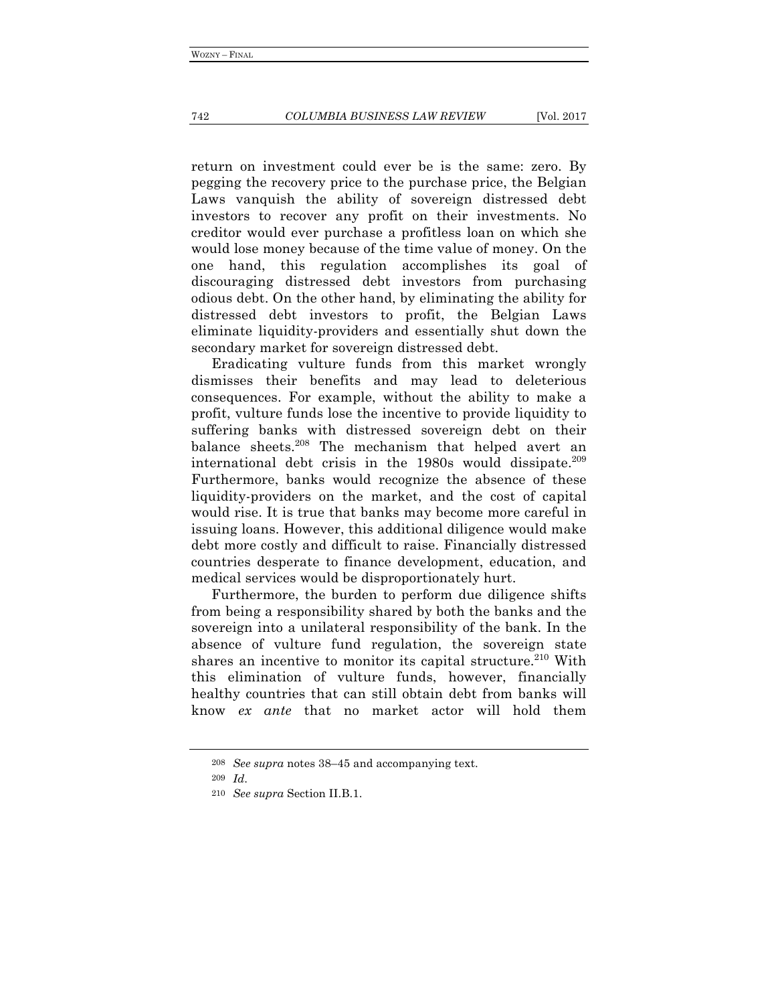return on investment could ever be is the same: zero. By pegging the recovery price to the purchase price, the Belgian Laws vanquish the ability of sovereign distressed debt investors to recover any profit on their investments. No creditor would ever purchase a profitless loan on which she would lose money because of the time value of money. On the one hand, this regulation accomplishes its goal of discouraging distressed debt investors from purchasing odious debt. On the other hand, by eliminating the ability for distressed debt investors to profit, the Belgian Laws eliminate liquidity-providers and essentially shut down the secondary market for sovereign distressed debt.

Eradicating vulture funds from this market wrongly dismisses their benefits and may lead to deleterious consequences. For example, without the ability to make a profit, vulture funds lose the incentive to provide liquidity to suffering banks with distressed sovereign debt on their balance sheets.208 The mechanism that helped avert an international debt crisis in the  $1980s$  would dissipate.<sup>209</sup> Furthermore, banks would recognize the absence of these liquidity-providers on the market, and the cost of capital would rise. It is true that banks may become more careful in issuing loans. However, this additional diligence would make debt more costly and difficult to raise. Financially distressed countries desperate to finance development, education, and medical services would be disproportionately hurt.

Furthermore, the burden to perform due diligence shifts from being a responsibility shared by both the banks and the sovereign into a unilateral responsibility of the bank. In the absence of vulture fund regulation, the sovereign state shares an incentive to monitor its capital structure. $210$  With this elimination of vulture funds, however, financially healthy countries that can still obtain debt from banks will know *ex ante* that no market actor will hold them

<sup>208</sup> *See supra* notes 38–45 and accompanying text.

<sup>209</sup> *Id*.

<sup>210</sup> *See supra* Section II.B.1.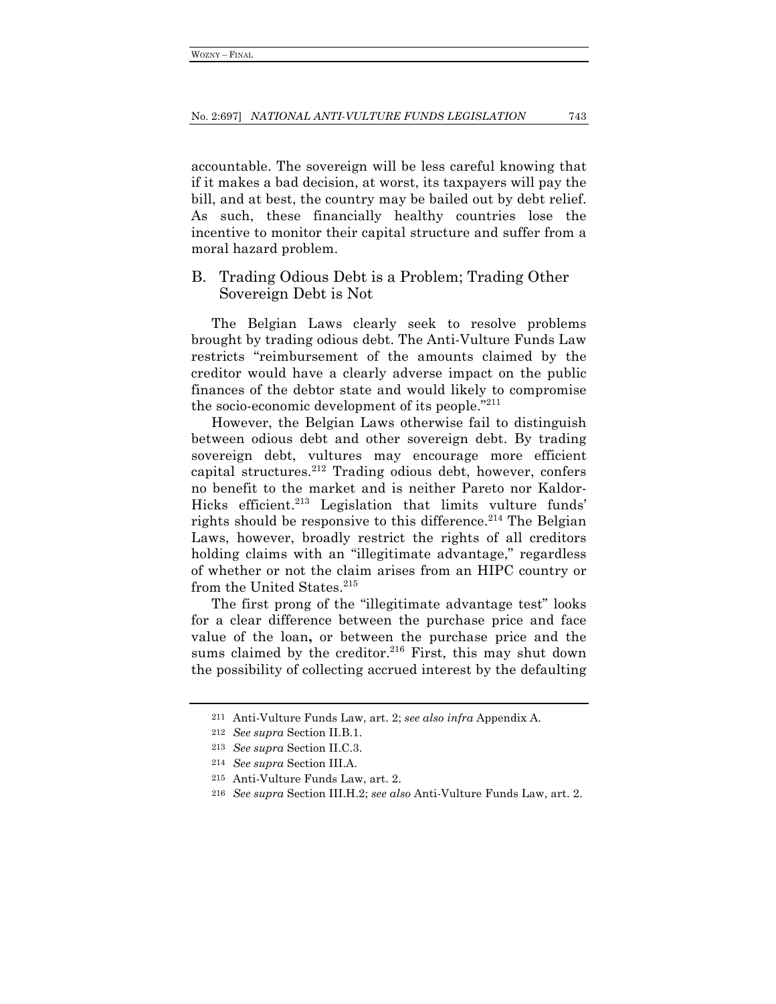accountable. The sovereign will be less careful knowing that if it makes a bad decision, at worst, its taxpayers will pay the bill, and at best, the country may be bailed out by debt relief. As such, these financially healthy countries lose the incentive to monitor their capital structure and suffer from a moral hazard problem.

## B. Trading Odious Debt is a Problem; Trading Other Sovereign Debt is Not

The Belgian Laws clearly seek to resolve problems brought by trading odious debt. The Anti-Vulture Funds Law restricts "reimbursement of the amounts claimed by the creditor would have a clearly adverse impact on the public finances of the debtor state and would likely to compromise the socio-economic development of its people."211

However, the Belgian Laws otherwise fail to distinguish between odious debt and other sovereign debt. By trading sovereign debt, vultures may encourage more efficient capital structures.<sup>212</sup> Trading odious debt, however, confers no benefit to the market and is neither Pareto nor Kaldor-Hicks efficient.<sup>213</sup> Legislation that limits vulture funds' rights should be responsive to this difference.<sup>214</sup> The Belgian Laws, however, broadly restrict the rights of all creditors holding claims with an "illegitimate advantage," regardless of whether or not the claim arises from an HIPC country or from the United States.<sup>215</sup>

The first prong of the "illegitimate advantage test" looks for a clear difference between the purchase price and face value of the loan**,** or between the purchase price and the sums claimed by the creditor.<sup>216</sup> First, this may shut down the possibility of collecting accrued interest by the defaulting

<sup>211</sup> Anti-Vulture Funds Law, art. 2; *see also infra* Appendix A.

<sup>212</sup> *See supra* Section II.B.1.

<sup>213</sup> *See supra* Section II.C.3.

<sup>214</sup> *See supra* Section III.A.

<sup>215</sup> Anti-Vulture Funds Law, art. 2.

<sup>216</sup> *See supra* Section III.H.2; *see also* Anti-Vulture Funds Law, art. 2.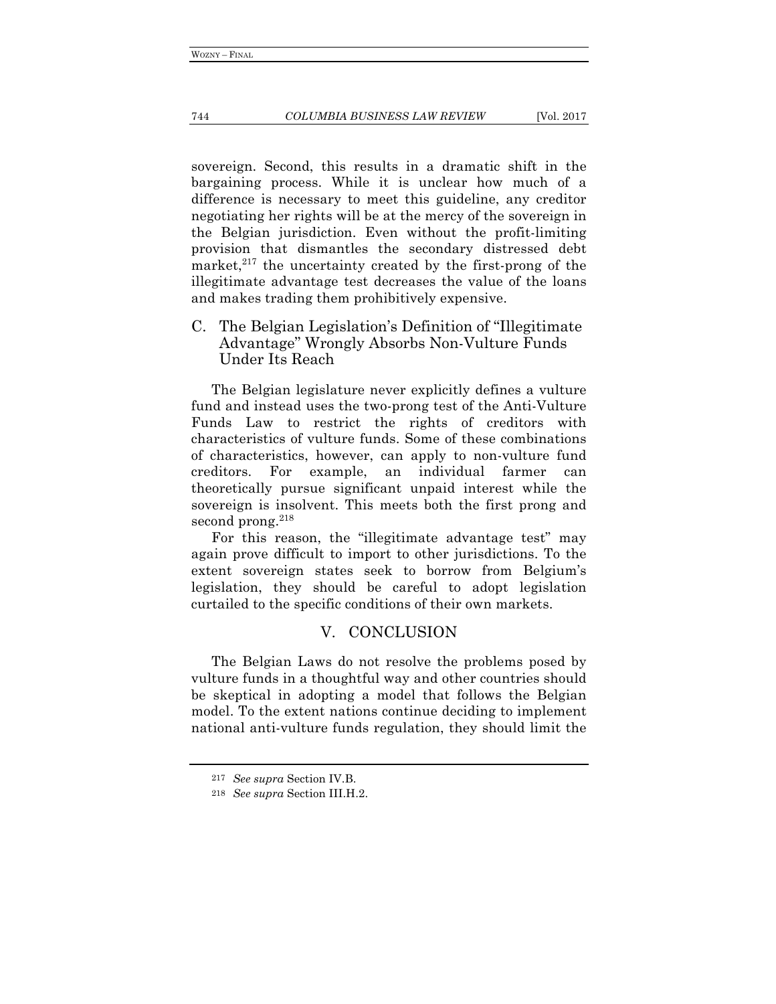#### 744 *COLUMBIA BUSINESS LAW REVIEW* [Vol. 2017

sovereign. Second, this results in a dramatic shift in the bargaining process. While it is unclear how much of a difference is necessary to meet this guideline, any creditor negotiating her rights will be at the mercy of the sovereign in the Belgian jurisdiction. Even without the profit-limiting provision that dismantles the secondary distressed debt market, $2^{17}$  the uncertainty created by the first-prong of the illegitimate advantage test decreases the value of the loans and makes trading them prohibitively expensive.

C. The Belgian Legislation's Definition of "Illegitimate Advantage" Wrongly Absorbs Non-Vulture Funds Under Its Reach

The Belgian legislature never explicitly defines a vulture fund and instead uses the two-prong test of the Anti-Vulture Funds Law to restrict the rights of creditors with characteristics of vulture funds. Some of these combinations of characteristics, however, can apply to non-vulture fund creditors. For example, an individual farmer can theoretically pursue significant unpaid interest while the sovereign is insolvent. This meets both the first prong and second prong. $218$ 

For this reason, the "illegitimate advantage test" may again prove difficult to import to other jurisdictions. To the extent sovereign states seek to borrow from Belgium's legislation, they should be careful to adopt legislation curtailed to the specific conditions of their own markets.

## V. CONCLUSION

The Belgian Laws do not resolve the problems posed by vulture funds in a thoughtful way and other countries should be skeptical in adopting a model that follows the Belgian model. To the extent nations continue deciding to implement national anti-vulture funds regulation, they should limit the

<sup>217</sup> *See supra* Section IV.B.

<sup>218</sup> *See supra* Section III.H.2.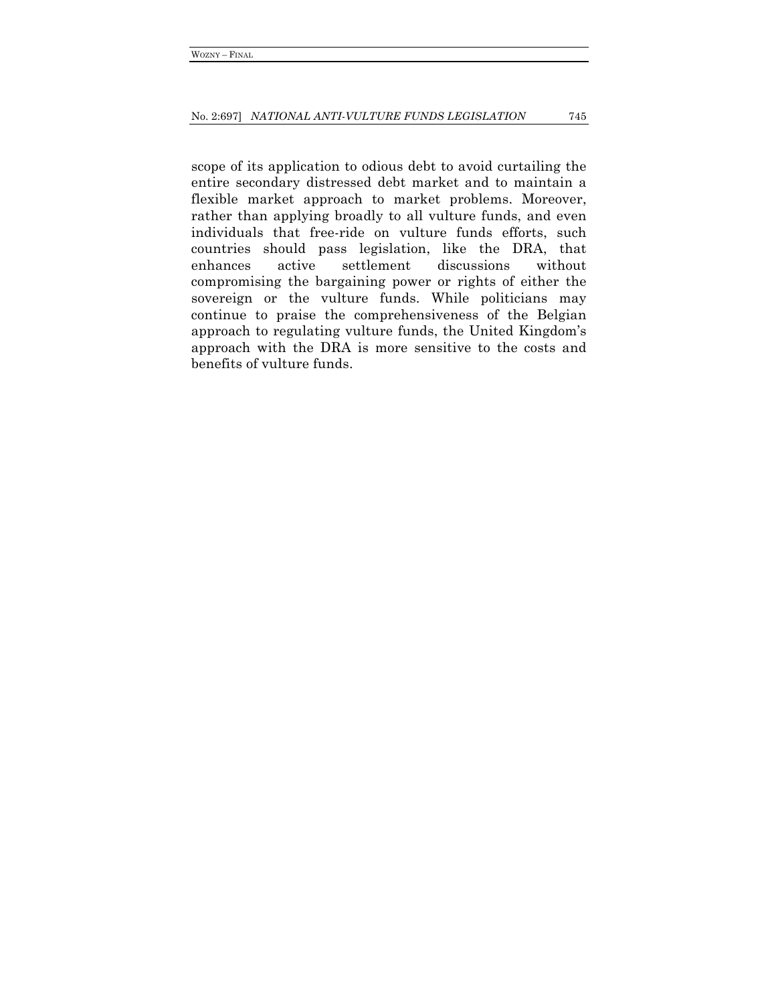scope of its application to odious debt to avoid curtailing the entire secondary distressed debt market and to maintain a flexible market approach to market problems. Moreover, rather than applying broadly to all vulture funds, and even individuals that free-ride on vulture funds efforts, such countries should pass legislation, like the DRA, that enhances active settlement discussions without compromising the bargaining power or rights of either the sovereign or the vulture funds. While politicians may continue to praise the comprehensiveness of the Belgian approach to regulating vulture funds, the United Kingdom's approach with the DRA is more sensitive to the costs and benefits of vulture funds.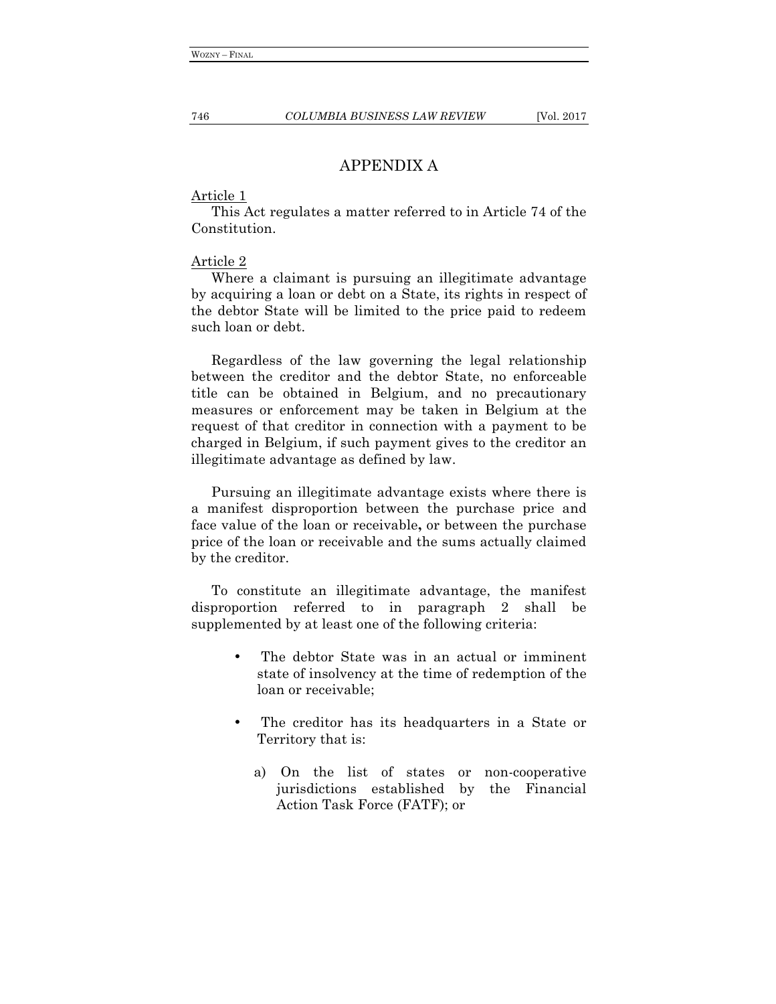## APPENDIX A

### Article 1

This Act regulates a matter referred to in Article 74 of the Constitution.

## Article 2

Where a claimant is pursuing an illegitimate advantage by acquiring a loan or debt on a State, its rights in respect of the debtor State will be limited to the price paid to redeem such loan or debt.

Regardless of the law governing the legal relationship between the creditor and the debtor State, no enforceable title can be obtained in Belgium, and no precautionary measures or enforcement may be taken in Belgium at the request of that creditor in connection with a payment to be charged in Belgium, if such payment gives to the creditor an illegitimate advantage as defined by law.

Pursuing an illegitimate advantage exists where there is a manifest disproportion between the purchase price and face value of the loan or receivable**,** or between the purchase price of the loan or receivable and the sums actually claimed by the creditor.

To constitute an illegitimate advantage, the manifest disproportion referred to in paragraph 2 shall be supplemented by at least one of the following criteria:

- The debtor State was in an actual or imminent state of insolvency at the time of redemption of the loan or receivable;
- The creditor has its headquarters in a State or Territory that is:
	- a) On the list of states or non-cooperative jurisdictions established by the Financial Action Task Force (FATF); or